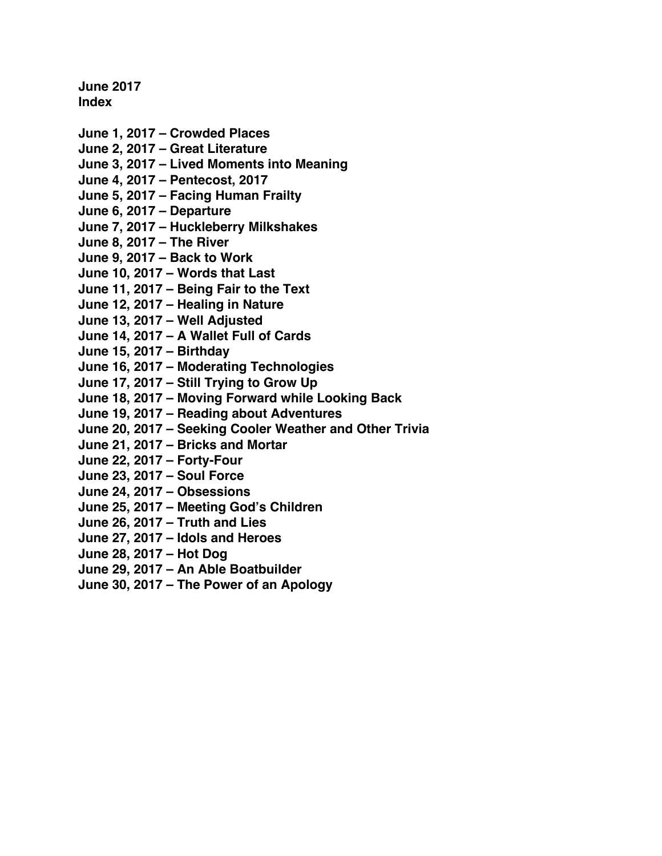**June 2017 Index**

- **June 1, 2017 – [Crowded Places](#page-1-0) June 2, 2017 – [Great Literature](#page-3-0) June 3, 2017 – [Lived Moments into Meaning](#page-5-0) [June 4, 2017 –](#page-7-0) Pentecost, 2017 June 5, 2017 – [Facing Human Frailty](#page-9-0) June 6, 2017 – [Departure](#page-11-0) June 7, 2017 – [Huckleberry Milkshakes](#page-13-0) June 8, 2017 – [The River](#page-15-0) [June 9, 2017 –](#page-17-0) Back to Work June 10, 2017 – [Words that Last](#page-19-0) June 11, 2017 – [Being Fair to the Text](#page-21-0) June 12, 2017 – [Healing in Nature](#page-23-0) [June 13, 2017 –](#page-25-0) Well Adjusted June 14, 2017 – [A Wallet Full of Cards](#page-27-0) [June 15, 2017 –](#page-29-0) Birthday June 16, 2017 – [Moderating Technologies](#page-31-0) June 17, 2017 – [Still Trying to Grow Up](#page-34-0) June 18, 2017 – [Moving Forward while Looking Back](#page-36-0) June 19, 2017 – [Reading about Adventures](#page-38-0) June 20, 2017 – [Seeking Cooler Weather and Other Trivia](#page-40-0) June 21, 2017 – [Bricks and Mortar](#page-42-0) [June 22, 2017 –](#page-45-0) Forty-Four [June 23, 2017 –](#page-47-0) Soul Force**
- **[June 24, 2017 –](#page-49-0) Obsessions**
- **June 25, 2017 – [Meeting God's Children](#page-51-0)**
- **[June 26, 2017 –](#page-53-0) Truth and Lies**
- **June 27, 2017 – [Idols and Heroes](#page-55-0)**
- **[June 28, 2017 –](#page-57-0) Hot Dog**
- **June 29, 2017 – [An Able Boatbuilder](#page-59-0)**
- **June 30, 2017 – [The Power of an Apology](#page-61-0)**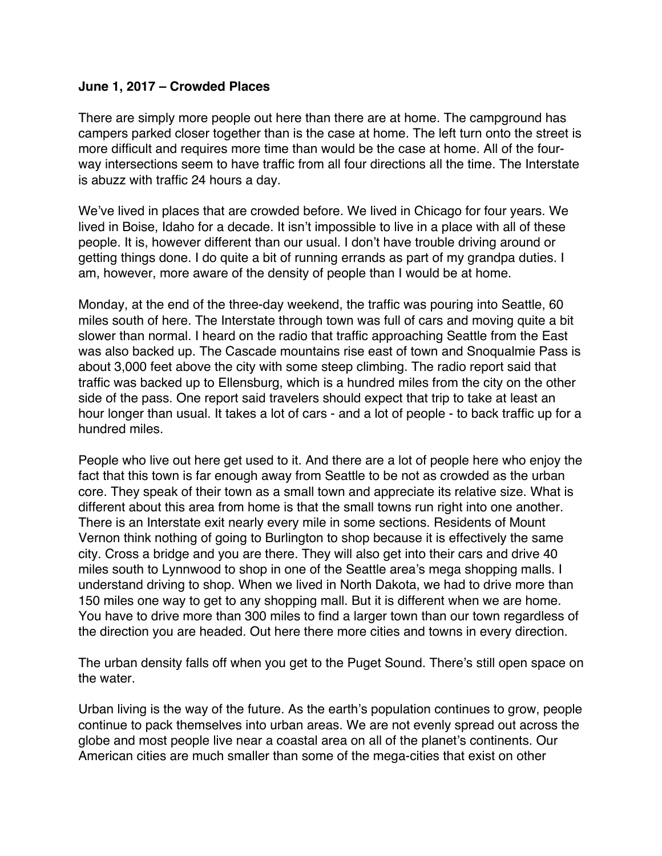#### <span id="page-1-0"></span>**June 1, 2017 – Crowded Places**

There are simply more people out here than there are at home. The campground has campers parked closer together than is the case at home. The left turn onto the street is more difficult and requires more time than would be the case at home. All of the fourway intersections seem to have traffic from all four directions all the time. The Interstate is abuzz with traffic 24 hours a day.

We've lived in places that are crowded before. We lived in Chicago for four years. We lived in Boise, Idaho for a decade. It isn't impossible to live in a place with all of these people. It is, however different than our usual. I don't have trouble driving around or getting things done. I do quite a bit of running errands as part of my grandpa duties. I am, however, more aware of the density of people than I would be at home.

Monday, at the end of the three-day weekend, the traffic was pouring into Seattle, 60 miles south of here. The Interstate through town was full of cars and moving quite a bit slower than normal. I heard on the radio that traffic approaching Seattle from the East was also backed up. The Cascade mountains rise east of town and Snoqualmie Pass is about 3,000 feet above the city with some steep climbing. The radio report said that traffic was backed up to Ellensburg, which is a hundred miles from the city on the other side of the pass. One report said travelers should expect that trip to take at least an hour longer than usual. It takes a lot of cars - and a lot of people - to back traffic up for a hundred miles.

People who live out here get used to it. And there are a lot of people here who enjoy the fact that this town is far enough away from Seattle to be not as crowded as the urban core. They speak of their town as a small town and appreciate its relative size. What is different about this area from home is that the small towns run right into one another. There is an Interstate exit nearly every mile in some sections. Residents of Mount Vernon think nothing of going to Burlington to shop because it is effectively the same city. Cross a bridge and you are there. They will also get into their cars and drive 40 miles south to Lynnwood to shop in one of the Seattle area's mega shopping malls. I understand driving to shop. When we lived in North Dakota, we had to drive more than 150 miles one way to get to any shopping mall. But it is different when we are home. You have to drive more than 300 miles to find a larger town than our town regardless of the direction you are headed. Out here there more cities and towns in every direction.

The urban density falls off when you get to the Puget Sound. There's still open space on the water.

Urban living is the way of the future. As the earth's population continues to grow, people continue to pack themselves into urban areas. We are not evenly spread out across the globe and most people live near a coastal area on all of the planet's continents. Our American cities are much smaller than some of the mega-cities that exist on other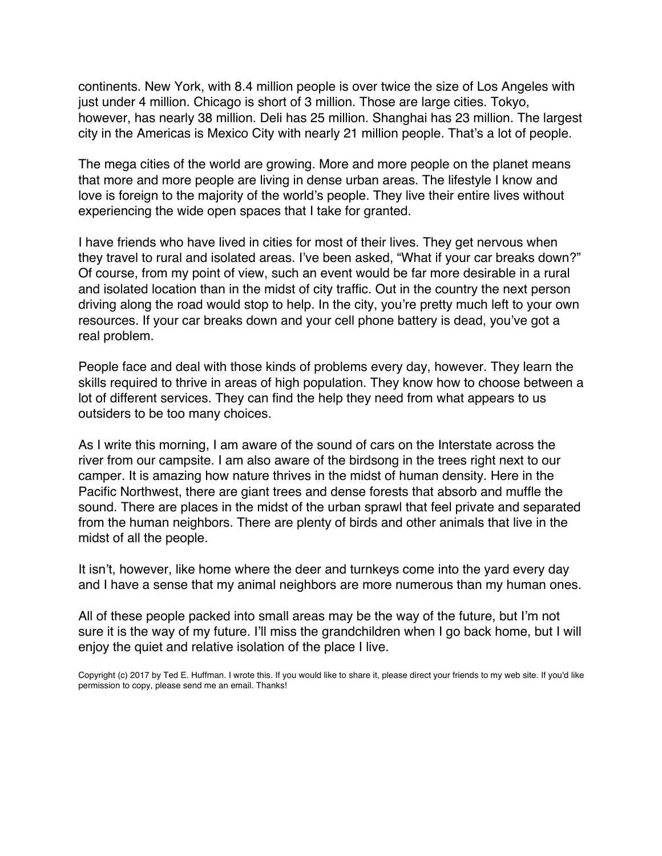continents. New York, with 8.4 million people is over twice the size of Los Angeles with just under 4 million. Chicago is short of 3 million. Those are large cities. Tokyo, however, has nearly 38 million. Deli has 25 million. Shanghai has 23 million. The largest city in the Americas is Mexico City with nearly 21 million people. That's a lot of people.

The mega cities of the world are growing. More and more people on the planet means that more and more people are living in dense urban areas. The lifestyle I know and love is foreign to the majority of the world's people. They live their entire lives without experiencing the wide open spaces that I take for granted.

I have friends who have lived in cities for most of their lives. They get nervous when they travel to rural and isolated areas. I've been asked, "What if your car breaks down?" Of course, from my point of view, such an event would be far more desirable in a rural and isolated location than in the midst of city traffic. Out in the country the next person driving along the road would stop to help. In the city, you're pretty much left to your own resources. If your car breaks down and your cell phone battery is dead, you've got a real problem.

People face and deal with those kinds of problems every day, however. They learn the skills required to thrive in areas of high population. They know how to choose between a lot of different services. They can find the help they need from what appears to us outsiders to be too many choices.

As I write this morning, I am aware of the sound of cars on the Interstate across the river from our campsite. I am also aware of the birdsong in the trees right next to our camper. It is amazing how nature thrives in the midst of human density. Here in the Pacific Northwest, there are giant trees and dense forests that absorb and muffle the sound. There are places in the midst of the urban sprawl that feel private and separated from the human neighbors. There are plenty of birds and other animals that live in the midst of all the people.

It isn't, however, like home where the deer and turnkeys come into the yard every day and I have a sense that my animal neighbors are more numerous than my human ones.

All of these people packed into small areas may be the way of the future, but I'm not sure it is the way of my future. I'll miss the grandchildren when I go back home, but I will enjoy the quiet and relative isolation of the place I live.

Copyright (c) 2017 by Ted E. Huffman. I wrote this. If you would like to share it, please direct your friends to my web site. If you'd like permission to copy, please send me an email. Thanks!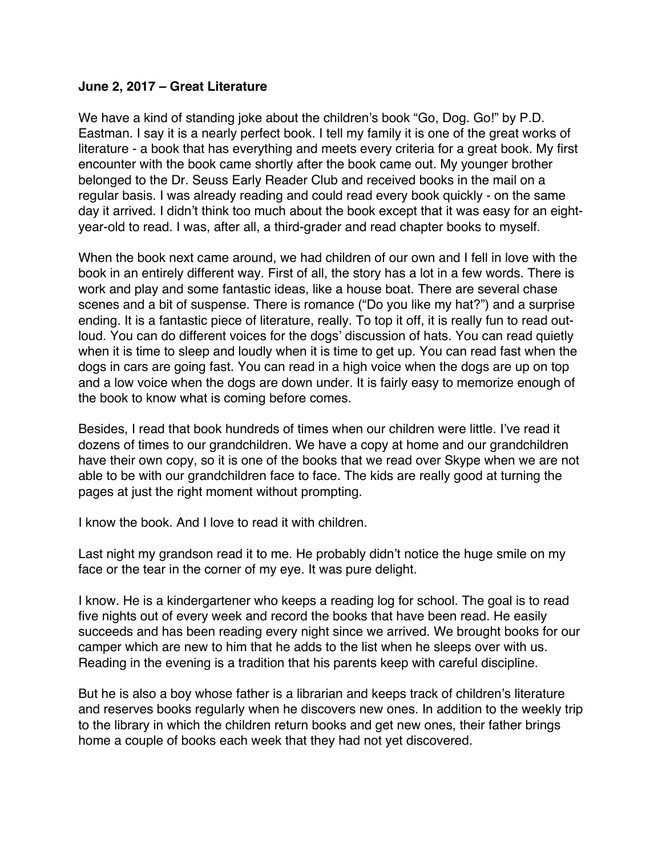#### <span id="page-3-0"></span>**June 2, 2017 – Great Literature**

We have a kind of standing joke about the children's book "Go, Dog. Go!" by P.D. Eastman. I say it is a nearly perfect book. I tell my family it is one of the great works of literature - a book that has everything and meets every criteria for a great book. My first encounter with the book came shortly after the book came out. My younger brother belonged to the Dr. Seuss Early Reader Club and received books in the mail on a regular basis. I was already reading and could read every book quickly - on the same day it arrived. I didn't think too much about the book except that it was easy for an eightyear-old to read. I was, after all, a third-grader and read chapter books to myself.

When the book next came around, we had children of our own and I fell in love with the book in an entirely different way. First of all, the story has a lot in a few words. There is work and play and some fantastic ideas, like a house boat. There are several chase scenes and a bit of suspense. There is romance ("Do you like my hat?") and a surprise ending. It is a fantastic piece of literature, really. To top it off, it is really fun to read outloud. You can do different voices for the dogs' discussion of hats. You can read quietly when it is time to sleep and loudly when it is time to get up. You can read fast when the dogs in cars are going fast. You can read in a high voice when the dogs are up on top and a low voice when the dogs are down under. It is fairly easy to memorize enough of the book to know what is coming before comes.

Besides, I read that book hundreds of times when our children were little. I've read it dozens of times to our grandchildren. We have a copy at home and our grandchildren have their own copy, so it is one of the books that we read over Skype when we are not able to be with our grandchildren face to face. The kids are really good at turning the pages at just the right moment without prompting.

I know the book. And I love to read it with children.

Last night my grandson read it to me. He probably didn't notice the huge smile on my face or the tear in the corner of my eye. It was pure delight.

I know. He is a kindergartener who keeps a reading log for school. The goal is to read five nights out of every week and record the books that have been read. He easily succeeds and has been reading every night since we arrived. We brought books for our camper which are new to him that he adds to the list when he sleeps over with us. Reading in the evening is a tradition that his parents keep with careful discipline.

But he is also a boy whose father is a librarian and keeps track of children's literature and reserves books regularly when he discovers new ones. In addition to the weekly trip to the library in which the children return books and get new ones, their father brings home a couple of books each week that they had not yet discovered.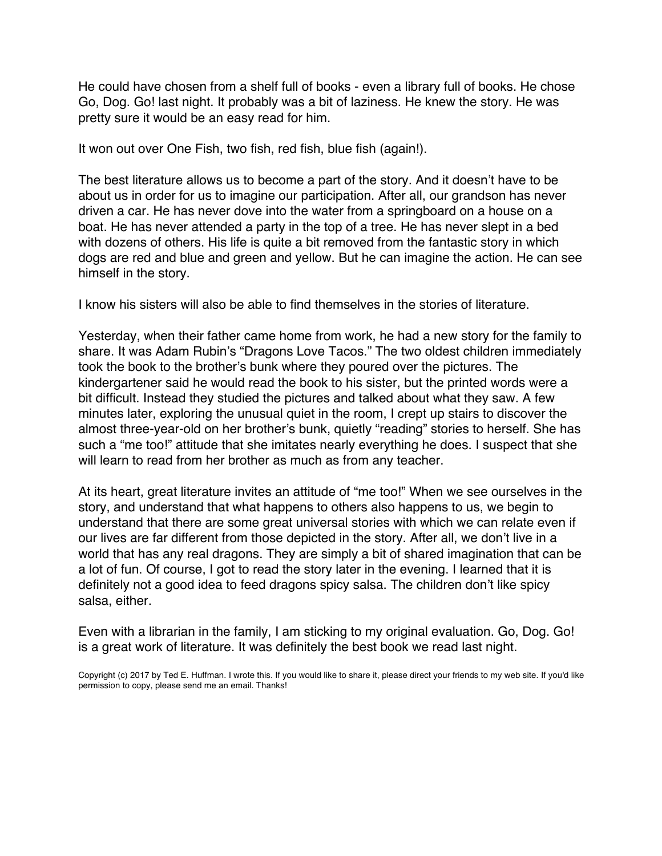He could have chosen from a shelf full of books - even a library full of books. He chose Go, Dog. Go! last night. It probably was a bit of laziness. He knew the story. He was pretty sure it would be an easy read for him.

It won out over One Fish, two fish, red fish, blue fish (again!).

The best literature allows us to become a part of the story. And it doesn't have to be about us in order for us to imagine our participation. After all, our grandson has never driven a car. He has never dove into the water from a springboard on a house on a boat. He has never attended a party in the top of a tree. He has never slept in a bed with dozens of others. His life is quite a bit removed from the fantastic story in which dogs are red and blue and green and yellow. But he can imagine the action. He can see himself in the story.

I know his sisters will also be able to find themselves in the stories of literature.

Yesterday, when their father came home from work, he had a new story for the family to share. It was Adam Rubin's "Dragons Love Tacos." The two oldest children immediately took the book to the brother's bunk where they poured over the pictures. The kindergartener said he would read the book to his sister, but the printed words were a bit difficult. Instead they studied the pictures and talked about what they saw. A few minutes later, exploring the unusual quiet in the room, I crept up stairs to discover the almost three-year-old on her brother's bunk, quietly "reading" stories to herself. She has such a "me too!" attitude that she imitates nearly everything he does. I suspect that she will learn to read from her brother as much as from any teacher.

At its heart, great literature invites an attitude of "me too!" When we see ourselves in the story, and understand that what happens to others also happens to us, we begin to understand that there are some great universal stories with which we can relate even if our lives are far different from those depicted in the story. After all, we don't live in a world that has any real dragons. They are simply a bit of shared imagination that can be a lot of fun. Of course, I got to read the story later in the evening. I learned that it is definitely not a good idea to feed dragons spicy salsa. The children don't like spicy salsa, either.

Even with a librarian in the family, I am sticking to my original evaluation. Go, Dog. Go! is a great work of literature. It was definitely the best book we read last night.

Copyright (c) 2017 by Ted E. Huffman. I wrote this. If you would like to share it, please direct your friends to my web site. If you'd like permission to copy, please send me an email. Thanks!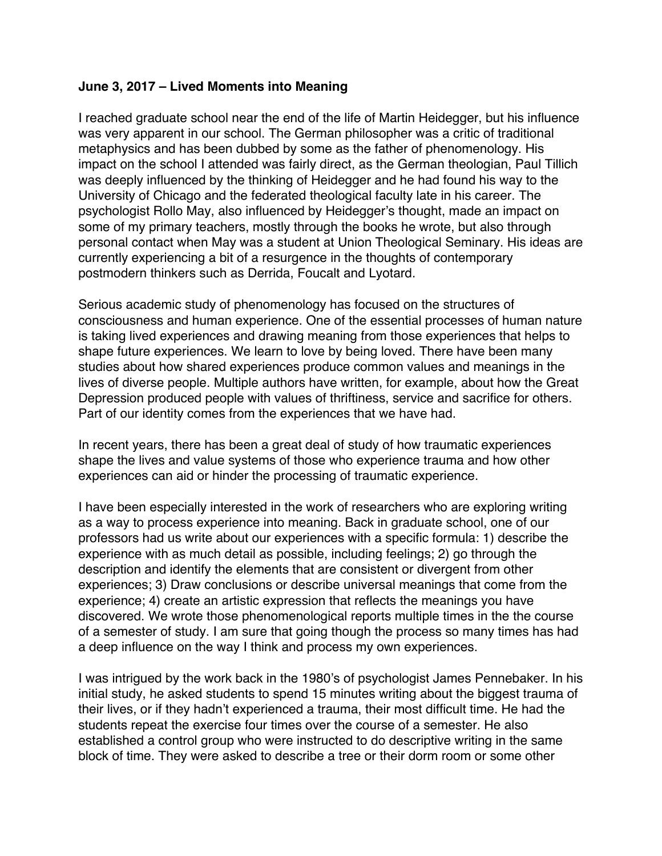# <span id="page-5-0"></span>**June 3, 2017 – Lived Moments into Meaning**

I reached graduate school near the end of the life of Martin Heidegger, but his influence was very apparent in our school. The German philosopher was a critic of traditional metaphysics and has been dubbed by some as the father of phenomenology. His impact on the school I attended was fairly direct, as the German theologian, Paul Tillich was deeply influenced by the thinking of Heidegger and he had found his way to the University of Chicago and the federated theological faculty late in his career. The psychologist Rollo May, also influenced by Heidegger's thought, made an impact on some of my primary teachers, mostly through the books he wrote, but also through personal contact when May was a student at Union Theological Seminary. His ideas are currently experiencing a bit of a resurgence in the thoughts of contemporary postmodern thinkers such as Derrida, Foucalt and Lyotard.

Serious academic study of phenomenology has focused on the structures of consciousness and human experience. One of the essential processes of human nature is taking lived experiences and drawing meaning from those experiences that helps to shape future experiences. We learn to love by being loved. There have been many studies about how shared experiences produce common values and meanings in the lives of diverse people. Multiple authors have written, for example, about how the Great Depression produced people with values of thriftiness, service and sacrifice for others. Part of our identity comes from the experiences that we have had.

In recent years, there has been a great deal of study of how traumatic experiences shape the lives and value systems of those who experience trauma and how other experiences can aid or hinder the processing of traumatic experience.

I have been especially interested in the work of researchers who are exploring writing as a way to process experience into meaning. Back in graduate school, one of our professors had us write about our experiences with a specific formula: 1) describe the experience with as much detail as possible, including feelings; 2) go through the description and identify the elements that are consistent or divergent from other experiences; 3) Draw conclusions or describe universal meanings that come from the experience; 4) create an artistic expression that reflects the meanings you have discovered. We wrote those phenomenological reports multiple times in the the course of a semester of study. I am sure that going though the process so many times has had a deep influence on the way I think and process my own experiences.

I was intrigued by the work back in the 1980's of psychologist James Pennebaker. In his initial study, he asked students to spend 15 minutes writing about the biggest trauma of their lives, or if they hadn't experienced a trauma, their most difficult time. He had the students repeat the exercise four times over the course of a semester. He also established a control group who were instructed to do descriptive writing in the same block of time. They were asked to describe a tree or their dorm room or some other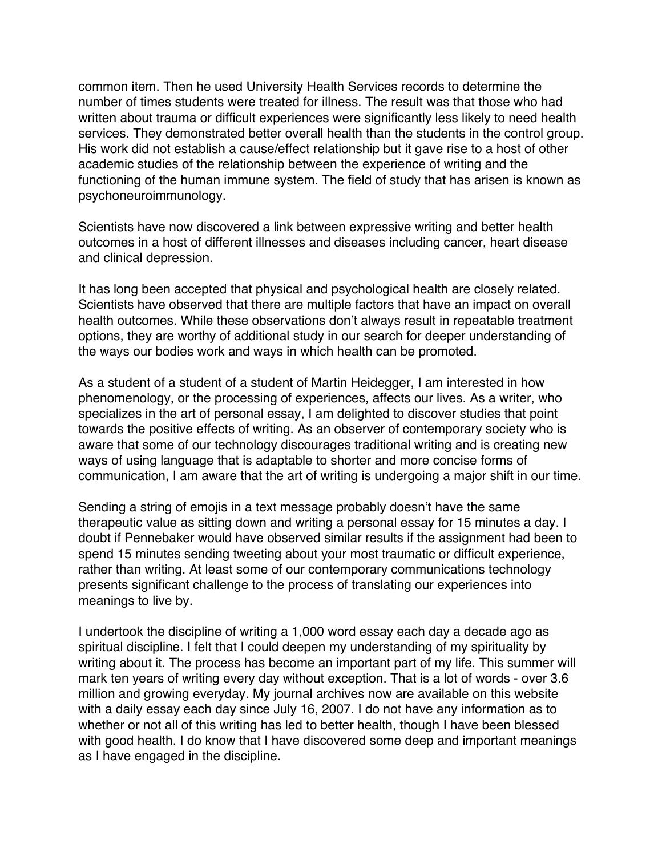common item. Then he used University Health Services records to determine the number of times students were treated for illness. The result was that those who had written about trauma or difficult experiences were significantly less likely to need health services. They demonstrated better overall health than the students in the control group. His work did not establish a cause/effect relationship but it gave rise to a host of other academic studies of the relationship between the experience of writing and the functioning of the human immune system. The field of study that has arisen is known as psychoneuroimmunology.

Scientists have now discovered a link between expressive writing and better health outcomes in a host of different illnesses and diseases including cancer, heart disease and clinical depression.

It has long been accepted that physical and psychological health are closely related. Scientists have observed that there are multiple factors that have an impact on overall health outcomes. While these observations don't always result in repeatable treatment options, they are worthy of additional study in our search for deeper understanding of the ways our bodies work and ways in which health can be promoted.

As a student of a student of a student of Martin Heidegger, I am interested in how phenomenology, or the processing of experiences, affects our lives. As a writer, who specializes in the art of personal essay, I am delighted to discover studies that point towards the positive effects of writing. As an observer of contemporary society who is aware that some of our technology discourages traditional writing and is creating new ways of using language that is adaptable to shorter and more concise forms of communication, I am aware that the art of writing is undergoing a major shift in our time.

Sending a string of emojis in a text message probably doesn't have the same therapeutic value as sitting down and writing a personal essay for 15 minutes a day. I doubt if Pennebaker would have observed similar results if the assignment had been to spend 15 minutes sending tweeting about your most traumatic or difficult experience, rather than writing. At least some of our contemporary communications technology presents significant challenge to the process of translating our experiences into meanings to live by.

I undertook the discipline of writing a 1,000 word essay each day a decade ago as spiritual discipline. I felt that I could deepen my understanding of my spirituality by writing about it. The process has become an important part of my life. This summer will mark ten years of writing every day without exception. That is a lot of words - over 3.6 million and growing everyday. My journal archives now are available on this website with a daily essay each day since July 16, 2007. I do not have any information as to whether or not all of this writing has led to better health, though I have been blessed with good health. I do know that I have discovered some deep and important meanings as I have engaged in the discipline.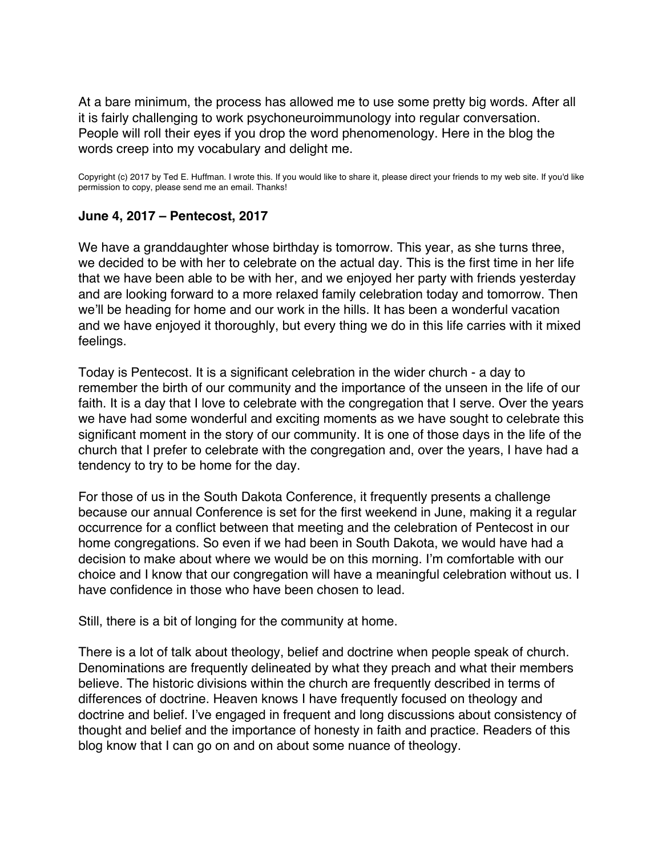<span id="page-7-0"></span>At a bare minimum, the process has allowed me to use some pretty big words. After all it is fairly challenging to work psychoneuroimmunology into regular conversation. People will roll their eyes if you drop the word phenomenology. Here in the blog the words creep into my vocabulary and delight me.

Copyright (c) 2017 by Ted E. Huffman. I wrote this. If you would like to share it, please direct your friends to my web site. If you'd like permission to copy, please send me an email. Thanks!

# **June 4, 2017 – Pentecost, 2017**

We have a granddaughter whose birthday is tomorrow. This year, as she turns three, we decided to be with her to celebrate on the actual day. This is the first time in her life that we have been able to be with her, and we enjoyed her party with friends yesterday and are looking forward to a more relaxed family celebration today and tomorrow. Then we'll be heading for home and our work in the hills. It has been a wonderful vacation and we have enjoyed it thoroughly, but every thing we do in this life carries with it mixed feelings.

Today is Pentecost. It is a significant celebration in the wider church - a day to remember the birth of our community and the importance of the unseen in the life of our faith. It is a day that I love to celebrate with the congregation that I serve. Over the years we have had some wonderful and exciting moments as we have sought to celebrate this significant moment in the story of our community. It is one of those days in the life of the church that I prefer to celebrate with the congregation and, over the years, I have had a tendency to try to be home for the day.

For those of us in the South Dakota Conference, it frequently presents a challenge because our annual Conference is set for the first weekend in June, making it a regular occurrence for a conflict between that meeting and the celebration of Pentecost in our home congregations. So even if we had been in South Dakota, we would have had a decision to make about where we would be on this morning. I'm comfortable with our choice and I know that our congregation will have a meaningful celebration without us. I have confidence in those who have been chosen to lead.

Still, there is a bit of longing for the community at home.

There is a lot of talk about theology, belief and doctrine when people speak of church. Denominations are frequently delineated by what they preach and what their members believe. The historic divisions within the church are frequently described in terms of differences of doctrine. Heaven knows I have frequently focused on theology and doctrine and belief. I've engaged in frequent and long discussions about consistency of thought and belief and the importance of honesty in faith and practice. Readers of this blog know that I can go on and on about some nuance of theology.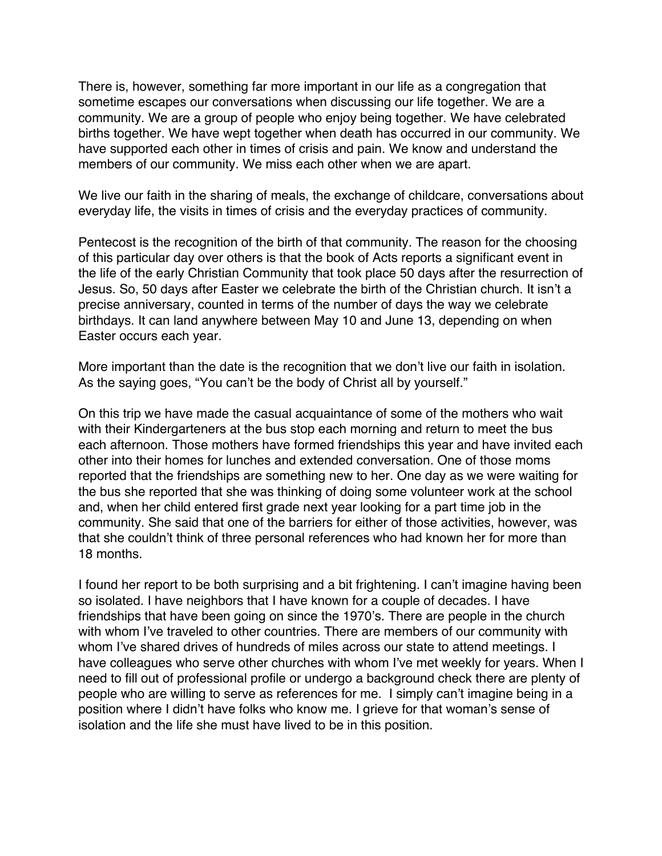There is, however, something far more important in our life as a congregation that sometime escapes our conversations when discussing our life together. We are a community. We are a group of people who enjoy being together. We have celebrated births together. We have wept together when death has occurred in our community. We have supported each other in times of crisis and pain. We know and understand the members of our community. We miss each other when we are apart.

We live our faith in the sharing of meals, the exchange of childcare, conversations about everyday life, the visits in times of crisis and the everyday practices of community.

Pentecost is the recognition of the birth of that community. The reason for the choosing of this particular day over others is that the book of Acts reports a significant event in the life of the early Christian Community that took place 50 days after the resurrection of Jesus. So, 50 days after Easter we celebrate the birth of the Christian church. It isn't a precise anniversary, counted in terms of the number of days the way we celebrate birthdays. It can land anywhere between May 10 and June 13, depending on when Easter occurs each year.

More important than the date is the recognition that we don't live our faith in isolation. As the saying goes, "You can't be the body of Christ all by yourself."

On this trip we have made the casual acquaintance of some of the mothers who wait with their Kindergarteners at the bus stop each morning and return to meet the bus each afternoon. Those mothers have formed friendships this year and have invited each other into their homes for lunches and extended conversation. One of those moms reported that the friendships are something new to her. One day as we were waiting for the bus she reported that she was thinking of doing some volunteer work at the school and, when her child entered first grade next year looking for a part time job in the community. She said that one of the barriers for either of those activities, however, was that she couldn't think of three personal references who had known her for more than 18 months.

I found her report to be both surprising and a bit frightening. I can't imagine having been so isolated. I have neighbors that I have known for a couple of decades. I have friendships that have been going on since the 1970's. There are people in the church with whom I've traveled to other countries. There are members of our community with whom I've shared drives of hundreds of miles across our state to attend meetings. I have colleagues who serve other churches with whom I've met weekly for years. When I need to fill out of professional profile or undergo a background check there are plenty of people who are willing to serve as references for me. I simply can't imagine being in a position where I didn't have folks who know me. I grieve for that woman's sense of isolation and the life she must have lived to be in this position.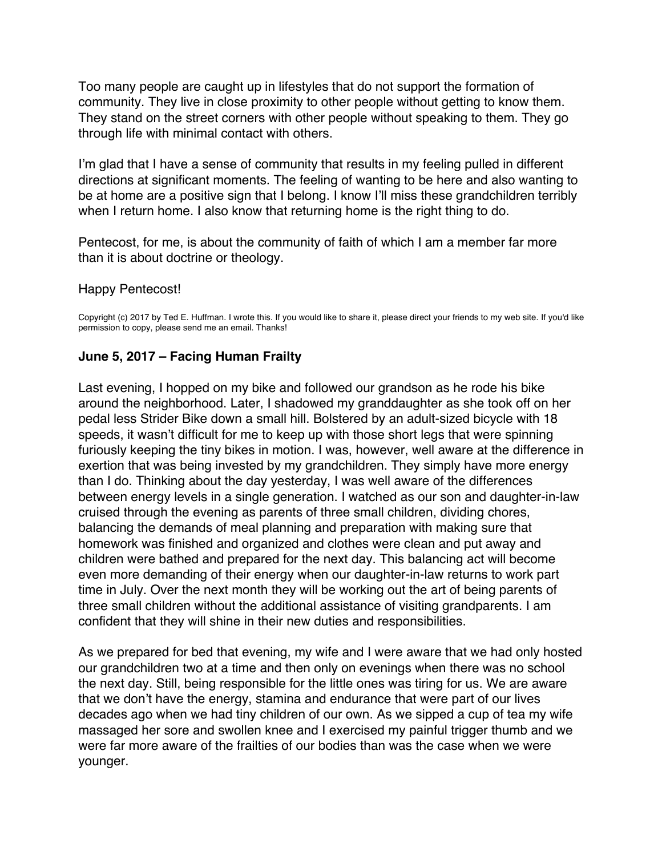<span id="page-9-0"></span>Too many people are caught up in lifestyles that do not support the formation of community. They live in close proximity to other people without getting to know them. They stand on the street corners with other people without speaking to them. They go through life with minimal contact with others.

I'm glad that I have a sense of community that results in my feeling pulled in different directions at significant moments. The feeling of wanting to be here and also wanting to be at home are a positive sign that I belong. I know I'll miss these grandchildren terribly when I return home. I also know that returning home is the right thing to do.

Pentecost, for me, is about the community of faith of which I am a member far more than it is about doctrine or theology.

Happy Pentecost!

Copyright (c) 2017 by Ted E. Huffman. I wrote this. If you would like to share it, please direct your friends to my web site. If you'd like permission to copy, please send me an email. Thanks!

# **June 5, 2017 – Facing Human Frailty**

Last evening, I hopped on my bike and followed our grandson as he rode his bike around the neighborhood. Later, I shadowed my granddaughter as she took off on her pedal less Strider Bike down a small hill. Bolstered by an adult-sized bicycle with 18 speeds, it wasn't difficult for me to keep up with those short legs that were spinning furiously keeping the tiny bikes in motion. I was, however, well aware at the difference in exertion that was being invested by my grandchildren. They simply have more energy than I do. Thinking about the day yesterday, I was well aware of the differences between energy levels in a single generation. I watched as our son and daughter-in-law cruised through the evening as parents of three small children, dividing chores, balancing the demands of meal planning and preparation with making sure that homework was finished and organized and clothes were clean and put away and children were bathed and prepared for the next day. This balancing act will become even more demanding of their energy when our daughter-in-law returns to work part time in July. Over the next month they will be working out the art of being parents of three small children without the additional assistance of visiting grandparents. I am confident that they will shine in their new duties and responsibilities.

As we prepared for bed that evening, my wife and I were aware that we had only hosted our grandchildren two at a time and then only on evenings when there was no school the next day. Still, being responsible for the little ones was tiring for us. We are aware that we don't have the energy, stamina and endurance that were part of our lives decades ago when we had tiny children of our own. As we sipped a cup of tea my wife massaged her sore and swollen knee and I exercised my painful trigger thumb and we were far more aware of the frailties of our bodies than was the case when we were younger.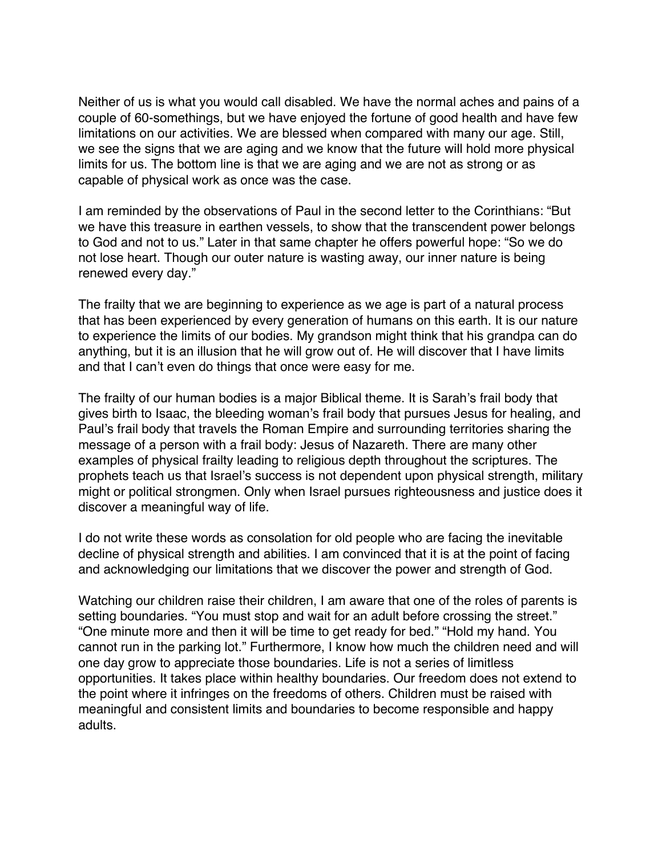Neither of us is what you would call disabled. We have the normal aches and pains of a couple of 60-somethings, but we have enjoyed the fortune of good health and have few limitations on our activities. We are blessed when compared with many our age. Still, we see the signs that we are aging and we know that the future will hold more physical limits for us. The bottom line is that we are aging and we are not as strong or as capable of physical work as once was the case.

I am reminded by the observations of Paul in the second letter to the Corinthians: "But we have this treasure in earthen vessels, to show that the transcendent power belongs to God and not to us." Later in that same chapter he offers powerful hope: "So we do not lose heart. Though our outer nature is wasting away, our inner nature is being renewed every day."

The frailty that we are beginning to experience as we age is part of a natural process that has been experienced by every generation of humans on this earth. It is our nature to experience the limits of our bodies. My grandson might think that his grandpa can do anything, but it is an illusion that he will grow out of. He will discover that I have limits and that I can't even do things that once were easy for me.

The frailty of our human bodies is a major Biblical theme. It is Sarah's frail body that gives birth to Isaac, the bleeding woman's frail body that pursues Jesus for healing, and Paul's frail body that travels the Roman Empire and surrounding territories sharing the message of a person with a frail body: Jesus of Nazareth. There are many other examples of physical frailty leading to religious depth throughout the scriptures. The prophets teach us that Israel's success is not dependent upon physical strength, military might or political strongmen. Only when Israel pursues righteousness and justice does it discover a meaningful way of life.

I do not write these words as consolation for old people who are facing the inevitable decline of physical strength and abilities. I am convinced that it is at the point of facing and acknowledging our limitations that we discover the power and strength of God.

Watching our children raise their children, I am aware that one of the roles of parents is setting boundaries. "You must stop and wait for an adult before crossing the street." "One minute more and then it will be time to get ready for bed." "Hold my hand. You cannot run in the parking lot." Furthermore, I know how much the children need and will one day grow to appreciate those boundaries. Life is not a series of limitless opportunities. It takes place within healthy boundaries. Our freedom does not extend to the point where it infringes on the freedoms of others. Children must be raised with meaningful and consistent limits and boundaries to become responsible and happy adults.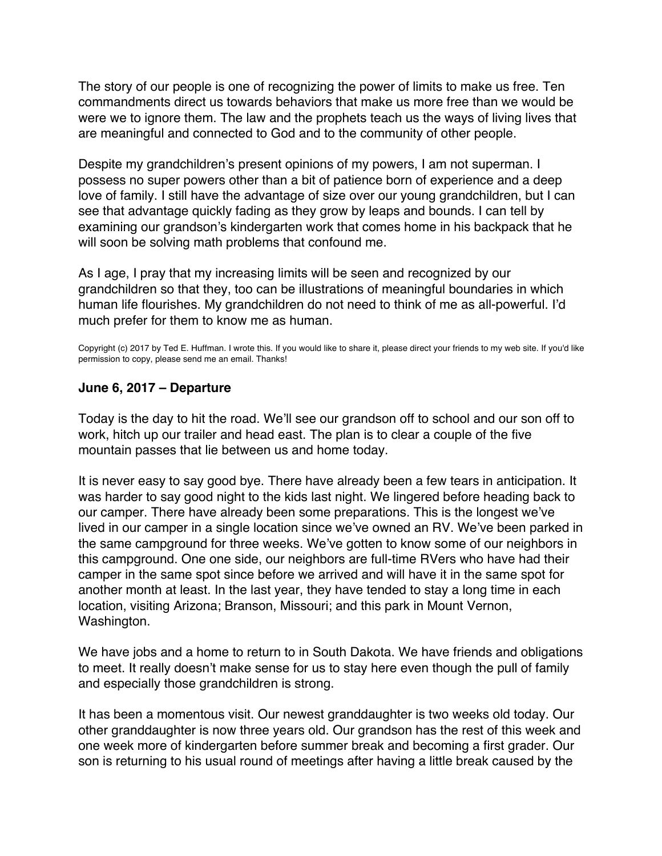<span id="page-11-0"></span>The story of our people is one of recognizing the power of limits to make us free. Ten commandments direct us towards behaviors that make us more free than we would be were we to ignore them. The law and the prophets teach us the ways of living lives that are meaningful and connected to God and to the community of other people.

Despite my grandchildren's present opinions of my powers, I am not superman. I possess no super powers other than a bit of patience born of experience and a deep love of family. I still have the advantage of size over our young grandchildren, but I can see that advantage quickly fading as they grow by leaps and bounds. I can tell by examining our grandson's kindergarten work that comes home in his backpack that he will soon be solving math problems that confound me.

As I age, I pray that my increasing limits will be seen and recognized by our grandchildren so that they, too can be illustrations of meaningful boundaries in which human life flourishes. My grandchildren do not need to think of me as all-powerful. I'd much prefer for them to know me as human.

Copyright (c) 2017 by Ted E. Huffman. I wrote this. If you would like to share it, please direct your friends to my web site. If you'd like permission to copy, please send me an email. Thanks!

#### **June 6, 2017 – Departure**

Today is the day to hit the road. We'll see our grandson off to school and our son off to work, hitch up our trailer and head east. The plan is to clear a couple of the five mountain passes that lie between us and home today.

It is never easy to say good bye. There have already been a few tears in anticipation. It was harder to say good night to the kids last night. We lingered before heading back to our camper. There have already been some preparations. This is the longest we've lived in our camper in a single location since we've owned an RV. We've been parked in the same campground for three weeks. We've gotten to know some of our neighbors in this campground. One one side, our neighbors are full-time RVers who have had their camper in the same spot since before we arrived and will have it in the same spot for another month at least. In the last year, they have tended to stay a long time in each location, visiting Arizona; Branson, Missouri; and this park in Mount Vernon, Washington.

We have jobs and a home to return to in South Dakota. We have friends and obligations to meet. It really doesn't make sense for us to stay here even though the pull of family and especially those grandchildren is strong.

It has been a momentous visit. Our newest granddaughter is two weeks old today. Our other granddaughter is now three years old. Our grandson has the rest of this week and one week more of kindergarten before summer break and becoming a first grader. Our son is returning to his usual round of meetings after having a little break caused by the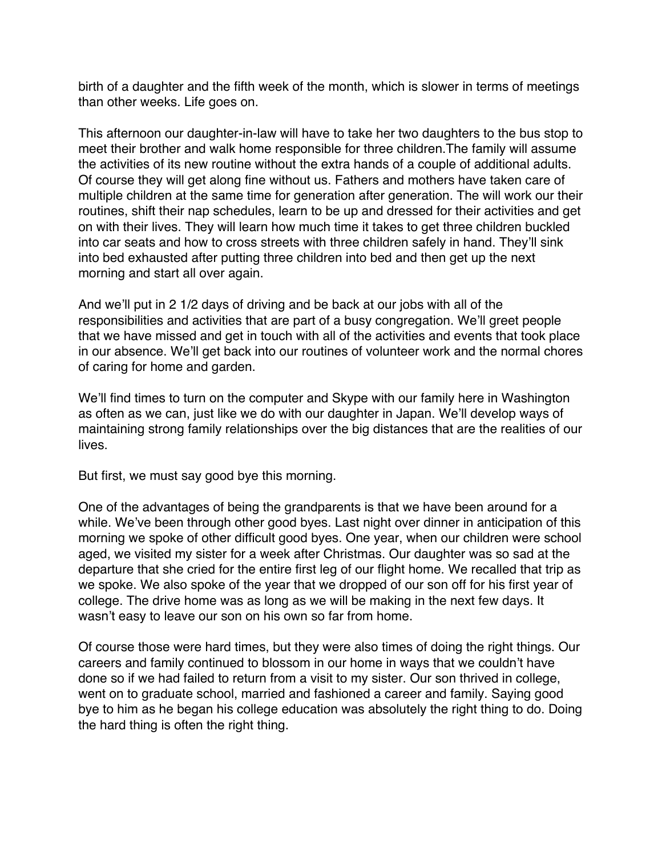birth of a daughter and the fifth week of the month, which is slower in terms of meetings than other weeks. Life goes on.

This afternoon our daughter-in-law will have to take her two daughters to the bus stop to meet their brother and walk home responsible for three children.The family will assume the activities of its new routine without the extra hands of a couple of additional adults. Of course they will get along fine without us. Fathers and mothers have taken care of multiple children at the same time for generation after generation. The will work our their routines, shift their nap schedules, learn to be up and dressed for their activities and get on with their lives. They will learn how much time it takes to get three children buckled into car seats and how to cross streets with three children safely in hand. They'll sink into bed exhausted after putting three children into bed and then get up the next morning and start all over again.

And we'll put in 2 1/2 days of driving and be back at our jobs with all of the responsibilities and activities that are part of a busy congregation. We'll greet people that we have missed and get in touch with all of the activities and events that took place in our absence. We'll get back into our routines of volunteer work and the normal chores of caring for home and garden.

We'll find times to turn on the computer and Skype with our family here in Washington as often as we can, just like we do with our daughter in Japan. We'll develop ways of maintaining strong family relationships over the big distances that are the realities of our lives.

But first, we must say good bye this morning.

One of the advantages of being the grandparents is that we have been around for a while. We've been through other good byes. Last night over dinner in anticipation of this morning we spoke of other difficult good byes. One year, when our children were school aged, we visited my sister for a week after Christmas. Our daughter was so sad at the departure that she cried for the entire first leg of our flight home. We recalled that trip as we spoke. We also spoke of the year that we dropped of our son off for his first year of college. The drive home was as long as we will be making in the next few days. It wasn't easy to leave our son on his own so far from home.

Of course those were hard times, but they were also times of doing the right things. Our careers and family continued to blossom in our home in ways that we couldn't have done so if we had failed to return from a visit to my sister. Our son thrived in college, went on to graduate school, married and fashioned a career and family. Saying good bye to him as he began his college education was absolutely the right thing to do. Doing the hard thing is often the right thing.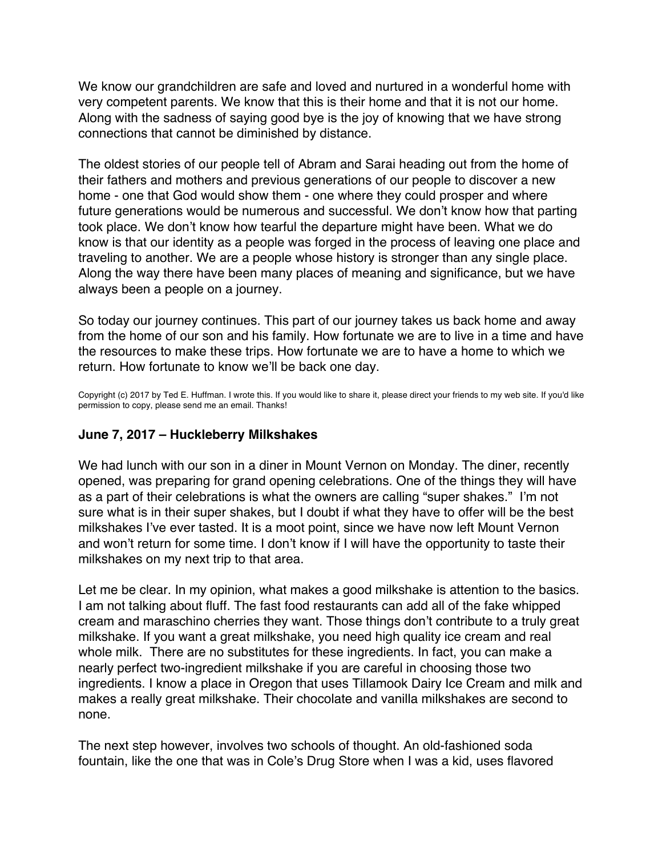<span id="page-13-0"></span>We know our grandchildren are safe and loved and nurtured in a wonderful home with very competent parents. We know that this is their home and that it is not our home. Along with the sadness of saying good bye is the joy of knowing that we have strong connections that cannot be diminished by distance.

The oldest stories of our people tell of Abram and Sarai heading out from the home of their fathers and mothers and previous generations of our people to discover a new home - one that God would show them - one where they could prosper and where future generations would be numerous and successful. We don't know how that parting took place. We don't know how tearful the departure might have been. What we do know is that our identity as a people was forged in the process of leaving one place and traveling to another. We are a people whose history is stronger than any single place. Along the way there have been many places of meaning and significance, but we have always been a people on a journey.

So today our journey continues. This part of our journey takes us back home and away from the home of our son and his family. How fortunate we are to live in a time and have the resources to make these trips. How fortunate we are to have a home to which we return. How fortunate to know we'll be back one day.

Copyright (c) 2017 by Ted E. Huffman. I wrote this. If you would like to share it, please direct your friends to my web site. If you'd like permission to copy, please send me an email. Thanks!

# **June 7, 2017 – Huckleberry Milkshakes**

We had lunch with our son in a diner in Mount Vernon on Monday. The diner, recently opened, was preparing for grand opening celebrations. One of the things they will have as a part of their celebrations is what the owners are calling "super shakes." I'm not sure what is in their super shakes, but I doubt if what they have to offer will be the best milkshakes I've ever tasted. It is a moot point, since we have now left Mount Vernon and won't return for some time. I don't know if I will have the opportunity to taste their milkshakes on my next trip to that area.

Let me be clear. In my opinion, what makes a good milkshake is attention to the basics. I am not talking about fluff. The fast food restaurants can add all of the fake whipped cream and maraschino cherries they want. Those things don't contribute to a truly great milkshake. If you want a great milkshake, you need high quality ice cream and real whole milk. There are no substitutes for these ingredients. In fact, you can make a nearly perfect two-ingredient milkshake if you are careful in choosing those two ingredients. I know a place in Oregon that uses Tillamook Dairy Ice Cream and milk and makes a really great milkshake. Their chocolate and vanilla milkshakes are second to none.

The next step however, involves two schools of thought. An old-fashioned soda fountain, like the one that was in Cole's Drug Store when I was a kid, uses flavored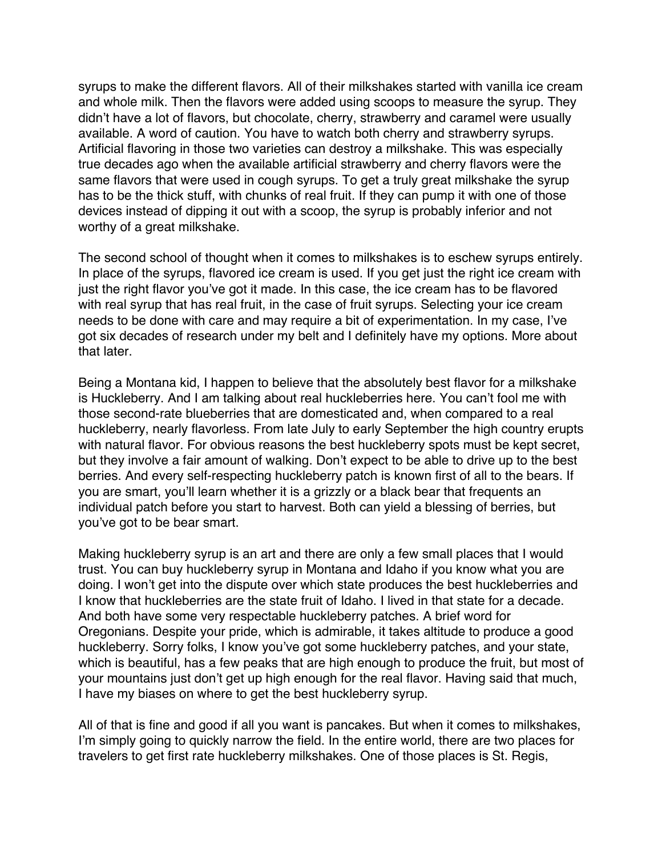syrups to make the different flavors. All of their milkshakes started with vanilla ice cream and whole milk. Then the flavors were added using scoops to measure the syrup. They didn't have a lot of flavors, but chocolate, cherry, strawberry and caramel were usually available. A word of caution. You have to watch both cherry and strawberry syrups. Artificial flavoring in those two varieties can destroy a milkshake. This was especially true decades ago when the available artificial strawberry and cherry flavors were the same flavors that were used in cough syrups. To get a truly great milkshake the syrup has to be the thick stuff, with chunks of real fruit. If they can pump it with one of those devices instead of dipping it out with a scoop, the syrup is probably inferior and not worthy of a great milkshake.

The second school of thought when it comes to milkshakes is to eschew syrups entirely. In place of the syrups, flavored ice cream is used. If you get just the right ice cream with just the right flavor you've got it made. In this case, the ice cream has to be flavored with real syrup that has real fruit, in the case of fruit syrups. Selecting your ice cream needs to be done with care and may require a bit of experimentation. In my case, I've got six decades of research under my belt and I definitely have my options. More about that later.

Being a Montana kid, I happen to believe that the absolutely best flavor for a milkshake is Huckleberry. And I am talking about real huckleberries here. You can't fool me with those second-rate blueberries that are domesticated and, when compared to a real huckleberry, nearly flavorless. From late July to early September the high country erupts with natural flavor. For obvious reasons the best huckleberry spots must be kept secret, but they involve a fair amount of walking. Don't expect to be able to drive up to the best berries. And every self-respecting huckleberry patch is known first of all to the bears. If you are smart, you'll learn whether it is a grizzly or a black bear that frequents an individual patch before you start to harvest. Both can yield a blessing of berries, but you've got to be bear smart.

Making huckleberry syrup is an art and there are only a few small places that I would trust. You can buy huckleberry syrup in Montana and Idaho if you know what you are doing. I won't get into the dispute over which state produces the best huckleberries and I know that huckleberries are the state fruit of Idaho. I lived in that state for a decade. And both have some very respectable huckleberry patches. A brief word for Oregonians. Despite your pride, which is admirable, it takes altitude to produce a good huckleberry. Sorry folks, I know you've got some huckleberry patches, and your state, which is beautiful, has a few peaks that are high enough to produce the fruit, but most of your mountains just don't get up high enough for the real flavor. Having said that much, I have my biases on where to get the best huckleberry syrup.

All of that is fine and good if all you want is pancakes. But when it comes to milkshakes, I'm simply going to quickly narrow the field. In the entire world, there are two places for travelers to get first rate huckleberry milkshakes. One of those places is St. Regis,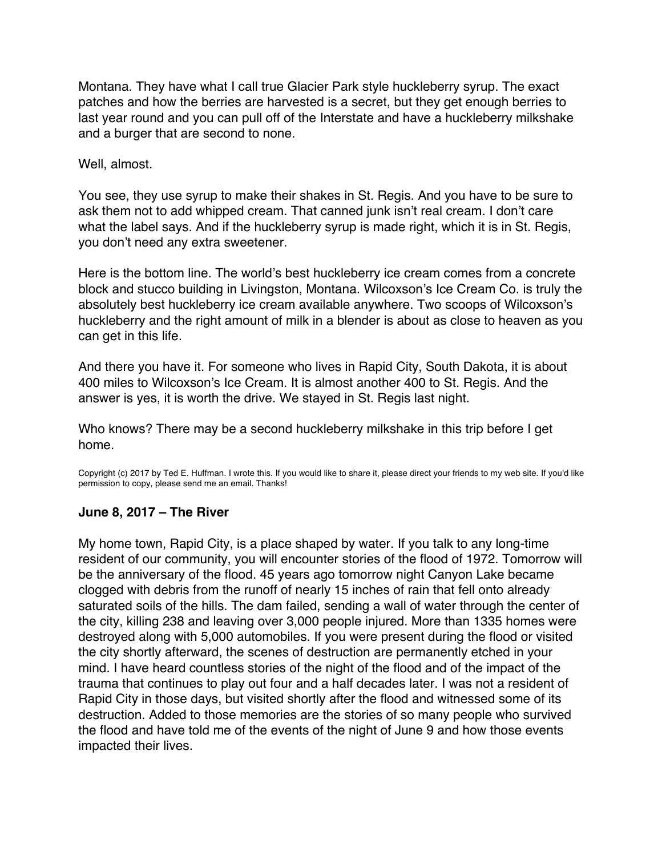<span id="page-15-0"></span>Montana. They have what I call true Glacier Park style huckleberry syrup. The exact patches and how the berries are harvested is a secret, but they get enough berries to last year round and you can pull off of the Interstate and have a huckleberry milkshake and a burger that are second to none.

#### Well, almost.

You see, they use syrup to make their shakes in St. Regis. And you have to be sure to ask them not to add whipped cream. That canned junk isn't real cream. I don't care what the label says. And if the huckleberry syrup is made right, which it is in St. Regis, you don't need any extra sweetener.

Here is the bottom line. The world's best huckleberry ice cream comes from a concrete block and stucco building in Livingston, Montana. Wilcoxson's Ice Cream Co. is truly the absolutely best huckleberry ice cream available anywhere. Two scoops of Wilcoxson's huckleberry and the right amount of milk in a blender is about as close to heaven as you can get in this life.

And there you have it. For someone who lives in Rapid City, South Dakota, it is about 400 miles to Wilcoxson's Ice Cream. It is almost another 400 to St. Regis. And the answer is yes, it is worth the drive. We stayed in St. Regis last night.

Who knows? There may be a second huckleberry milkshake in this trip before I get home.

Copyright (c) 2017 by Ted E. Huffman. I wrote this. If you would like to share it, please direct your friends to my web site. If you'd like permission to copy, please send me an email. Thanks!

# **June 8, 2017 – The River**

My home town, Rapid City, is a place shaped by water. If you talk to any long-time resident of our community, you will encounter stories of the flood of 1972. Tomorrow will be the anniversary of the flood. 45 years ago tomorrow night Canyon Lake became clogged with debris from the runoff of nearly 15 inches of rain that fell onto already saturated soils of the hills. The dam failed, sending a wall of water through the center of the city, killing 238 and leaving over 3,000 people injured. More than 1335 homes were destroyed along with 5,000 automobiles. If you were present during the flood or visited the city shortly afterward, the scenes of destruction are permanently etched in your mind. I have heard countless stories of the night of the flood and of the impact of the trauma that continues to play out four and a half decades later. I was not a resident of Rapid City in those days, but visited shortly after the flood and witnessed some of its destruction. Added to those memories are the stories of so many people who survived the flood and have told me of the events of the night of June 9 and how those events impacted their lives.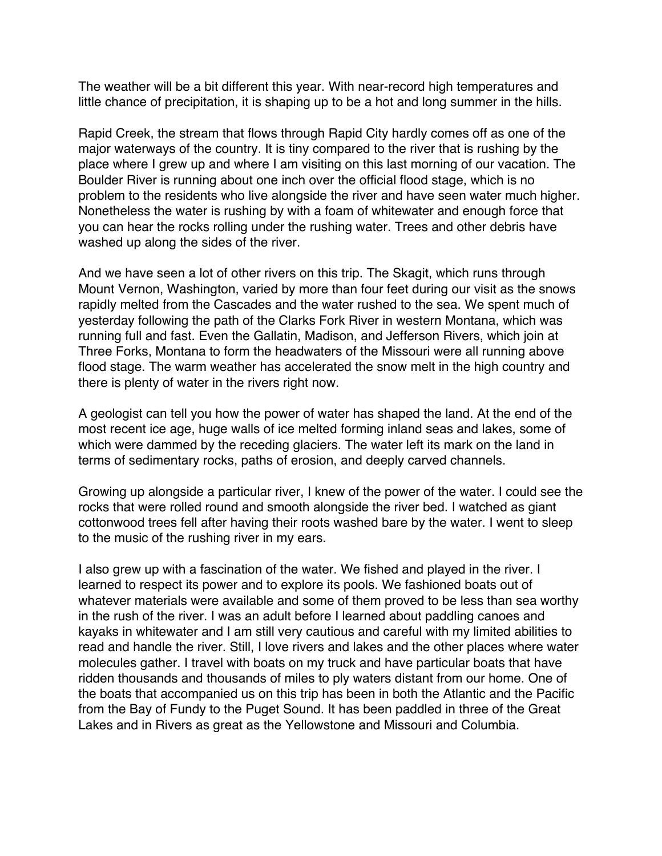The weather will be a bit different this year. With near-record high temperatures and little chance of precipitation, it is shaping up to be a hot and long summer in the hills.

Rapid Creek, the stream that flows through Rapid City hardly comes off as one of the major waterways of the country. It is tiny compared to the river that is rushing by the place where I grew up and where I am visiting on this last morning of our vacation. The Boulder River is running about one inch over the official flood stage, which is no problem to the residents who live alongside the river and have seen water much higher. Nonetheless the water is rushing by with a foam of whitewater and enough force that you can hear the rocks rolling under the rushing water. Trees and other debris have washed up along the sides of the river.

And we have seen a lot of other rivers on this trip. The Skagit, which runs through Mount Vernon, Washington, varied by more than four feet during our visit as the snows rapidly melted from the Cascades and the water rushed to the sea. We spent much of yesterday following the path of the Clarks Fork River in western Montana, which was running full and fast. Even the Gallatin, Madison, and Jefferson Rivers, which join at Three Forks, Montana to form the headwaters of the Missouri were all running above flood stage. The warm weather has accelerated the snow melt in the high country and there is plenty of water in the rivers right now.

A geologist can tell you how the power of water has shaped the land. At the end of the most recent ice age, huge walls of ice melted forming inland seas and lakes, some of which were dammed by the receding glaciers. The water left its mark on the land in terms of sedimentary rocks, paths of erosion, and deeply carved channels.

Growing up alongside a particular river, I knew of the power of the water. I could see the rocks that were rolled round and smooth alongside the river bed. I watched as giant cottonwood trees fell after having their roots washed bare by the water. I went to sleep to the music of the rushing river in my ears.

I also grew up with a fascination of the water. We fished and played in the river. I learned to respect its power and to explore its pools. We fashioned boats out of whatever materials were available and some of them proved to be less than sea worthy in the rush of the river. I was an adult before I learned about paddling canoes and kayaks in whitewater and I am still very cautious and careful with my limited abilities to read and handle the river. Still, I love rivers and lakes and the other places where water molecules gather. I travel with boats on my truck and have particular boats that have ridden thousands and thousands of miles to ply waters distant from our home. One of the boats that accompanied us on this trip has been in both the Atlantic and the Pacific from the Bay of Fundy to the Puget Sound. It has been paddled in three of the Great Lakes and in Rivers as great as the Yellowstone and Missouri and Columbia.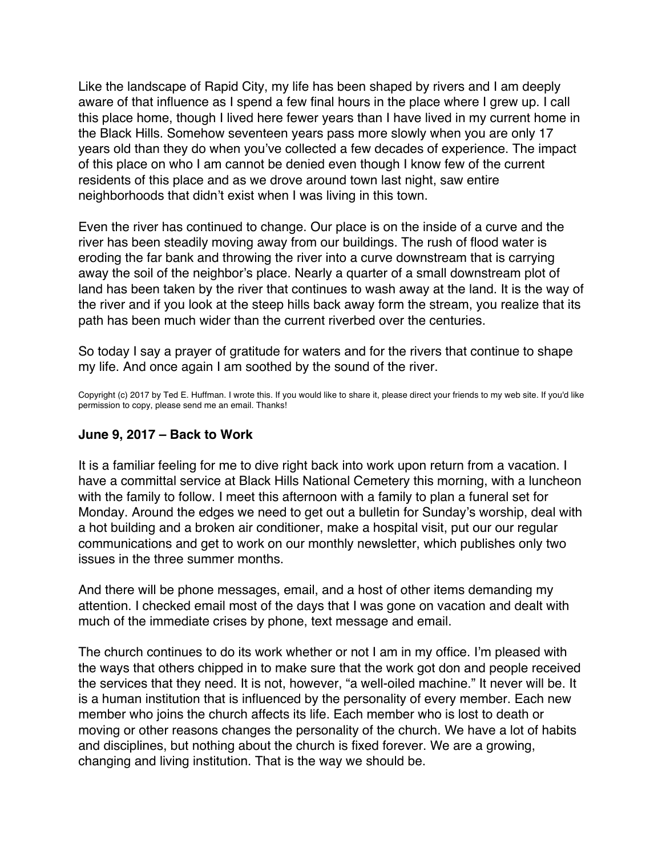<span id="page-17-0"></span>Like the landscape of Rapid City, my life has been shaped by rivers and I am deeply aware of that influence as I spend a few final hours in the place where I grew up. I call this place home, though I lived here fewer years than I have lived in my current home in the Black Hills. Somehow seventeen years pass more slowly when you are only 17 years old than they do when you've collected a few decades of experience. The impact of this place on who I am cannot be denied even though I know few of the current residents of this place and as we drove around town last night, saw entire neighborhoods that didn't exist when I was living in this town.

Even the river has continued to change. Our place is on the inside of a curve and the river has been steadily moving away from our buildings. The rush of flood water is eroding the far bank and throwing the river into a curve downstream that is carrying away the soil of the neighbor's place. Nearly a quarter of a small downstream plot of land has been taken by the river that continues to wash away at the land. It is the way of the river and if you look at the steep hills back away form the stream, you realize that its path has been much wider than the current riverbed over the centuries.

So today I say a prayer of gratitude for waters and for the rivers that continue to shape my life. And once again I am soothed by the sound of the river.

Copyright (c) 2017 by Ted E. Huffman. I wrote this. If you would like to share it, please direct your friends to my web site. If you'd like permission to copy, please send me an email. Thanks!

#### **June 9, 2017 – Back to Work**

It is a familiar feeling for me to dive right back into work upon return from a vacation. I have a committal service at Black Hills National Cemetery this morning, with a luncheon with the family to follow. I meet this afternoon with a family to plan a funeral set for Monday. Around the edges we need to get out a bulletin for Sunday's worship, deal with a hot building and a broken air conditioner, make a hospital visit, put our our regular communications and get to work on our monthly newsletter, which publishes only two issues in the three summer months.

And there will be phone messages, email, and a host of other items demanding my attention. I checked email most of the days that I was gone on vacation and dealt with much of the immediate crises by phone, text message and email.

The church continues to do its work whether or not I am in my office. I'm pleased with the ways that others chipped in to make sure that the work got don and people received the services that they need. It is not, however, "a well-oiled machine." It never will be. It is a human institution that is influenced by the personality of every member. Each new member who joins the church affects its life. Each member who is lost to death or moving or other reasons changes the personality of the church. We have a lot of habits and disciplines, but nothing about the church is fixed forever. We are a growing, changing and living institution. That is the way we should be.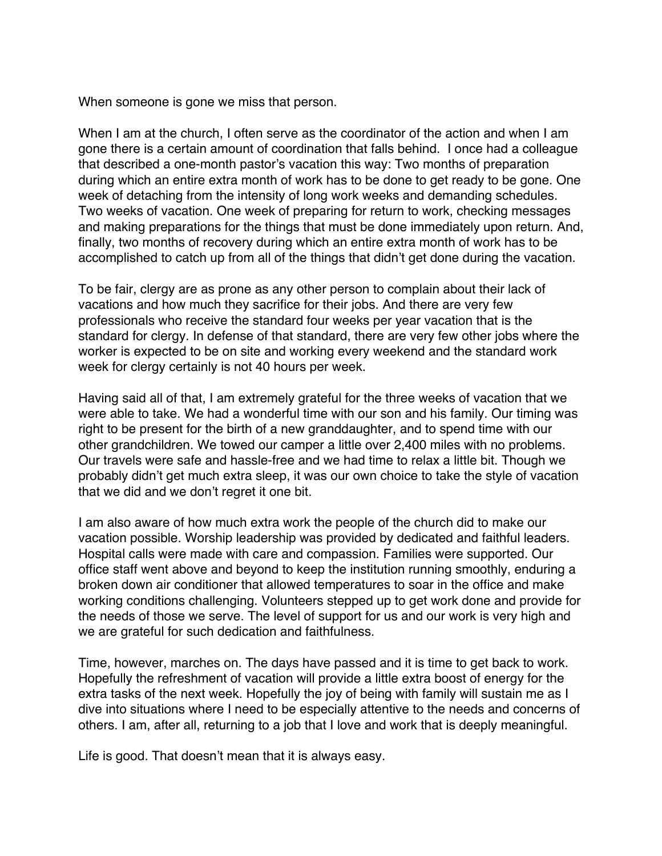When someone is gone we miss that person.

When I am at the church, I often serve as the coordinator of the action and when I am gone there is a certain amount of coordination that falls behind. I once had a colleague that described a one-month pastor's vacation this way: Two months of preparation during which an entire extra month of work has to be done to get ready to be gone. One week of detaching from the intensity of long work weeks and demanding schedules. Two weeks of vacation. One week of preparing for return to work, checking messages and making preparations for the things that must be done immediately upon return. And, finally, two months of recovery during which an entire extra month of work has to be accomplished to catch up from all of the things that didn't get done during the vacation.

To be fair, clergy are as prone as any other person to complain about their lack of vacations and how much they sacrifice for their jobs. And there are very few professionals who receive the standard four weeks per year vacation that is the standard for clergy. In defense of that standard, there are very few other jobs where the worker is expected to be on site and working every weekend and the standard work week for clergy certainly is not 40 hours per week.

Having said all of that, I am extremely grateful for the three weeks of vacation that we were able to take. We had a wonderful time with our son and his family. Our timing was right to be present for the birth of a new granddaughter, and to spend time with our other grandchildren. We towed our camper a little over 2,400 miles with no problems. Our travels were safe and hassle-free and we had time to relax a little bit. Though we probably didn't get much extra sleep, it was our own choice to take the style of vacation that we did and we don't regret it one bit.

I am also aware of how much extra work the people of the church did to make our vacation possible. Worship leadership was provided by dedicated and faithful leaders. Hospital calls were made with care and compassion. Families were supported. Our office staff went above and beyond to keep the institution running smoothly, enduring a broken down air conditioner that allowed temperatures to soar in the office and make working conditions challenging. Volunteers stepped up to get work done and provide for the needs of those we serve. The level of support for us and our work is very high and we are grateful for such dedication and faithfulness.

Time, however, marches on. The days have passed and it is time to get back to work. Hopefully the refreshment of vacation will provide a little extra boost of energy for the extra tasks of the next week. Hopefully the joy of being with family will sustain me as I dive into situations where I need to be especially attentive to the needs and concerns of others. I am, after all, returning to a job that I love and work that is deeply meaningful.

Life is good. That doesn't mean that it is always easy.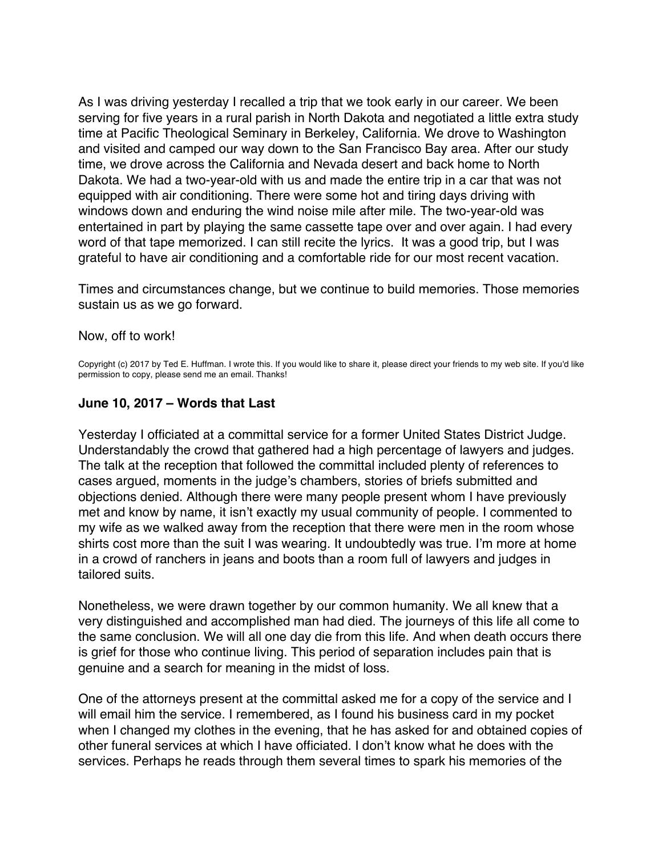<span id="page-19-0"></span>As I was driving yesterday I recalled a trip that we took early in our career. We been serving for five years in a rural parish in North Dakota and negotiated a little extra study time at Pacific Theological Seminary in Berkeley, California. We drove to Washington and visited and camped our way down to the San Francisco Bay area. After our study time, we drove across the California and Nevada desert and back home to North Dakota. We had a two-year-old with us and made the entire trip in a car that was not equipped with air conditioning. There were some hot and tiring days driving with windows down and enduring the wind noise mile after mile. The two-year-old was entertained in part by playing the same cassette tape over and over again. I had every word of that tape memorized. I can still recite the lyrics. It was a good trip, but I was grateful to have air conditioning and a comfortable ride for our most recent vacation.

Times and circumstances change, but we continue to build memories. Those memories sustain us as we go forward.

#### Now, off to work!

Copyright (c) 2017 by Ted E. Huffman. I wrote this. If you would like to share it, please direct your friends to my web site. If you'd like permission to copy, please send me an email. Thanks!

#### **June 10, 2017 – Words that Last**

Yesterday I officiated at a committal service for a former United States District Judge. Understandably the crowd that gathered had a high percentage of lawyers and judges. The talk at the reception that followed the committal included plenty of references to cases argued, moments in the judge's chambers, stories of briefs submitted and objections denied. Although there were many people present whom I have previously met and know by name, it isn't exactly my usual community of people. I commented to my wife as we walked away from the reception that there were men in the room whose shirts cost more than the suit I was wearing. It undoubtedly was true. I'm more at home in a crowd of ranchers in jeans and boots than a room full of lawyers and judges in tailored suits.

Nonetheless, we were drawn together by our common humanity. We all knew that a very distinguished and accomplished man had died. The journeys of this life all come to the same conclusion. We will all one day die from this life. And when death occurs there is grief for those who continue living. This period of separation includes pain that is genuine and a search for meaning in the midst of loss.

One of the attorneys present at the committal asked me for a copy of the service and I will email him the service. I remembered, as I found his business card in my pocket when I changed my clothes in the evening, that he has asked for and obtained copies of other funeral services at which I have officiated. I don't know what he does with the services. Perhaps he reads through them several times to spark his memories of the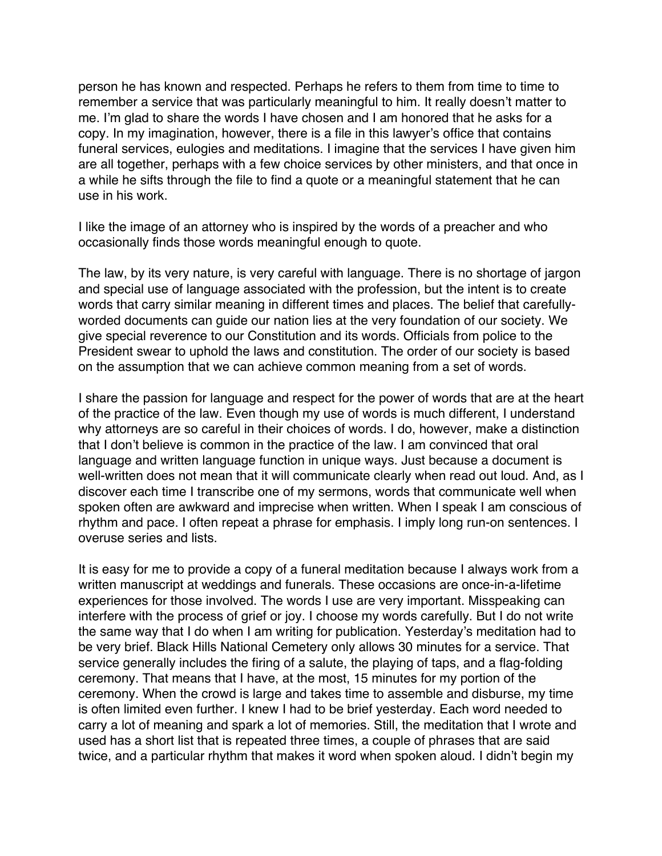person he has known and respected. Perhaps he refers to them from time to time to remember a service that was particularly meaningful to him. It really doesn't matter to me. I'm glad to share the words I have chosen and I am honored that he asks for a copy. In my imagination, however, there is a file in this lawyer's office that contains funeral services, eulogies and meditations. I imagine that the services I have given him are all together, perhaps with a few choice services by other ministers, and that once in a while he sifts through the file to find a quote or a meaningful statement that he can use in his work.

I like the image of an attorney who is inspired by the words of a preacher and who occasionally finds those words meaningful enough to quote.

The law, by its very nature, is very careful with language. There is no shortage of jargon and special use of language associated with the profession, but the intent is to create words that carry similar meaning in different times and places. The belief that carefullyworded documents can guide our nation lies at the very foundation of our society. We give special reverence to our Constitution and its words. Officials from police to the President swear to uphold the laws and constitution. The order of our society is based on the assumption that we can achieve common meaning from a set of words.

I share the passion for language and respect for the power of words that are at the heart of the practice of the law. Even though my use of words is much different, I understand why attorneys are so careful in their choices of words. I do, however, make a distinction that I don't believe is common in the practice of the law. I am convinced that oral language and written language function in unique ways. Just because a document is well-written does not mean that it will communicate clearly when read out loud. And, as I discover each time I transcribe one of my sermons, words that communicate well when spoken often are awkward and imprecise when written. When I speak I am conscious of rhythm and pace. I often repeat a phrase for emphasis. I imply long run-on sentences. I overuse series and lists.

It is easy for me to provide a copy of a funeral meditation because I always work from a written manuscript at weddings and funerals. These occasions are once-in-a-lifetime experiences for those involved. The words I use are very important. Misspeaking can interfere with the process of grief or joy. I choose my words carefully. But I do not write the same way that I do when I am writing for publication. Yesterday's meditation had to be very brief. Black Hills National Cemetery only allows 30 minutes for a service. That service generally includes the firing of a salute, the playing of taps, and a flag-folding ceremony. That means that I have, at the most, 15 minutes for my portion of the ceremony. When the crowd is large and takes time to assemble and disburse, my time is often limited even further. I knew I had to be brief yesterday. Each word needed to carry a lot of meaning and spark a lot of memories. Still, the meditation that I wrote and used has a short list that is repeated three times, a couple of phrases that are said twice, and a particular rhythm that makes it word when spoken aloud. I didn't begin my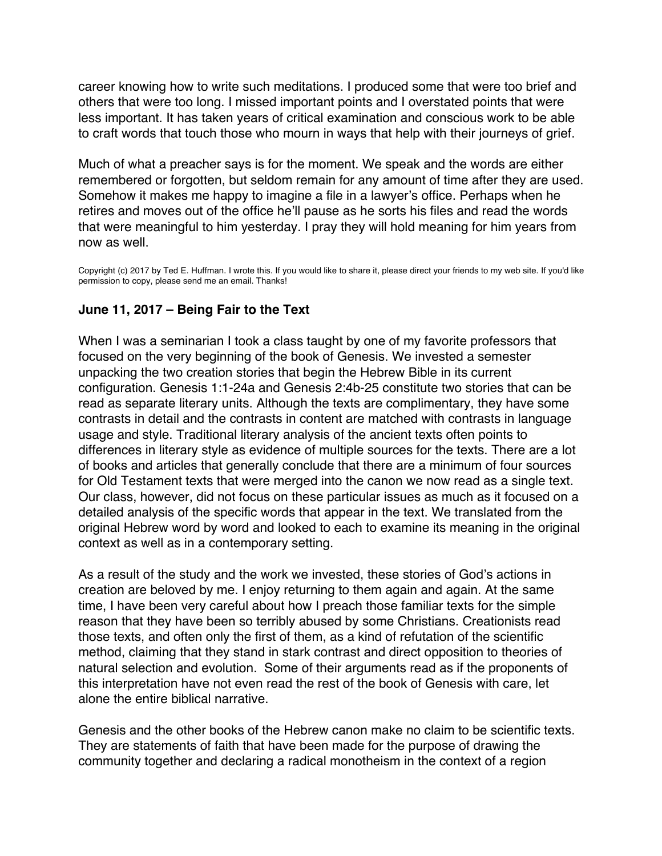<span id="page-21-0"></span>career knowing how to write such meditations. I produced some that were too brief and others that were too long. I missed important points and I overstated points that were less important. It has taken years of critical examination and conscious work to be able to craft words that touch those who mourn in ways that help with their journeys of grief.

Much of what a preacher says is for the moment. We speak and the words are either remembered or forgotten, but seldom remain for any amount of time after they are used. Somehow it makes me happy to imagine a file in a lawyer's office. Perhaps when he retires and moves out of the office he'll pause as he sorts his files and read the words that were meaningful to him yesterday. I pray they will hold meaning for him years from now as well.

Copyright (c) 2017 by Ted E. Huffman. I wrote this. If you would like to share it, please direct your friends to my web site. If you'd like permission to copy, please send me an email. Thanks!

# **June 11, 2017 – Being Fair to the Text**

When I was a seminarian I took a class taught by one of my favorite professors that focused on the very beginning of the book of Genesis. We invested a semester unpacking the two creation stories that begin the Hebrew Bible in its current configuration. Genesis 1:1-24a and Genesis 2:4b-25 constitute two stories that can be read as separate literary units. Although the texts are complimentary, they have some contrasts in detail and the contrasts in content are matched with contrasts in language usage and style. Traditional literary analysis of the ancient texts often points to differences in literary style as evidence of multiple sources for the texts. There are a lot of books and articles that generally conclude that there are a minimum of four sources for Old Testament texts that were merged into the canon we now read as a single text. Our class, however, did not focus on these particular issues as much as it focused on a detailed analysis of the specific words that appear in the text. We translated from the original Hebrew word by word and looked to each to examine its meaning in the original context as well as in a contemporary setting.

As a result of the study and the work we invested, these stories of God's actions in creation are beloved by me. I enjoy returning to them again and again. At the same time, I have been very careful about how I preach those familiar texts for the simple reason that they have been so terribly abused by some Christians. Creationists read those texts, and often only the first of them, as a kind of refutation of the scientific method, claiming that they stand in stark contrast and direct opposition to theories of natural selection and evolution. Some of their arguments read as if the proponents of this interpretation have not even read the rest of the book of Genesis with care, let alone the entire biblical narrative.

Genesis and the other books of the Hebrew canon make no claim to be scientific texts. They are statements of faith that have been made for the purpose of drawing the community together and declaring a radical monotheism in the context of a region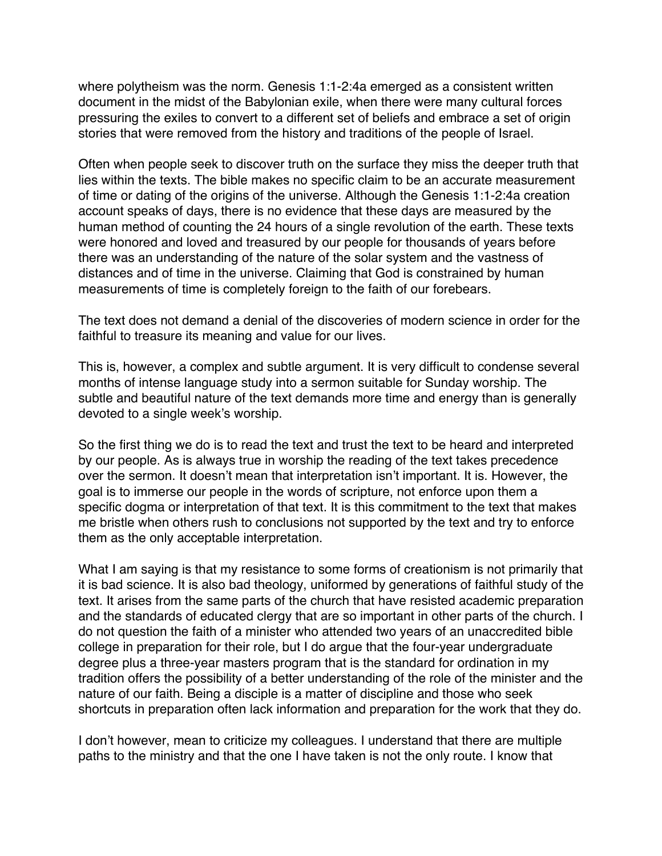where polytheism was the norm. Genesis 1:1-2:4a emerged as a consistent written document in the midst of the Babylonian exile, when there were many cultural forces pressuring the exiles to convert to a different set of beliefs and embrace a set of origin stories that were removed from the history and traditions of the people of Israel.

Often when people seek to discover truth on the surface they miss the deeper truth that lies within the texts. The bible makes no specific claim to be an accurate measurement of time or dating of the origins of the universe. Although the Genesis 1:1-2:4a creation account speaks of days, there is no evidence that these days are measured by the human method of counting the 24 hours of a single revolution of the earth. These texts were honored and loved and treasured by our people for thousands of years before there was an understanding of the nature of the solar system and the vastness of distances and of time in the universe. Claiming that God is constrained by human measurements of time is completely foreign to the faith of our forebears.

The text does not demand a denial of the discoveries of modern science in order for the faithful to treasure its meaning and value for our lives.

This is, however, a complex and subtle argument. It is very difficult to condense several months of intense language study into a sermon suitable for Sunday worship. The subtle and beautiful nature of the text demands more time and energy than is generally devoted to a single week's worship.

So the first thing we do is to read the text and trust the text to be heard and interpreted by our people. As is always true in worship the reading of the text takes precedence over the sermon. It doesn't mean that interpretation isn't important. It is. However, the goal is to immerse our people in the words of scripture, not enforce upon them a specific dogma or interpretation of that text. It is this commitment to the text that makes me bristle when others rush to conclusions not supported by the text and try to enforce them as the only acceptable interpretation.

What I am saying is that my resistance to some forms of creationism is not primarily that it is bad science. It is also bad theology, uniformed by generations of faithful study of the text. It arises from the same parts of the church that have resisted academic preparation and the standards of educated clergy that are so important in other parts of the church. I do not question the faith of a minister who attended two years of an unaccredited bible college in preparation for their role, but I do argue that the four-year undergraduate degree plus a three-year masters program that is the standard for ordination in my tradition offers the possibility of a better understanding of the role of the minister and the nature of our faith. Being a disciple is a matter of discipline and those who seek shortcuts in preparation often lack information and preparation for the work that they do.

I don't however, mean to criticize my colleagues. I understand that there are multiple paths to the ministry and that the one I have taken is not the only route. I know that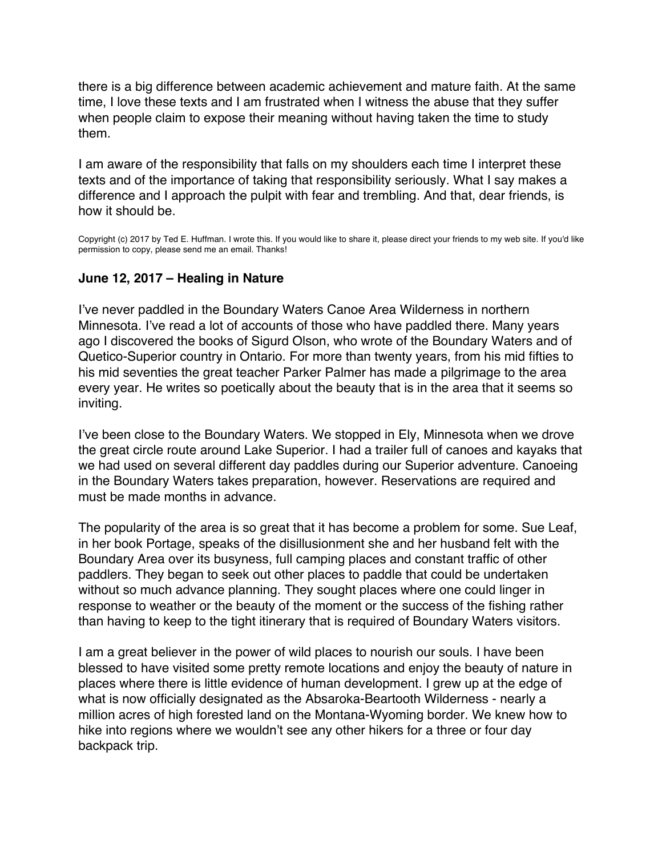<span id="page-23-0"></span>there is a big difference between academic achievement and mature faith. At the same time, I love these texts and I am frustrated when I witness the abuse that they suffer when people claim to expose their meaning without having taken the time to study them.

I am aware of the responsibility that falls on my shoulders each time I interpret these texts and of the importance of taking that responsibility seriously. What I say makes a difference and I approach the pulpit with fear and trembling. And that, dear friends, is how it should be.

Copyright (c) 2017 by Ted E. Huffman. I wrote this. If you would like to share it, please direct your friends to my web site. If you'd like permission to copy, please send me an email. Thanks!

# **June 12, 2017 – Healing in Nature**

I've never paddled in the Boundary Waters Canoe Area Wilderness in northern Minnesota. I've read a lot of accounts of those who have paddled there. Many years ago I discovered the books of Sigurd Olson, who wrote of the Boundary Waters and of Quetico-Superior country in Ontario. For more than twenty years, from his mid fifties to his mid seventies the great teacher Parker Palmer has made a pilgrimage to the area every year. He writes so poetically about the beauty that is in the area that it seems so inviting.

I've been close to the Boundary Waters. We stopped in Ely, Minnesota when we drove the great circle route around Lake Superior. I had a trailer full of canoes and kayaks that we had used on several different day paddles during our Superior adventure. Canoeing in the Boundary Waters takes preparation, however. Reservations are required and must be made months in advance.

The popularity of the area is so great that it has become a problem for some. Sue Leaf, in her book Portage, speaks of the disillusionment she and her husband felt with the Boundary Area over its busyness, full camping places and constant traffic of other paddlers. They began to seek out other places to paddle that could be undertaken without so much advance planning. They sought places where one could linger in response to weather or the beauty of the moment or the success of the fishing rather than having to keep to the tight itinerary that is required of Boundary Waters visitors.

I am a great believer in the power of wild places to nourish our souls. I have been blessed to have visited some pretty remote locations and enjoy the beauty of nature in places where there is little evidence of human development. I grew up at the edge of what is now officially designated as the Absaroka-Beartooth Wilderness - nearly a million acres of high forested land on the Montana-Wyoming border. We knew how to hike into regions where we wouldn't see any other hikers for a three or four day backpack trip.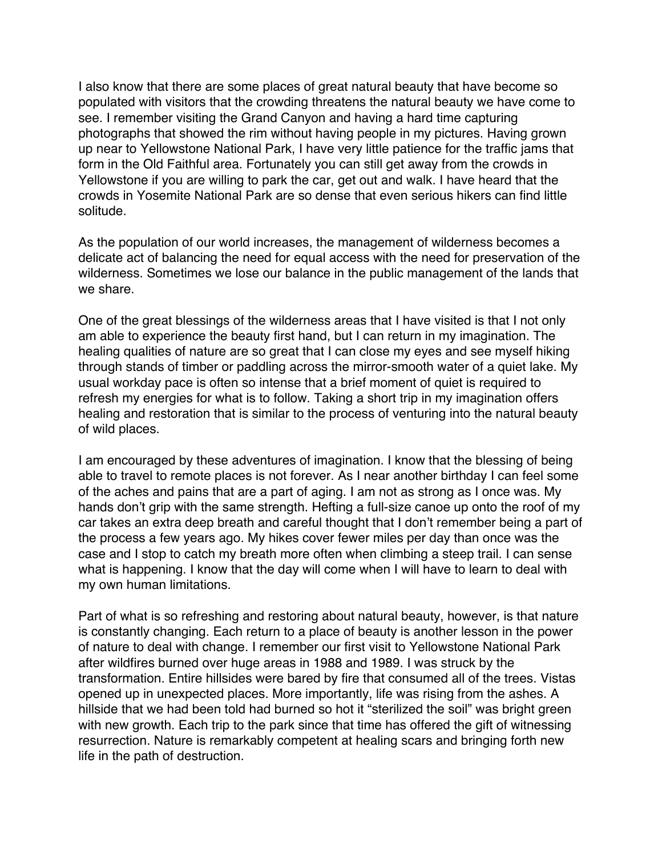I also know that there are some places of great natural beauty that have become so populated with visitors that the crowding threatens the natural beauty we have come to see. I remember visiting the Grand Canyon and having a hard time capturing photographs that showed the rim without having people in my pictures. Having grown up near to Yellowstone National Park, I have very little patience for the traffic jams that form in the Old Faithful area. Fortunately you can still get away from the crowds in Yellowstone if you are willing to park the car, get out and walk. I have heard that the crowds in Yosemite National Park are so dense that even serious hikers can find little solitude.

As the population of our world increases, the management of wilderness becomes a delicate act of balancing the need for equal access with the need for preservation of the wilderness. Sometimes we lose our balance in the public management of the lands that we share.

One of the great blessings of the wilderness areas that I have visited is that I not only am able to experience the beauty first hand, but I can return in my imagination. The healing qualities of nature are so great that I can close my eyes and see myself hiking through stands of timber or paddling across the mirror-smooth water of a quiet lake. My usual workday pace is often so intense that a brief moment of quiet is required to refresh my energies for what is to follow. Taking a short trip in my imagination offers healing and restoration that is similar to the process of venturing into the natural beauty of wild places.

I am encouraged by these adventures of imagination. I know that the blessing of being able to travel to remote places is not forever. As I near another birthday I can feel some of the aches and pains that are a part of aging. I am not as strong as I once was. My hands don't grip with the same strength. Hefting a full-size canoe up onto the roof of my car takes an extra deep breath and careful thought that I don't remember being a part of the process a few years ago. My hikes cover fewer miles per day than once was the case and I stop to catch my breath more often when climbing a steep trail. I can sense what is happening. I know that the day will come when I will have to learn to deal with my own human limitations.

Part of what is so refreshing and restoring about natural beauty, however, is that nature is constantly changing. Each return to a place of beauty is another lesson in the power of nature to deal with change. I remember our first visit to Yellowstone National Park after wildfires burned over huge areas in 1988 and 1989. I was struck by the transformation. Entire hillsides were bared by fire that consumed all of the trees. Vistas opened up in unexpected places. More importantly, life was rising from the ashes. A hillside that we had been told had burned so hot it "sterilized the soil" was bright green with new growth. Each trip to the park since that time has offered the gift of witnessing resurrection. Nature is remarkably competent at healing scars and bringing forth new life in the path of destruction.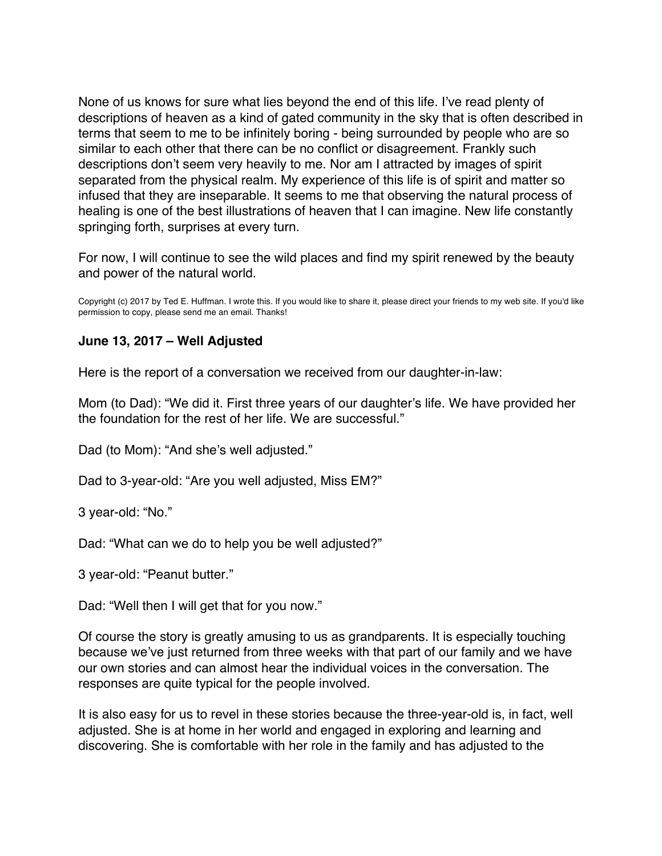<span id="page-25-0"></span>None of us knows for sure what lies beyond the end of this life. I've read plenty of descriptions of heaven as a kind of gated community in the sky that is often described in terms that seem to me to be infinitely boring - being surrounded by people who are so similar to each other that there can be no conflict or disagreement. Frankly such descriptions don't seem very heavily to me. Nor am I attracted by images of spirit separated from the physical realm. My experience of this life is of spirit and matter so infused that they are inseparable. It seems to me that observing the natural process of healing is one of the best illustrations of heaven that I can imagine. New life constantly springing forth, surprises at every turn.

For now, I will continue to see the wild places and find my spirit renewed by the beauty and power of the natural world.

Copyright (c) 2017 by Ted E. Huffman. I wrote this. If you would like to share it, please direct your friends to my web site. If you'd like permission to copy, please send me an email. Thanks!

# **June 13, 2017 – Well Adjusted**

Here is the report of a conversation we received from our daughter-in-law:

Mom (to Dad): "We did it. First three years of our daughter's life. We have provided her the foundation for the rest of her life. We are successful."

Dad (to Mom): "And she's well adjusted."

Dad to 3-year-old: "Are you well adjusted, Miss EM?"

3 year-old: "No."

Dad: "What can we do to help you be well adjusted?"

3 year-old: "Peanut butter."

Dad: "Well then I will get that for you now."

Of course the story is greatly amusing to us as grandparents. It is especially touching because we've just returned from three weeks with that part of our family and we have our own stories and can almost hear the individual voices in the conversation. The responses are quite typical for the people involved.

It is also easy for us to revel in these stories because the three-year-old is, in fact, well adjusted. She is at home in her world and engaged in exploring and learning and discovering. She is comfortable with her role in the family and has adjusted to the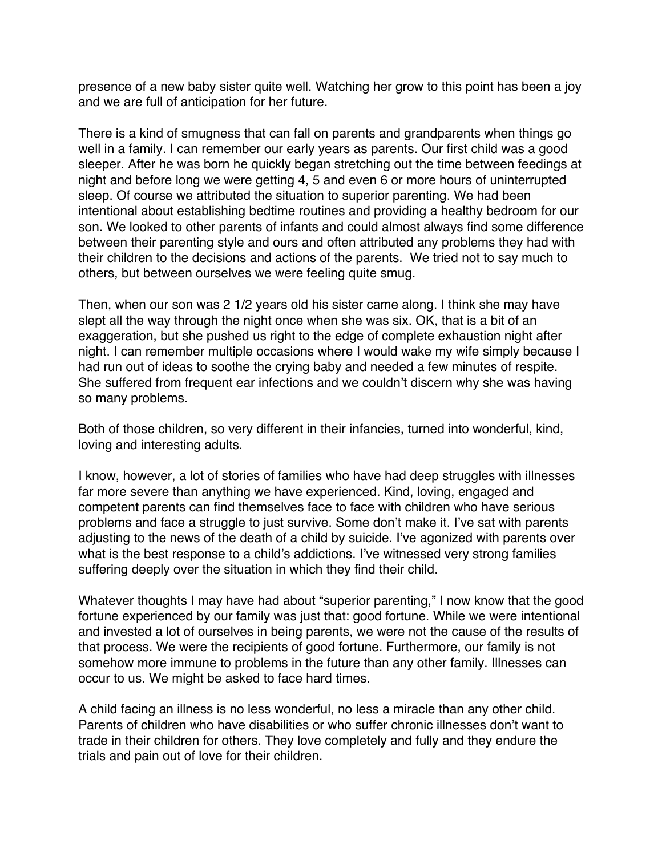presence of a new baby sister quite well. Watching her grow to this point has been a joy and we are full of anticipation for her future.

There is a kind of smugness that can fall on parents and grandparents when things go well in a family. I can remember our early years as parents. Our first child was a good sleeper. After he was born he quickly began stretching out the time between feedings at night and before long we were getting 4, 5 and even 6 or more hours of uninterrupted sleep. Of course we attributed the situation to superior parenting. We had been intentional about establishing bedtime routines and providing a healthy bedroom for our son. We looked to other parents of infants and could almost always find some difference between their parenting style and ours and often attributed any problems they had with their children to the decisions and actions of the parents. We tried not to say much to others, but between ourselves we were feeling quite smug.

Then, when our son was 2 1/2 years old his sister came along. I think she may have slept all the way through the night once when she was six. OK, that is a bit of an exaggeration, but she pushed us right to the edge of complete exhaustion night after night. I can remember multiple occasions where I would wake my wife simply because I had run out of ideas to soothe the crying baby and needed a few minutes of respite. She suffered from frequent ear infections and we couldn't discern why she was having so many problems.

Both of those children, so very different in their infancies, turned into wonderful, kind, loving and interesting adults.

I know, however, a lot of stories of families who have had deep struggles with illnesses far more severe than anything we have experienced. Kind, loving, engaged and competent parents can find themselves face to face with children who have serious problems and face a struggle to just survive. Some don't make it. I've sat with parents adjusting to the news of the death of a child by suicide. I've agonized with parents over what is the best response to a child's addictions. I've witnessed very strong families suffering deeply over the situation in which they find their child.

Whatever thoughts I may have had about "superior parenting," I now know that the good fortune experienced by our family was just that: good fortune. While we were intentional and invested a lot of ourselves in being parents, we were not the cause of the results of that process. We were the recipients of good fortune. Furthermore, our family is not somehow more immune to problems in the future than any other family. Illnesses can occur to us. We might be asked to face hard times.

A child facing an illness is no less wonderful, no less a miracle than any other child. Parents of children who have disabilities or who suffer chronic illnesses don't want to trade in their children for others. They love completely and fully and they endure the trials and pain out of love for their children.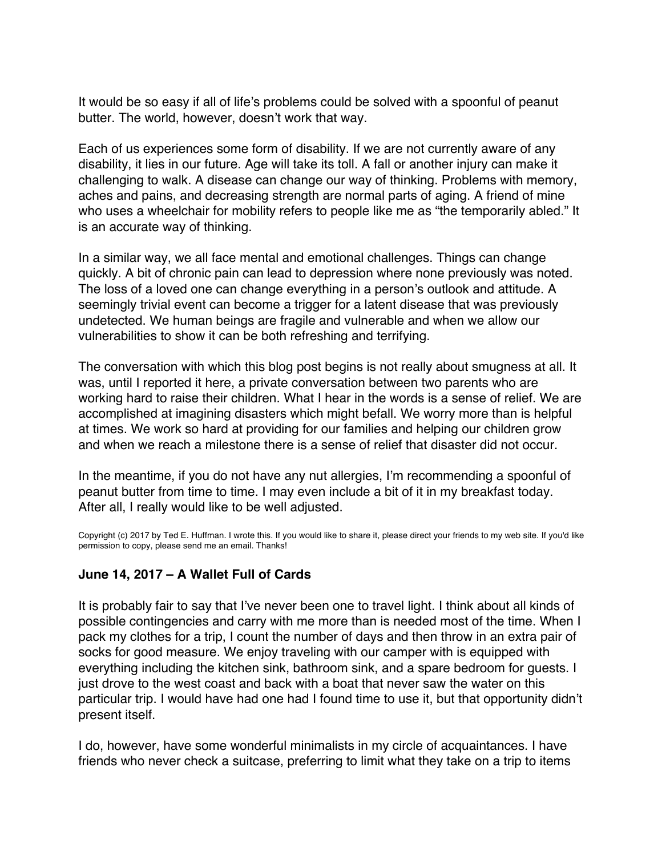<span id="page-27-0"></span>It would be so easy if all of life's problems could be solved with a spoonful of peanut butter. The world, however, doesn't work that way.

Each of us experiences some form of disability. If we are not currently aware of any disability, it lies in our future. Age will take its toll. A fall or another injury can make it challenging to walk. A disease can change our way of thinking. Problems with memory, aches and pains, and decreasing strength are normal parts of aging. A friend of mine who uses a wheelchair for mobility refers to people like me as "the temporarily abled." It is an accurate way of thinking.

In a similar way, we all face mental and emotional challenges. Things can change quickly. A bit of chronic pain can lead to depression where none previously was noted. The loss of a loved one can change everything in a person's outlook and attitude. A seemingly trivial event can become a trigger for a latent disease that was previously undetected. We human beings are fragile and vulnerable and when we allow our vulnerabilities to show it can be both refreshing and terrifying.

The conversation with which this blog post begins is not really about smugness at all. It was, until I reported it here, a private conversation between two parents who are working hard to raise their children. What I hear in the words is a sense of relief. We are accomplished at imagining disasters which might befall. We worry more than is helpful at times. We work so hard at providing for our families and helping our children grow and when we reach a milestone there is a sense of relief that disaster did not occur.

In the meantime, if you do not have any nut allergies, I'm recommending a spoonful of peanut butter from time to time. I may even include a bit of it in my breakfast today. After all, I really would like to be well adjusted.

Copyright (c) 2017 by Ted E. Huffman. I wrote this. If you would like to share it, please direct your friends to my web site. If you'd like permission to copy, please send me an email. Thanks!

# **June 14, 2017 – A Wallet Full of Cards**

It is probably fair to say that I've never been one to travel light. I think about all kinds of possible contingencies and carry with me more than is needed most of the time. When I pack my clothes for a trip, I count the number of days and then throw in an extra pair of socks for good measure. We enjoy traveling with our camper with is equipped with everything including the kitchen sink, bathroom sink, and a spare bedroom for guests. I just drove to the west coast and back with a boat that never saw the water on this particular trip. I would have had one had I found time to use it, but that opportunity didn't present itself.

I do, however, have some wonderful minimalists in my circle of acquaintances. I have friends who never check a suitcase, preferring to limit what they take on a trip to items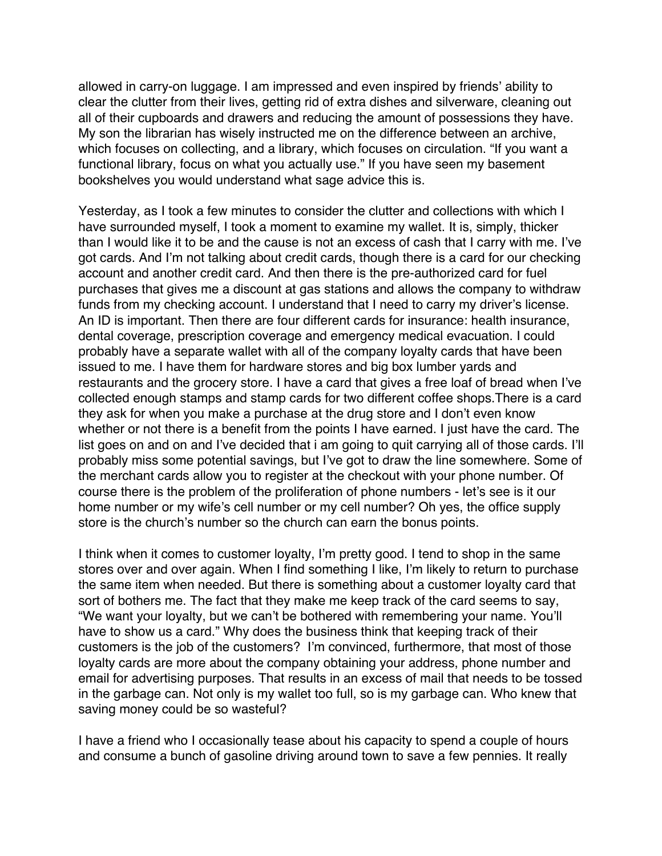allowed in carry-on luggage. I am impressed and even inspired by friends' ability to clear the clutter from their lives, getting rid of extra dishes and silverware, cleaning out all of their cupboards and drawers and reducing the amount of possessions they have. My son the librarian has wisely instructed me on the difference between an archive, which focuses on collecting, and a library, which focuses on circulation. "If you want a functional library, focus on what you actually use." If you have seen my basement bookshelves you would understand what sage advice this is.

Yesterday, as I took a few minutes to consider the clutter and collections with which I have surrounded myself, I took a moment to examine my wallet. It is, simply, thicker than I would like it to be and the cause is not an excess of cash that I carry with me. I've got cards. And I'm not talking about credit cards, though there is a card for our checking account and another credit card. And then there is the pre-authorized card for fuel purchases that gives me a discount at gas stations and allows the company to withdraw funds from my checking account. I understand that I need to carry my driver's license. An ID is important. Then there are four different cards for insurance: health insurance, dental coverage, prescription coverage and emergency medical evacuation. I could probably have a separate wallet with all of the company loyalty cards that have been issued to me. I have them for hardware stores and big box lumber yards and restaurants and the grocery store. I have a card that gives a free loaf of bread when I've collected enough stamps and stamp cards for two different coffee shops.There is a card they ask for when you make a purchase at the drug store and I don't even know whether or not there is a benefit from the points I have earned. I just have the card. The list goes on and on and I've decided that i am going to quit carrying all of those cards. I'll probably miss some potential savings, but I've got to draw the line somewhere. Some of the merchant cards allow you to register at the checkout with your phone number. Of course there is the problem of the proliferation of phone numbers - let's see is it our home number or my wife's cell number or my cell number? Oh yes, the office supply store is the church's number so the church can earn the bonus points.

I think when it comes to customer loyalty, I'm pretty good. I tend to shop in the same stores over and over again. When I find something I like, I'm likely to return to purchase the same item when needed. But there is something about a customer loyalty card that sort of bothers me. The fact that they make me keep track of the card seems to say, "We want your loyalty, but we can't be bothered with remembering your name. You'll have to show us a card." Why does the business think that keeping track of their customers is the job of the customers? I'm convinced, furthermore, that most of those loyalty cards are more about the company obtaining your address, phone number and email for advertising purposes. That results in an excess of mail that needs to be tossed in the garbage can. Not only is my wallet too full, so is my garbage can. Who knew that saving money could be so wasteful?

I have a friend who I occasionally tease about his capacity to spend a couple of hours and consume a bunch of gasoline driving around town to save a few pennies. It really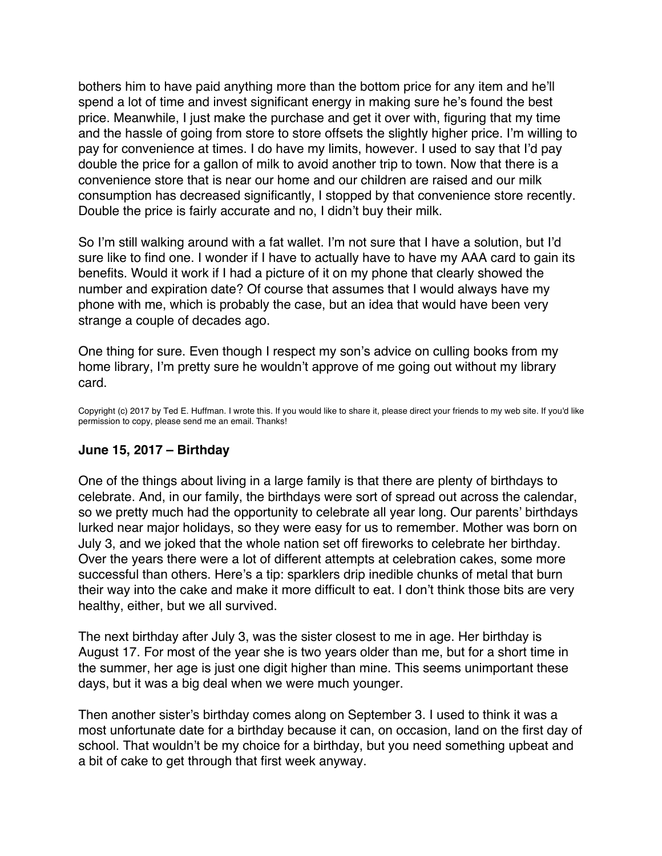<span id="page-29-0"></span>bothers him to have paid anything more than the bottom price for any item and he'll spend a lot of time and invest significant energy in making sure he's found the best price. Meanwhile, I just make the purchase and get it over with, figuring that my time and the hassle of going from store to store offsets the slightly higher price. I'm willing to pay for convenience at times. I do have my limits, however. I used to say that I'd pay double the price for a gallon of milk to avoid another trip to town. Now that there is a convenience store that is near our home and our children are raised and our milk consumption has decreased significantly, I stopped by that convenience store recently. Double the price is fairly accurate and no, I didn't buy their milk.

So I'm still walking around with a fat wallet. I'm not sure that I have a solution, but I'd sure like to find one. I wonder if I have to actually have to have my AAA card to gain its benefits. Would it work if I had a picture of it on my phone that clearly showed the number and expiration date? Of course that assumes that I would always have my phone with me, which is probably the case, but an idea that would have been very strange a couple of decades ago.

One thing for sure. Even though I respect my son's advice on culling books from my home library, I'm pretty sure he wouldn't approve of me going out without my library card.

Copyright (c) 2017 by Ted E. Huffman. I wrote this. If you would like to share it, please direct your friends to my web site. If you'd like permission to copy, please send me an email. Thanks!

# **June 15, 2017 – Birthday**

One of the things about living in a large family is that there are plenty of birthdays to celebrate. And, in our family, the birthdays were sort of spread out across the calendar, so we pretty much had the opportunity to celebrate all year long. Our parents' birthdays lurked near major holidays, so they were easy for us to remember. Mother was born on July 3, and we joked that the whole nation set off fireworks to celebrate her birthday. Over the years there were a lot of different attempts at celebration cakes, some more successful than others. Here's a tip: sparklers drip inedible chunks of metal that burn their way into the cake and make it more difficult to eat. I don't think those bits are very healthy, either, but we all survived.

The next birthday after July 3, was the sister closest to me in age. Her birthday is August 17. For most of the year she is two years older than me, but for a short time in the summer, her age is just one digit higher than mine. This seems unimportant these days, but it was a big deal when we were much younger.

Then another sister's birthday comes along on September 3. I used to think it was a most unfortunate date for a birthday because it can, on occasion, land on the first day of school. That wouldn't be my choice for a birthday, but you need something upbeat and a bit of cake to get through that first week anyway.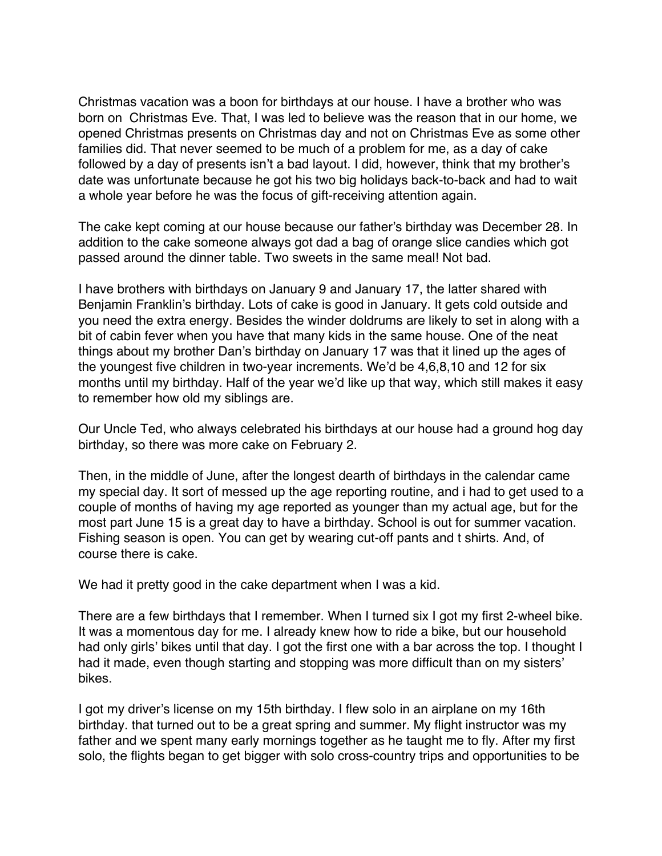Christmas vacation was a boon for birthdays at our house. I have a brother who was born on Christmas Eve. That, I was led to believe was the reason that in our home, we opened Christmas presents on Christmas day and not on Christmas Eve as some other families did. That never seemed to be much of a problem for me, as a day of cake followed by a day of presents isn't a bad layout. I did, however, think that my brother's date was unfortunate because he got his two big holidays back-to-back and had to wait a whole year before he was the focus of gift-receiving attention again.

The cake kept coming at our house because our father's birthday was December 28. In addition to the cake someone always got dad a bag of orange slice candies which got passed around the dinner table. Two sweets in the same meal! Not bad.

I have brothers with birthdays on January 9 and January 17, the latter shared with Benjamin Franklin's birthday. Lots of cake is good in January. It gets cold outside and you need the extra energy. Besides the winder doldrums are likely to set in along with a bit of cabin fever when you have that many kids in the same house. One of the neat things about my brother Dan's birthday on January 17 was that it lined up the ages of the youngest five children in two-year increments. We'd be 4,6,8,10 and 12 for six months until my birthday. Half of the year we'd like up that way, which still makes it easy to remember how old my siblings are.

Our Uncle Ted, who always celebrated his birthdays at our house had a ground hog day birthday, so there was more cake on February 2.

Then, in the middle of June, after the longest dearth of birthdays in the calendar came my special day. It sort of messed up the age reporting routine, and i had to get used to a couple of months of having my age reported as younger than my actual age, but for the most part June 15 is a great day to have a birthday. School is out for summer vacation. Fishing season is open. You can get by wearing cut-off pants and t shirts. And, of course there is cake.

We had it pretty good in the cake department when I was a kid.

There are a few birthdays that I remember. When I turned six I got my first 2-wheel bike. It was a momentous day for me. I already knew how to ride a bike, but our household had only girls' bikes until that day. I got the first one with a bar across the top. I thought I had it made, even though starting and stopping was more difficult than on my sisters' bikes.

I got my driver's license on my 15th birthday. I flew solo in an airplane on my 16th birthday. that turned out to be a great spring and summer. My flight instructor was my father and we spent many early mornings together as he taught me to fly. After my first solo, the flights began to get bigger with solo cross-country trips and opportunities to be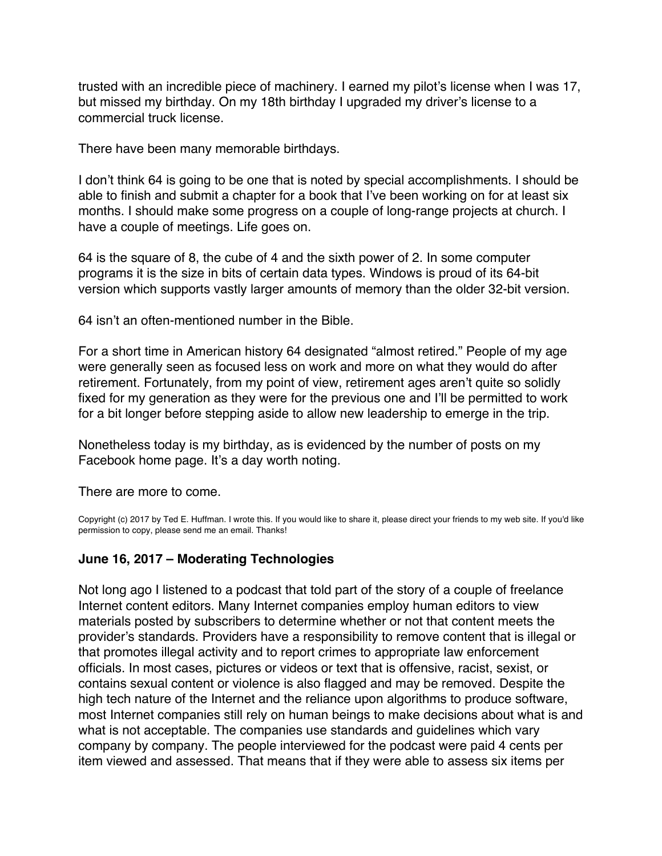<span id="page-31-0"></span>trusted with an incredible piece of machinery. I earned my pilot's license when I was 17, but missed my birthday. On my 18th birthday I upgraded my driver's license to a commercial truck license.

There have been many memorable birthdays.

I don't think 64 is going to be one that is noted by special accomplishments. I should be able to finish and submit a chapter for a book that I've been working on for at least six months. I should make some progress on a couple of long-range projects at church. I have a couple of meetings. Life goes on.

64 is the square of 8, the cube of 4 and the sixth power of 2. In some computer programs it is the size in bits of certain data types. Windows is proud of its 64-bit version which supports vastly larger amounts of memory than the older 32-bit version.

64 isn't an often-mentioned number in the Bible.

For a short time in American history 64 designated "almost retired." People of my age were generally seen as focused less on work and more on what they would do after retirement. Fortunately, from my point of view, retirement ages aren't quite so solidly fixed for my generation as they were for the previous one and I'll be permitted to work for a bit longer before stepping aside to allow new leadership to emerge in the trip.

Nonetheless today is my birthday, as is evidenced by the number of posts on my Facebook home page. It's a day worth noting.

There are more to come.

Copyright (c) 2017 by Ted E. Huffman. I wrote this. If you would like to share it, please direct your friends to my web site. If you'd like permission to copy, please send me an email. Thanks!

# **June 16, 2017 – Moderating Technologies**

Not long ago I listened to a podcast that told part of the story of a couple of freelance Internet content editors. Many Internet companies employ human editors to view materials posted by subscribers to determine whether or not that content meets the provider's standards. Providers have a responsibility to remove content that is illegal or that promotes illegal activity and to report crimes to appropriate law enforcement officials. In most cases, pictures or videos or text that is offensive, racist, sexist, or contains sexual content or violence is also flagged and may be removed. Despite the high tech nature of the Internet and the reliance upon algorithms to produce software, most Internet companies still rely on human beings to make decisions about what is and what is not acceptable. The companies use standards and guidelines which vary company by company. The people interviewed for the podcast were paid 4 cents per item viewed and assessed. That means that if they were able to assess six items per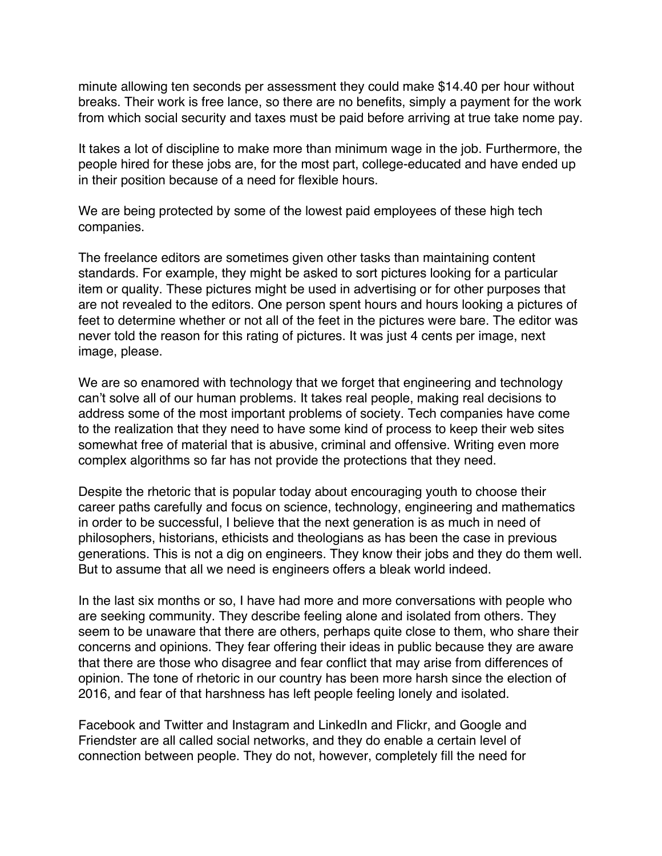minute allowing ten seconds per assessment they could make \$14.40 per hour without breaks. Their work is free lance, so there are no benefits, simply a payment for the work from which social security and taxes must be paid before arriving at true take nome pay.

It takes a lot of discipline to make more than minimum wage in the job. Furthermore, the people hired for these jobs are, for the most part, college-educated and have ended up in their position because of a need for flexible hours.

We are being protected by some of the lowest paid employees of these high tech companies.

The freelance editors are sometimes given other tasks than maintaining content standards. For example, they might be asked to sort pictures looking for a particular item or quality. These pictures might be used in advertising or for other purposes that are not revealed to the editors. One person spent hours and hours looking a pictures of feet to determine whether or not all of the feet in the pictures were bare. The editor was never told the reason for this rating of pictures. It was just 4 cents per image, next image, please.

We are so enamored with technology that we forget that engineering and technology can't solve all of our human problems. It takes real people, making real decisions to address some of the most important problems of society. Tech companies have come to the realization that they need to have some kind of process to keep their web sites somewhat free of material that is abusive, criminal and offensive. Writing even more complex algorithms so far has not provide the protections that they need.

Despite the rhetoric that is popular today about encouraging youth to choose their career paths carefully and focus on science, technology, engineering and mathematics in order to be successful, I believe that the next generation is as much in need of philosophers, historians, ethicists and theologians as has been the case in previous generations. This is not a dig on engineers. They know their jobs and they do them well. But to assume that all we need is engineers offers a bleak world indeed.

In the last six months or so, I have had more and more conversations with people who are seeking community. They describe feeling alone and isolated from others. They seem to be unaware that there are others, perhaps quite close to them, who share their concerns and opinions. They fear offering their ideas in public because they are aware that there are those who disagree and fear conflict that may arise from differences of opinion. The tone of rhetoric in our country has been more harsh since the election of 2016, and fear of that harshness has left people feeling lonely and isolated.

Facebook and Twitter and Instagram and LinkedIn and Flickr, and Google and Friendster are all called social networks, and they do enable a certain level of connection between people. They do not, however, completely fill the need for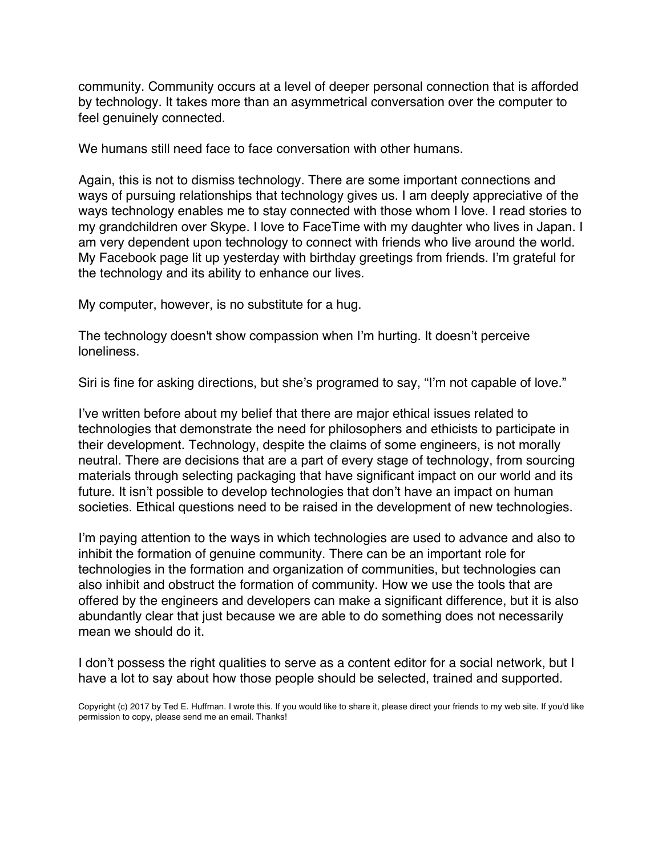community. Community occurs at a level of deeper personal connection that is afforded by technology. It takes more than an asymmetrical conversation over the computer to feel genuinely connected.

We humans still need face to face conversation with other humans.

Again, this is not to dismiss technology. There are some important connections and ways of pursuing relationships that technology gives us. I am deeply appreciative of the ways technology enables me to stay connected with those whom I love. I read stories to my grandchildren over Skype. I love to FaceTime with my daughter who lives in Japan. I am very dependent upon technology to connect with friends who live around the world. My Facebook page lit up yesterday with birthday greetings from friends. I'm grateful for the technology and its ability to enhance our lives.

My computer, however, is no substitute for a hug.

The technology doesn't show compassion when I'm hurting. It doesn't perceive loneliness.

Siri is fine for asking directions, but she's programed to say, "I'm not capable of love."

I've written before about my belief that there are major ethical issues related to technologies that demonstrate the need for philosophers and ethicists to participate in their development. Technology, despite the claims of some engineers, is not morally neutral. There are decisions that are a part of every stage of technology, from sourcing materials through selecting packaging that have significant impact on our world and its future. It isn't possible to develop technologies that don't have an impact on human societies. Ethical questions need to be raised in the development of new technologies.

I'm paying attention to the ways in which technologies are used to advance and also to inhibit the formation of genuine community. There can be an important role for technologies in the formation and organization of communities, but technologies can also inhibit and obstruct the formation of community. How we use the tools that are offered by the engineers and developers can make a significant difference, but it is also abundantly clear that just because we are able to do something does not necessarily mean we should do it.

I don't possess the right qualities to serve as a content editor for a social network, but I have a lot to say about how those people should be selected, trained and supported.

Copyright (c) 2017 by Ted E. Huffman. I wrote this. If you would like to share it, please direct your friends to my web site. If you'd like permission to copy, please send me an email. Thanks!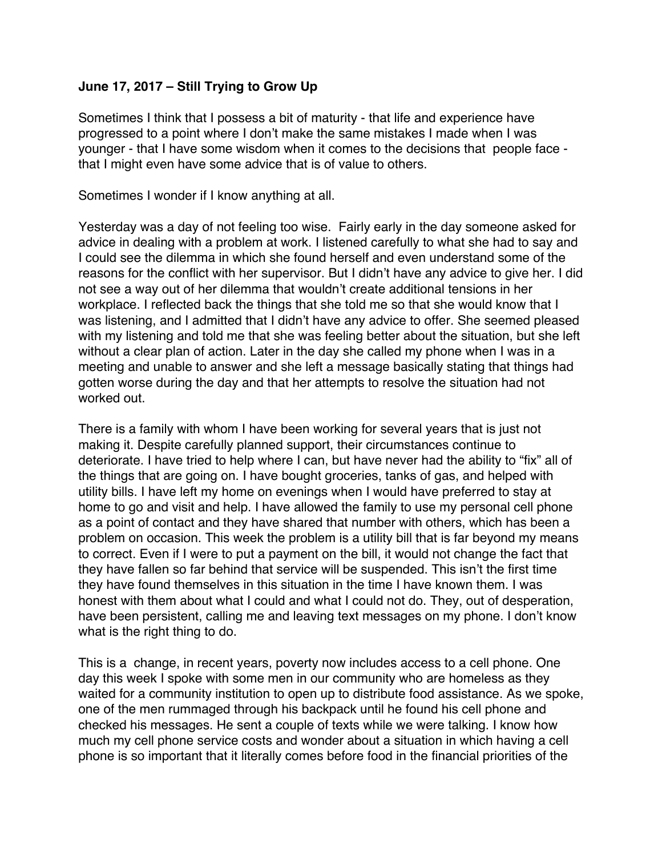# <span id="page-34-0"></span>**June 17, 2017 – Still Trying to Grow Up**

Sometimes I think that I possess a bit of maturity - that life and experience have progressed to a point where I don't make the same mistakes I made when I was younger - that I have some wisdom when it comes to the decisions that people face that I might even have some advice that is of value to others.

Sometimes I wonder if I know anything at all.

Yesterday was a day of not feeling too wise. Fairly early in the day someone asked for advice in dealing with a problem at work. I listened carefully to what she had to say and I could see the dilemma in which she found herself and even understand some of the reasons for the conflict with her supervisor. But I didn't have any advice to give her. I did not see a way out of her dilemma that wouldn't create additional tensions in her workplace. I reflected back the things that she told me so that she would know that I was listening, and I admitted that I didn't have any advice to offer. She seemed pleased with my listening and told me that she was feeling better about the situation, but she left without a clear plan of action. Later in the day she called my phone when I was in a meeting and unable to answer and she left a message basically stating that things had gotten worse during the day and that her attempts to resolve the situation had not worked out.

There is a family with whom I have been working for several years that is just not making it. Despite carefully planned support, their circumstances continue to deteriorate. I have tried to help where I can, but have never had the ability to "fix" all of the things that are going on. I have bought groceries, tanks of gas, and helped with utility bills. I have left my home on evenings when I would have preferred to stay at home to go and visit and help. I have allowed the family to use my personal cell phone as a point of contact and they have shared that number with others, which has been a problem on occasion. This week the problem is a utility bill that is far beyond my means to correct. Even if I were to put a payment on the bill, it would not change the fact that they have fallen so far behind that service will be suspended. This isn't the first time they have found themselves in this situation in the time I have known them. I was honest with them about what I could and what I could not do. They, out of desperation, have been persistent, calling me and leaving text messages on my phone. I don't know what is the right thing to do.

This is a change, in recent years, poverty now includes access to a cell phone. One day this week I spoke with some men in our community who are homeless as they waited for a community institution to open up to distribute food assistance. As we spoke, one of the men rummaged through his backpack until he found his cell phone and checked his messages. He sent a couple of texts while we were talking. I know how much my cell phone service costs and wonder about a situation in which having a cell phone is so important that it literally comes before food in the financial priorities of the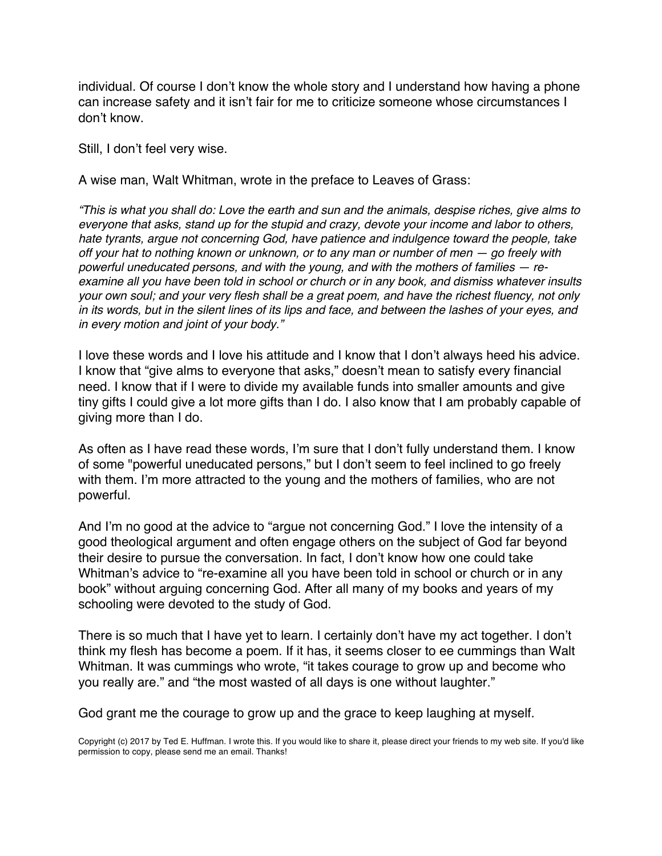individual. Of course I don't know the whole story and I understand how having a phone can increase safety and it isn't fair for me to criticize someone whose circumstances I don't know.

Still, I don't feel very wise.

A wise man, Walt Whitman, wrote in the preface to Leaves of Grass:

*"This is what you shall do: Love the earth and sun and the animals, despise riches, give alms to everyone that asks, stand up for the stupid and crazy, devote your income and labor to others, hate tyrants, argue not concerning God, have patience and indulgence toward the people, take off your hat to nothing known or unknown, or to any man or number of men — go freely with powerful uneducated persons, and with the young, and with the mothers of families — reexamine all you have been told in school or church or in any book, and dismiss whatever insults your own soul; and your very flesh shall be a great poem, and have the richest fluency, not only in its words, but in the silent lines of its lips and face, and between the lashes of your eyes, and in every motion and joint of your body."*

I love these words and I love his attitude and I know that I don't always heed his advice. I know that "give alms to everyone that asks," doesn't mean to satisfy every financial need. I know that if I were to divide my available funds into smaller amounts and give tiny gifts I could give a lot more gifts than I do. I also know that I am probably capable of giving more than I do.

As often as I have read these words, I'm sure that I don't fully understand them. I know of some "powerful uneducated persons," but I don't seem to feel inclined to go freely with them. I'm more attracted to the young and the mothers of families, who are not powerful.

And I'm no good at the advice to "argue not concerning God." I love the intensity of a good theological argument and often engage others on the subject of God far beyond their desire to pursue the conversation. In fact, I don't know how one could take Whitman's advice to "re-examine all you have been told in school or church or in any book" without arguing concerning God. After all many of my books and years of my schooling were devoted to the study of God.

There is so much that I have yet to learn. I certainly don't have my act together. I don't think my flesh has become a poem. If it has, it seems closer to ee cummings than Walt Whitman. It was cummings who wrote, "it takes courage to grow up and become who you really are." and "the most wasted of all days is one without laughter."

God grant me the courage to grow up and the grace to keep laughing at myself.

Copyright (c) 2017 by Ted E. Huffman. I wrote this. If you would like to share it, please direct your friends to my web site. If you'd like permission to copy, please send me an email. Thanks!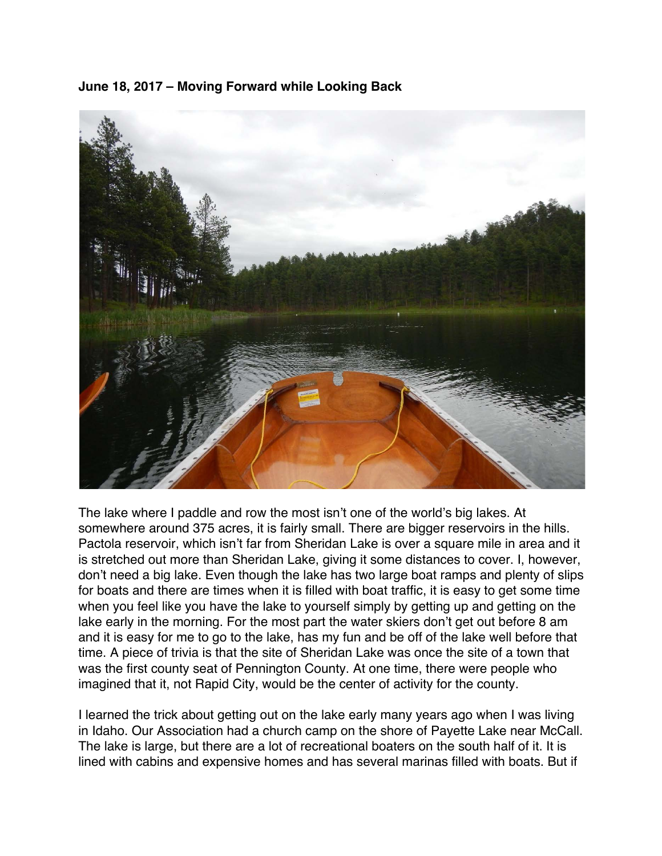<span id="page-36-0"></span>



The lake where I paddle and row the most isn't one of the world's big lakes. At somewhere around 375 acres, it is fairly small. There are bigger reservoirs in the hills. Pactola reservoir, which isn't far from Sheridan Lake is over a square mile in area and it is stretched out more than Sheridan Lake, giving it some distances to cover. I, however, don't need a big lake. Even though the lake has two large boat ramps and plenty of slips for boats and there are times when it is filled with boat traffic, it is easy to get some time when you feel like you have the lake to yourself simply by getting up and getting on the lake early in the morning. For the most part the water skiers don't get out before 8 am and it is easy for me to go to the lake, has my fun and be off of the lake well before that time. A piece of trivia is that the site of Sheridan Lake was once the site of a town that was the first county seat of Pennington County. At one time, there were people who imagined that it, not Rapid City, would be the center of activity for the county.

I learned the trick about getting out on the lake early many years ago when I was living in Idaho. Our Association had a church camp on the shore of Payette Lake near McCall. The lake is large, but there are a lot of recreational boaters on the south half of it. It is lined with cabins and expensive homes and has several marinas filled with boats. But if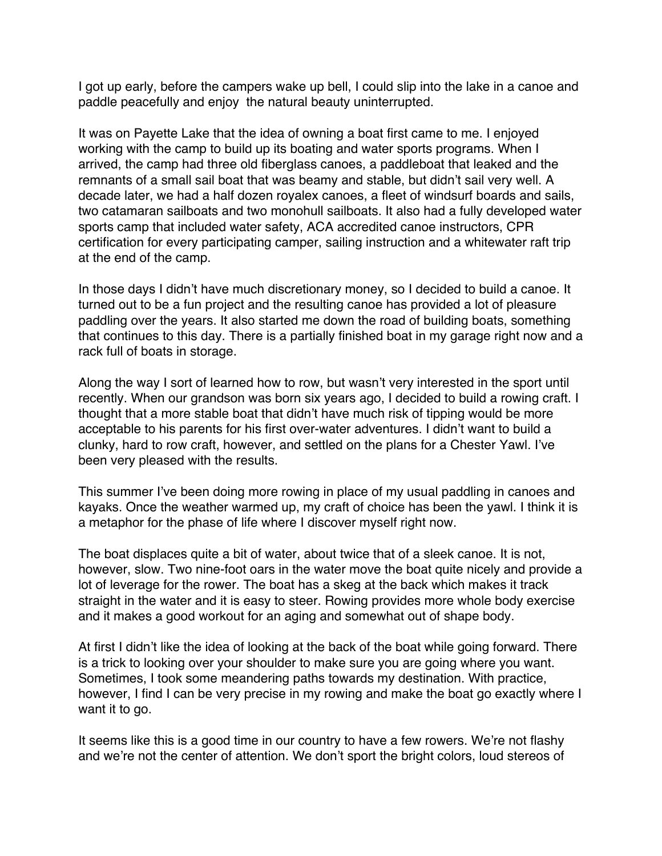I got up early, before the campers wake up bell, I could slip into the lake in a canoe and paddle peacefully and enjoy the natural beauty uninterrupted.

It was on Payette Lake that the idea of owning a boat first came to me. I enjoyed working with the camp to build up its boating and water sports programs. When I arrived, the camp had three old fiberglass canoes, a paddleboat that leaked and the remnants of a small sail boat that was beamy and stable, but didn't sail very well. A decade later, we had a half dozen royalex canoes, a fleet of windsurf boards and sails, two catamaran sailboats and two monohull sailboats. It also had a fully developed water sports camp that included water safety, ACA accredited canoe instructors, CPR certification for every participating camper, sailing instruction and a whitewater raft trip at the end of the camp.

In those days I didn't have much discretionary money, so I decided to build a canoe. It turned out to be a fun project and the resulting canoe has provided a lot of pleasure paddling over the years. It also started me down the road of building boats, something that continues to this day. There is a partially finished boat in my garage right now and a rack full of boats in storage.

Along the way I sort of learned how to row, but wasn't very interested in the sport until recently. When our grandson was born six years ago, I decided to build a rowing craft. I thought that a more stable boat that didn't have much risk of tipping would be more acceptable to his parents for his first over-water adventures. I didn't want to build a clunky, hard to row craft, however, and settled on the plans for a Chester Yawl. I've been very pleased with the results.

This summer I've been doing more rowing in place of my usual paddling in canoes and kayaks. Once the weather warmed up, my craft of choice has been the yawl. I think it is a metaphor for the phase of life where I discover myself right now.

The boat displaces quite a bit of water, about twice that of a sleek canoe. It is not, however, slow. Two nine-foot oars in the water move the boat quite nicely and provide a lot of leverage for the rower. The boat has a skeg at the back which makes it track straight in the water and it is easy to steer. Rowing provides more whole body exercise and it makes a good workout for an aging and somewhat out of shape body.

At first I didn't like the idea of looking at the back of the boat while going forward. There is a trick to looking over your shoulder to make sure you are going where you want. Sometimes, I took some meandering paths towards my destination. With practice, however, I find I can be very precise in my rowing and make the boat go exactly where I want it to go.

It seems like this is a good time in our country to have a few rowers. We're not flashy and we're not the center of attention. We don't sport the bright colors, loud stereos of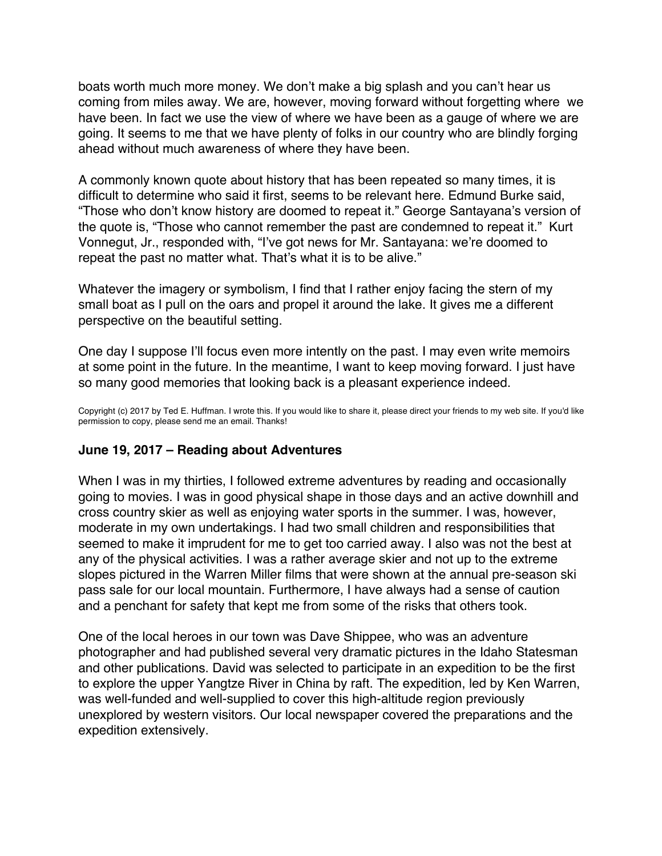<span id="page-38-0"></span>boats worth much more money. We don't make a big splash and you can't hear us coming from miles away. We are, however, moving forward without forgetting where we have been. In fact we use the view of where we have been as a gauge of where we are going. It seems to me that we have plenty of folks in our country who are blindly forging ahead without much awareness of where they have been.

A commonly known quote about history that has been repeated so many times, it is difficult to determine who said it first, seems to be relevant here. Edmund Burke said, "Those who don't know history are doomed to repeat it." George Santayana's version of the quote is, "Those who cannot remember the past are condemned to repeat it." Kurt Vonnegut, Jr., responded with, "I've got news for Mr. Santayana: we're doomed to repeat the past no matter what. That's what it is to be alive."

Whatever the imagery or symbolism, I find that I rather enjoy facing the stern of my small boat as I pull on the oars and propel it around the lake. It gives me a different perspective on the beautiful setting.

One day I suppose I'll focus even more intently on the past. I may even write memoirs at some point in the future. In the meantime, I want to keep moving forward. I just have so many good memories that looking back is a pleasant experience indeed.

Copyright (c) 2017 by Ted E. Huffman. I wrote this. If you would like to share it, please direct your friends to my web site. If you'd like permission to copy, please send me an email. Thanks!

# **June 19, 2017 – Reading about Adventures**

When I was in my thirties, I followed extreme adventures by reading and occasionally going to movies. I was in good physical shape in those days and an active downhill and cross country skier as well as enjoying water sports in the summer. I was, however, moderate in my own undertakings. I had two small children and responsibilities that seemed to make it imprudent for me to get too carried away. I also was not the best at any of the physical activities. I was a rather average skier and not up to the extreme slopes pictured in the Warren Miller films that were shown at the annual pre-season ski pass sale for our local mountain. Furthermore, I have always had a sense of caution and a penchant for safety that kept me from some of the risks that others took.

One of the local heroes in our town was Dave Shippee, who was an adventure photographer and had published several very dramatic pictures in the Idaho Statesman and other publications. David was selected to participate in an expedition to be the first to explore the upper Yangtze River in China by raft. The expedition, led by Ken Warren, was well-funded and well-supplied to cover this high-altitude region previously unexplored by western visitors. Our local newspaper covered the preparations and the expedition extensively.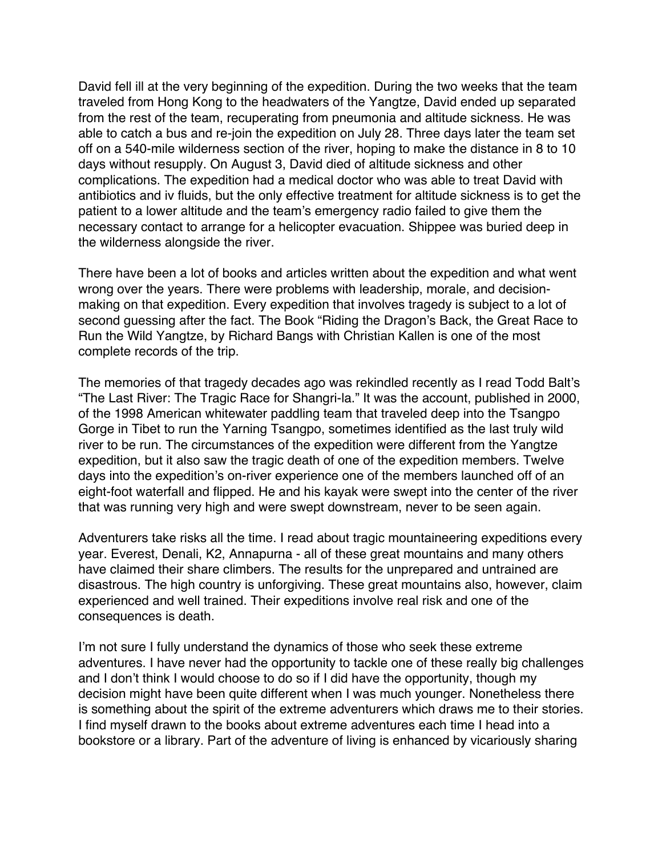David fell ill at the very beginning of the expedition. During the two weeks that the team traveled from Hong Kong to the headwaters of the Yangtze, David ended up separated from the rest of the team, recuperating from pneumonia and altitude sickness. He was able to catch a bus and re-join the expedition on July 28. Three days later the team set off on a 540-mile wilderness section of the river, hoping to make the distance in 8 to 10 days without resupply. On August 3, David died of altitude sickness and other complications. The expedition had a medical doctor who was able to treat David with antibiotics and iv fluids, but the only effective treatment for altitude sickness is to get the patient to a lower altitude and the team's emergency radio failed to give them the necessary contact to arrange for a helicopter evacuation. Shippee was buried deep in the wilderness alongside the river.

There have been a lot of books and articles written about the expedition and what went wrong over the years. There were problems with leadership, morale, and decisionmaking on that expedition. Every expedition that involves tragedy is subject to a lot of second guessing after the fact. The Book "Riding the Dragon's Back, the Great Race to Run the Wild Yangtze, by Richard Bangs with Christian Kallen is one of the most complete records of the trip.

The memories of that tragedy decades ago was rekindled recently as I read Todd Balt's "The Last River: The Tragic Race for Shangri-la." It was the account, published in 2000, of the 1998 American whitewater paddling team that traveled deep into the Tsangpo Gorge in Tibet to run the Yarning Tsangpo, sometimes identified as the last truly wild river to be run. The circumstances of the expedition were different from the Yangtze expedition, but it also saw the tragic death of one of the expedition members. Twelve days into the expedition's on-river experience one of the members launched off of an eight-foot waterfall and flipped. He and his kayak were swept into the center of the river that was running very high and were swept downstream, never to be seen again.

Adventurers take risks all the time. I read about tragic mountaineering expeditions every year. Everest, Denali, K2, Annapurna - all of these great mountains and many others have claimed their share climbers. The results for the unprepared and untrained are disastrous. The high country is unforgiving. These great mountains also, however, claim experienced and well trained. Their expeditions involve real risk and one of the consequences is death.

I'm not sure I fully understand the dynamics of those who seek these extreme adventures. I have never had the opportunity to tackle one of these really big challenges and I don't think I would choose to do so if I did have the opportunity, though my decision might have been quite different when I was much younger. Nonetheless there is something about the spirit of the extreme adventurers which draws me to their stories. I find myself drawn to the books about extreme adventures each time I head into a bookstore or a library. Part of the adventure of living is enhanced by vicariously sharing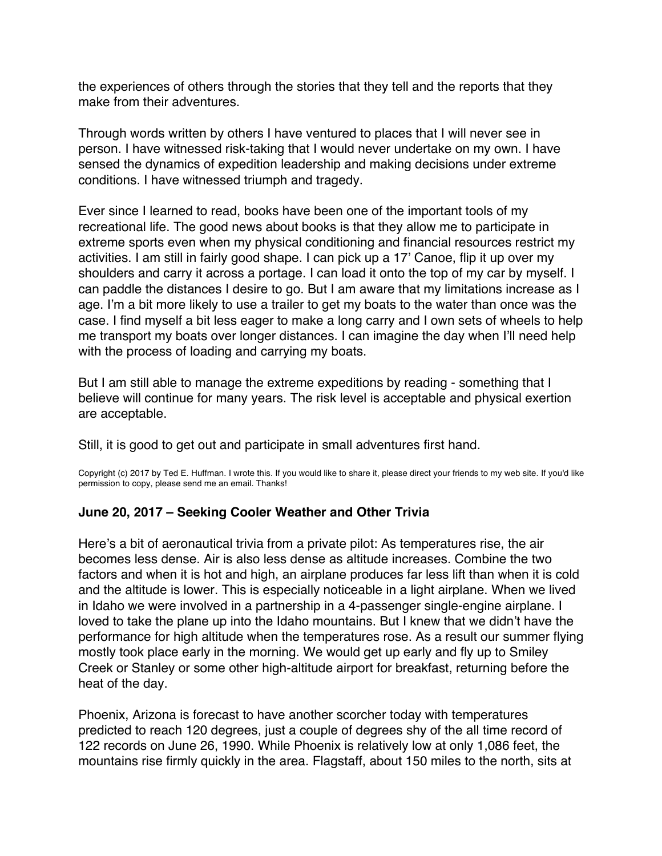<span id="page-40-0"></span>the experiences of others through the stories that they tell and the reports that they make from their adventures.

Through words written by others I have ventured to places that I will never see in person. I have witnessed risk-taking that I would never undertake on my own. I have sensed the dynamics of expedition leadership and making decisions under extreme conditions. I have witnessed triumph and tragedy.

Ever since I learned to read, books have been one of the important tools of my recreational life. The good news about books is that they allow me to participate in extreme sports even when my physical conditioning and financial resources restrict my activities. I am still in fairly good shape. I can pick up a 17' Canoe, flip it up over my shoulders and carry it across a portage. I can load it onto the top of my car by myself. I can paddle the distances I desire to go. But I am aware that my limitations increase as I age. I'm a bit more likely to use a trailer to get my boats to the water than once was the case. I find myself a bit less eager to make a long carry and I own sets of wheels to help me transport my boats over longer distances. I can imagine the day when I'll need help with the process of loading and carrying my boats.

But I am still able to manage the extreme expeditions by reading - something that I believe will continue for many years. The risk level is acceptable and physical exertion are acceptable.

Still, it is good to get out and participate in small adventures first hand.

Copyright (c) 2017 by Ted E. Huffman. I wrote this. If you would like to share it, please direct your friends to my web site. If you'd like permission to copy, please send me an email. Thanks!

# **June 20, 2017 – Seeking Cooler Weather and Other Trivia**

Here's a bit of aeronautical trivia from a private pilot: As temperatures rise, the air becomes less dense. Air is also less dense as altitude increases. Combine the two factors and when it is hot and high, an airplane produces far less lift than when it is cold and the altitude is lower. This is especially noticeable in a light airplane. When we lived in Idaho we were involved in a partnership in a 4-passenger single-engine airplane. I loved to take the plane up into the Idaho mountains. But I knew that we didn't have the performance for high altitude when the temperatures rose. As a result our summer flying mostly took place early in the morning. We would get up early and fly up to Smiley Creek or Stanley or some other high-altitude airport for breakfast, returning before the heat of the day.

Phoenix, Arizona is forecast to have another scorcher today with temperatures predicted to reach 120 degrees, just a couple of degrees shy of the all time record of 122 records on June 26, 1990. While Phoenix is relatively low at only 1,086 feet, the mountains rise firmly quickly in the area. Flagstaff, about 150 miles to the north, sits at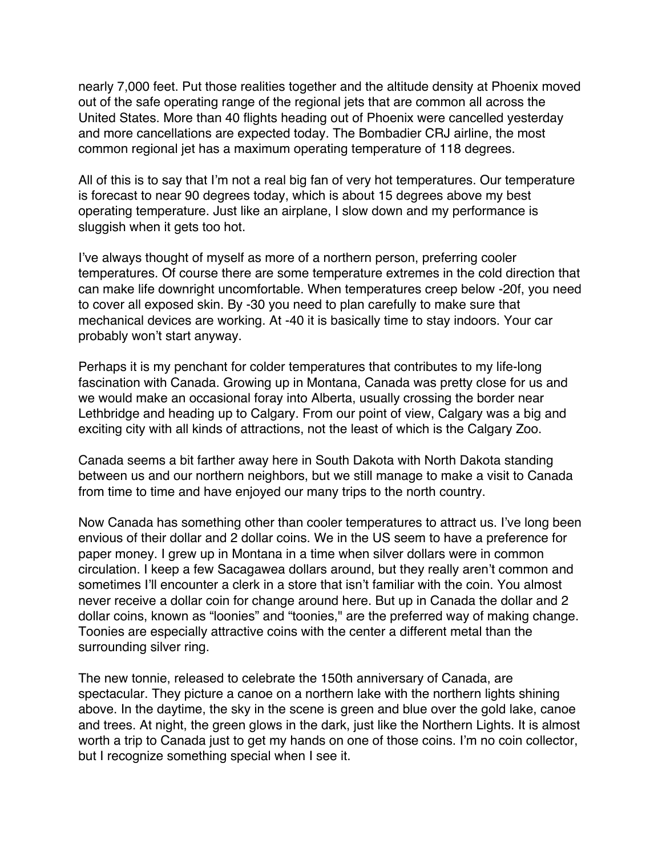nearly 7,000 feet. Put those realities together and the altitude density at Phoenix moved out of the safe operating range of the regional jets that are common all across the United States. More than 40 flights heading out of Phoenix were cancelled yesterday and more cancellations are expected today. The Bombadier CRJ airline, the most common regional jet has a maximum operating temperature of 118 degrees.

All of this is to say that I'm not a real big fan of very hot temperatures. Our temperature is forecast to near 90 degrees today, which is about 15 degrees above my best operating temperature. Just like an airplane, I slow down and my performance is sluggish when it gets too hot.

I've always thought of myself as more of a northern person, preferring cooler temperatures. Of course there are some temperature extremes in the cold direction that can make life downright uncomfortable. When temperatures creep below -20f, you need to cover all exposed skin. By -30 you need to plan carefully to make sure that mechanical devices are working. At -40 it is basically time to stay indoors. Your car probably won't start anyway.

Perhaps it is my penchant for colder temperatures that contributes to my life-long fascination with Canada. Growing up in Montana, Canada was pretty close for us and we would make an occasional foray into Alberta, usually crossing the border near Lethbridge and heading up to Calgary. From our point of view, Calgary was a big and exciting city with all kinds of attractions, not the least of which is the Calgary Zoo.

Canada seems a bit farther away here in South Dakota with North Dakota standing between us and our northern neighbors, but we still manage to make a visit to Canada from time to time and have enjoyed our many trips to the north country.

Now Canada has something other than cooler temperatures to attract us. I've long been envious of their dollar and 2 dollar coins. We in the US seem to have a preference for paper money. I grew up in Montana in a time when silver dollars were in common circulation. I keep a few Sacagawea dollars around, but they really aren't common and sometimes I'll encounter a clerk in a store that isn't familiar with the coin. You almost never receive a dollar coin for change around here. But up in Canada the dollar and 2 dollar coins, known as "loonies" and "toonies," are the preferred way of making change. Toonies are especially attractive coins with the center a different metal than the surrounding silver ring.

The new tonnie, released to celebrate the 150th anniversary of Canada, are spectacular. They picture a canoe on a northern lake with the northern lights shining above. In the daytime, the sky in the scene is green and blue over the gold lake, canoe and trees. At night, the green glows in the dark, just like the Northern Lights. It is almost worth a trip to Canada just to get my hands on one of those coins. I'm no coin collector, but I recognize something special when I see it.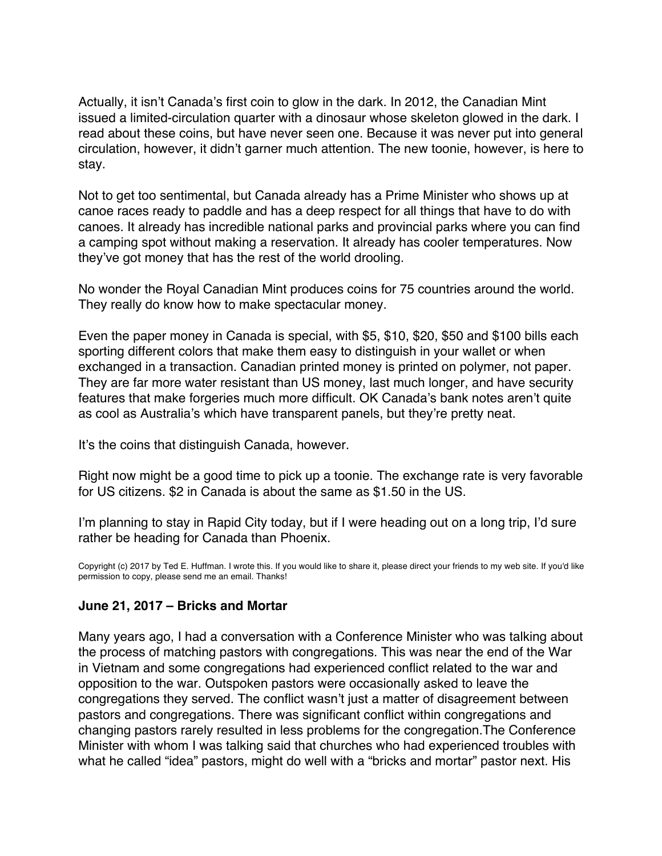<span id="page-42-0"></span>Actually, it isn't Canada's first coin to glow in the dark. In 2012, the Canadian Mint issued a limited-circulation quarter with a dinosaur whose skeleton glowed in the dark. I read about these coins, but have never seen one. Because it was never put into general circulation, however, it didn't garner much attention. The new toonie, however, is here to stay.

Not to get too sentimental, but Canada already has a Prime Minister who shows up at canoe races ready to paddle and has a deep respect for all things that have to do with canoes. It already has incredible national parks and provincial parks where you can find a camping spot without making a reservation. It already has cooler temperatures. Now they've got money that has the rest of the world drooling.

No wonder the Royal Canadian Mint produces coins for 75 countries around the world. They really do know how to make spectacular money.

Even the paper money in Canada is special, with \$5, \$10, \$20, \$50 and \$100 bills each sporting different colors that make them easy to distinguish in your wallet or when exchanged in a transaction. Canadian printed money is printed on polymer, not paper. They are far more water resistant than US money, last much longer, and have security features that make forgeries much more difficult. OK Canada's bank notes aren't quite as cool as Australia's which have transparent panels, but they're pretty neat.

It's the coins that distinguish Canada, however.

Right now might be a good time to pick up a toonie. The exchange rate is very favorable for US citizens. \$2 in Canada is about the same as \$1.50 in the US.

I'm planning to stay in Rapid City today, but if I were heading out on a long trip, I'd sure rather be heading for Canada than Phoenix.

Copyright (c) 2017 by Ted E. Huffman. I wrote this. If you would like to share it, please direct your friends to my web site. If you'd like permission to copy, please send me an email. Thanks!

# **June 21, 2017 – Bricks and Mortar**

Many years ago, I had a conversation with a Conference Minister who was talking about the process of matching pastors with congregations. This was near the end of the War in Vietnam and some congregations had experienced conflict related to the war and opposition to the war. Outspoken pastors were occasionally asked to leave the congregations they served. The conflict wasn't just a matter of disagreement between pastors and congregations. There was significant conflict within congregations and changing pastors rarely resulted in less problems for the congregation.The Conference Minister with whom I was talking said that churches who had experienced troubles with what he called "idea" pastors, might do well with a "bricks and mortar" pastor next. His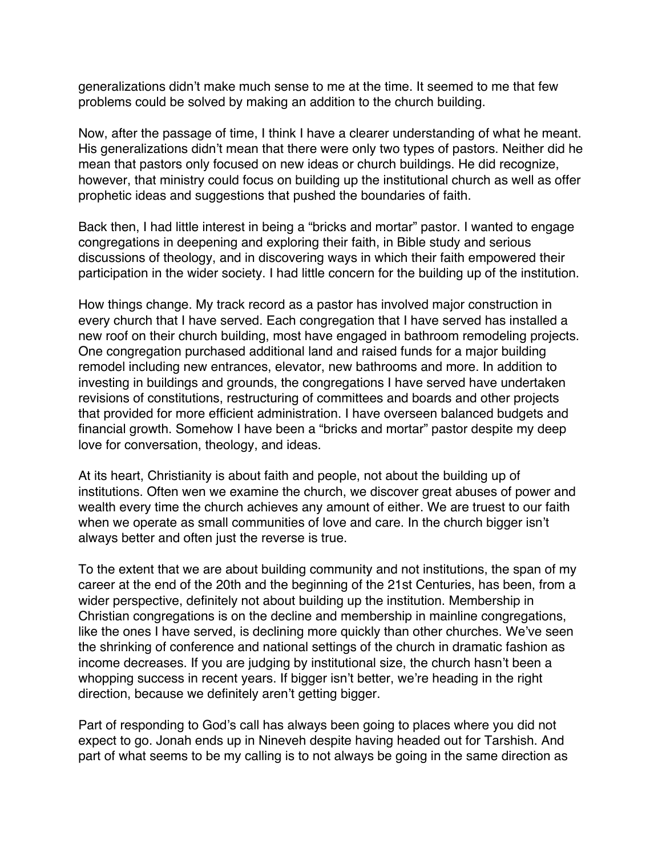generalizations didn't make much sense to me at the time. It seemed to me that few problems could be solved by making an addition to the church building.

Now, after the passage of time, I think I have a clearer understanding of what he meant. His generalizations didn't mean that there were only two types of pastors. Neither did he mean that pastors only focused on new ideas or church buildings. He did recognize, however, that ministry could focus on building up the institutional church as well as offer prophetic ideas and suggestions that pushed the boundaries of faith.

Back then, I had little interest in being a "bricks and mortar" pastor. I wanted to engage congregations in deepening and exploring their faith, in Bible study and serious discussions of theology, and in discovering ways in which their faith empowered their participation in the wider society. I had little concern for the building up of the institution.

How things change. My track record as a pastor has involved major construction in every church that I have served. Each congregation that I have served has installed a new roof on their church building, most have engaged in bathroom remodeling projects. One congregation purchased additional land and raised funds for a major building remodel including new entrances, elevator, new bathrooms and more. In addition to investing in buildings and grounds, the congregations I have served have undertaken revisions of constitutions, restructuring of committees and boards and other projects that provided for more efficient administration. I have overseen balanced budgets and financial growth. Somehow I have been a "bricks and mortar" pastor despite my deep love for conversation, theology, and ideas.

At its heart, Christianity is about faith and people, not about the building up of institutions. Often wen we examine the church, we discover great abuses of power and wealth every time the church achieves any amount of either. We are truest to our faith when we operate as small communities of love and care. In the church bigger isn't always better and often just the reverse is true.

To the extent that we are about building community and not institutions, the span of my career at the end of the 20th and the beginning of the 21st Centuries, has been, from a wider perspective, definitely not about building up the institution. Membership in Christian congregations is on the decline and membership in mainline congregations, like the ones I have served, is declining more quickly than other churches. We've seen the shrinking of conference and national settings of the church in dramatic fashion as income decreases. If you are judging by institutional size, the church hasn't been a whopping success in recent years. If bigger isn't better, we're heading in the right direction, because we definitely aren't getting bigger.

Part of responding to God's call has always been going to places where you did not expect to go. Jonah ends up in Nineveh despite having headed out for Tarshish. And part of what seems to be my calling is to not always be going in the same direction as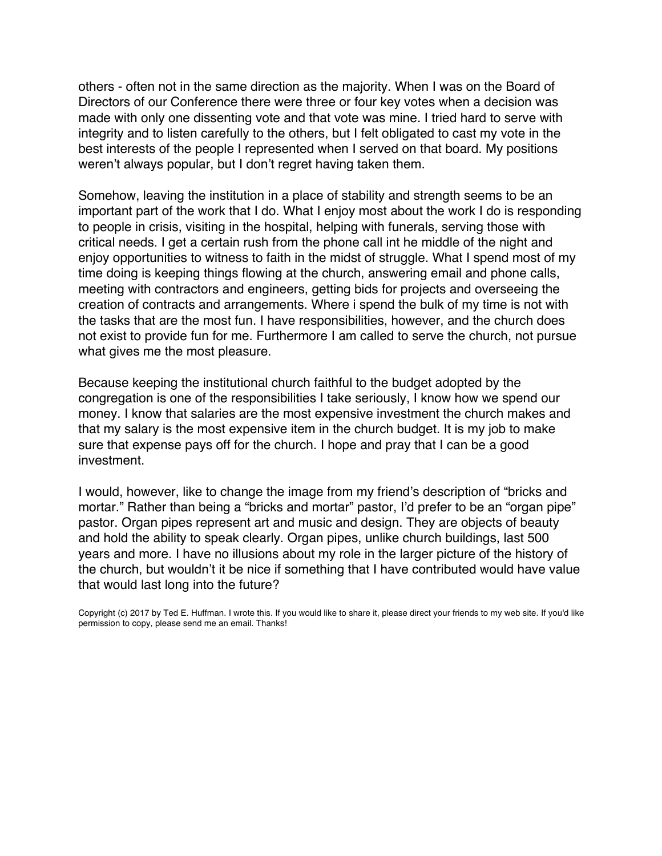others - often not in the same direction as the majority. When I was on the Board of Directors of our Conference there were three or four key votes when a decision was made with only one dissenting vote and that vote was mine. I tried hard to serve with integrity and to listen carefully to the others, but I felt obligated to cast my vote in the best interests of the people I represented when I served on that board. My positions weren't always popular, but I don't regret having taken them.

Somehow, leaving the institution in a place of stability and strength seems to be an important part of the work that I do. What I enjoy most about the work I do is responding to people in crisis, visiting in the hospital, helping with funerals, serving those with critical needs. I get a certain rush from the phone call int he middle of the night and enjoy opportunities to witness to faith in the midst of struggle. What I spend most of my time doing is keeping things flowing at the church, answering email and phone calls, meeting with contractors and engineers, getting bids for projects and overseeing the creation of contracts and arrangements. Where i spend the bulk of my time is not with the tasks that are the most fun. I have responsibilities, however, and the church does not exist to provide fun for me. Furthermore I am called to serve the church, not pursue what gives me the most pleasure.

Because keeping the institutional church faithful to the budget adopted by the congregation is one of the responsibilities I take seriously, I know how we spend our money. I know that salaries are the most expensive investment the church makes and that my salary is the most expensive item in the church budget. It is my job to make sure that expense pays off for the church. I hope and pray that I can be a good investment.

I would, however, like to change the image from my friend's description of "bricks and mortar." Rather than being a "bricks and mortar" pastor, I'd prefer to be an "organ pipe" pastor. Organ pipes represent art and music and design. They are objects of beauty and hold the ability to speak clearly. Organ pipes, unlike church buildings, last 500 years and more. I have no illusions about my role in the larger picture of the history of the church, but wouldn't it be nice if something that I have contributed would have value that would last long into the future?

Copyright (c) 2017 by Ted E. Huffman. I wrote this. If you would like to share it, please direct your friends to my web site. If you'd like permission to copy, please send me an email. Thanks!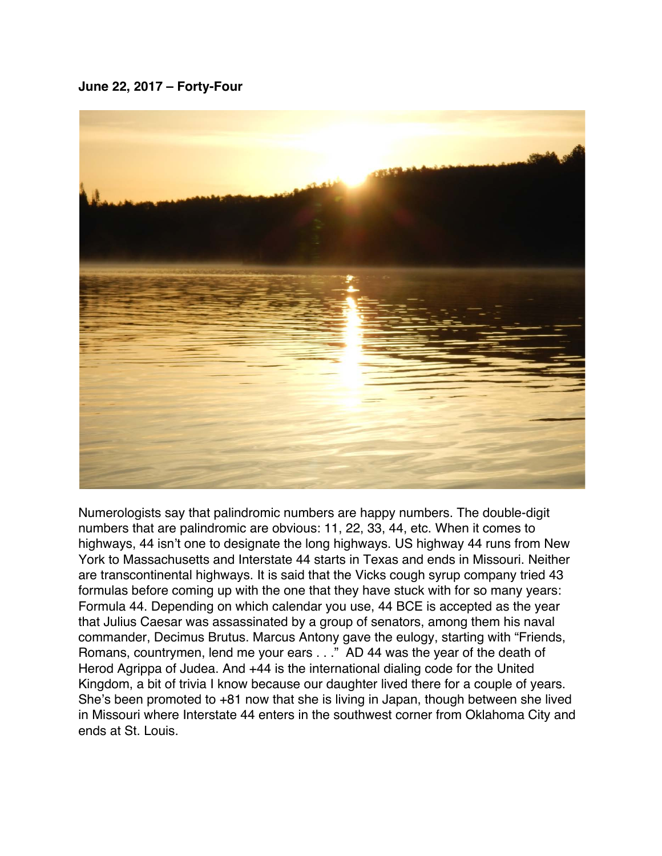#### <span id="page-45-0"></span>**June 22, 2017 – Forty-Four**



Numerologists say that palindromic numbers are happy numbers. The double-digit numbers that are palindromic are obvious: 11, 22, 33, 44, etc. When it comes to highways, 44 isn't one to designate the long highways. US highway 44 runs from New York to Massachusetts and Interstate 44 starts in Texas and ends in Missouri. Neither are transcontinental highways. It is said that the Vicks cough syrup company tried 43 formulas before coming up with the one that they have stuck with for so many years: Formula 44. Depending on which calendar you use, 44 BCE is accepted as the year that Julius Caesar was assassinated by a group of senators, among them his naval commander, Decimus Brutus. Marcus Antony gave the eulogy, starting with "Friends, Romans, countrymen, lend me your ears . . ." AD 44 was the year of the death of Herod Agrippa of Judea. And +44 is the international dialing code for the United Kingdom, a bit of trivia I know because our daughter lived there for a couple of years. She's been promoted to +81 now that she is living in Japan, though between she lived in Missouri where Interstate 44 enters in the southwest corner from Oklahoma City and ends at St. Louis.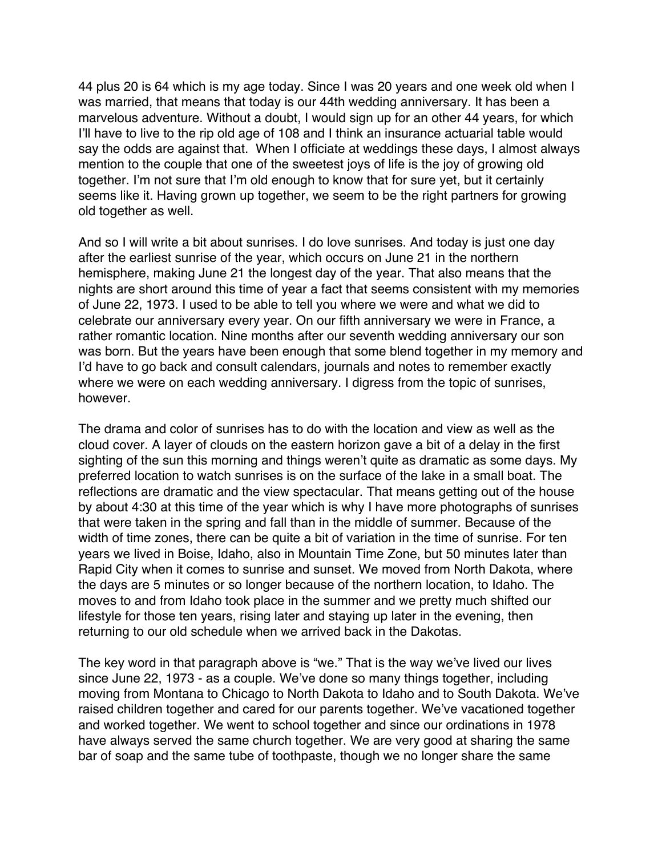44 plus 20 is 64 which is my age today. Since I was 20 years and one week old when I was married, that means that today is our 44th wedding anniversary. It has been a marvelous adventure. Without a doubt, I would sign up for an other 44 years, for which I'll have to live to the rip old age of 108 and I think an insurance actuarial table would say the odds are against that. When I officiate at weddings these days, I almost always mention to the couple that one of the sweetest joys of life is the joy of growing old together. I'm not sure that I'm old enough to know that for sure yet, but it certainly seems like it. Having grown up together, we seem to be the right partners for growing old together as well.

And so I will write a bit about sunrises. I do love sunrises. And today is just one day after the earliest sunrise of the year, which occurs on June 21 in the northern hemisphere, making June 21 the longest day of the year. That also means that the nights are short around this time of year a fact that seems consistent with my memories of June 22, 1973. I used to be able to tell you where we were and what we did to celebrate our anniversary every year. On our fifth anniversary we were in France, a rather romantic location. Nine months after our seventh wedding anniversary our son was born. But the years have been enough that some blend together in my memory and I'd have to go back and consult calendars, journals and notes to remember exactly where we were on each wedding anniversary. I digress from the topic of sunrises, however.

The drama and color of sunrises has to do with the location and view as well as the cloud cover. A layer of clouds on the eastern horizon gave a bit of a delay in the first sighting of the sun this morning and things weren't quite as dramatic as some days. My preferred location to watch sunrises is on the surface of the lake in a small boat. The reflections are dramatic and the view spectacular. That means getting out of the house by about 4:30 at this time of the year which is why I have more photographs of sunrises that were taken in the spring and fall than in the middle of summer. Because of the width of time zones, there can be quite a bit of variation in the time of sunrise. For ten years we lived in Boise, Idaho, also in Mountain Time Zone, but 50 minutes later than Rapid City when it comes to sunrise and sunset. We moved from North Dakota, where the days are 5 minutes or so longer because of the northern location, to Idaho. The moves to and from Idaho took place in the summer and we pretty much shifted our lifestyle for those ten years, rising later and staying up later in the evening, then returning to our old schedule when we arrived back in the Dakotas.

The key word in that paragraph above is "we." That is the way we've lived our lives since June 22, 1973 - as a couple. We've done so many things together, including moving from Montana to Chicago to North Dakota to Idaho and to South Dakota. We've raised children together and cared for our parents together. We've vacationed together and worked together. We went to school together and since our ordinations in 1978 have always served the same church together. We are very good at sharing the same bar of soap and the same tube of toothpaste, though we no longer share the same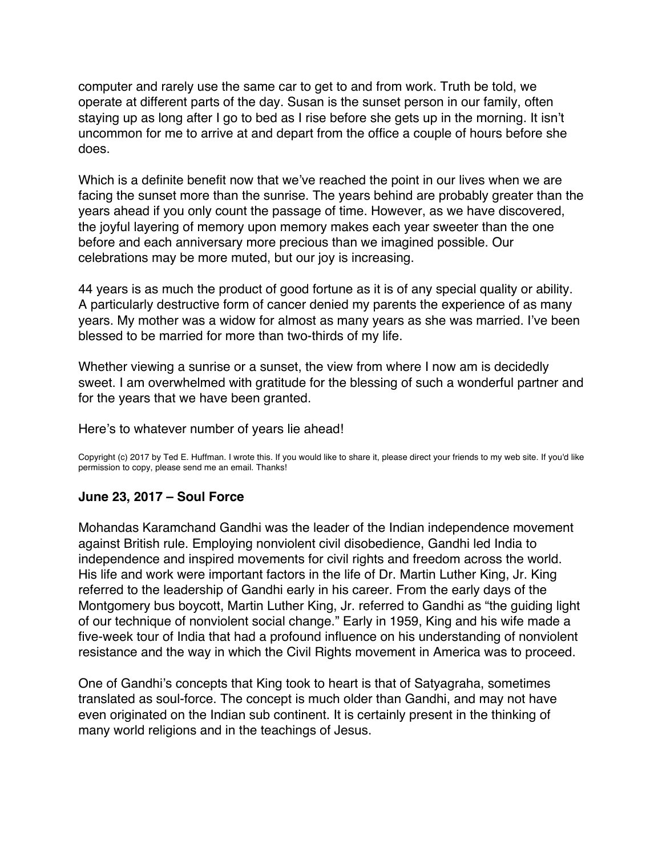<span id="page-47-0"></span>computer and rarely use the same car to get to and from work. Truth be told, we operate at different parts of the day. Susan is the sunset person in our family, often staying up as long after I go to bed as I rise before she gets up in the morning. It isn't uncommon for me to arrive at and depart from the office a couple of hours before she does.

Which is a definite benefit now that we've reached the point in our lives when we are facing the sunset more than the sunrise. The years behind are probably greater than the years ahead if you only count the passage of time. However, as we have discovered, the joyful layering of memory upon memory makes each year sweeter than the one before and each anniversary more precious than we imagined possible. Our celebrations may be more muted, but our joy is increasing.

44 years is as much the product of good fortune as it is of any special quality or ability. A particularly destructive form of cancer denied my parents the experience of as many years. My mother was a widow for almost as many years as she was married. I've been blessed to be married for more than two-thirds of my life.

Whether viewing a sunrise or a sunset, the view from where I now am is decidedly sweet. I am overwhelmed with gratitude for the blessing of such a wonderful partner and for the years that we have been granted.

#### Here's to whatever number of years lie ahead!

Copyright (c) 2017 by Ted E. Huffman. I wrote this. If you would like to share it, please direct your friends to my web site. If you'd like permission to copy, please send me an email. Thanks!

# **June 23, 2017 – Soul Force**

Mohandas Karamchand Gandhi was the leader of the Indian independence movement against British rule. Employing nonviolent civil disobedience, Gandhi led India to independence and inspired movements for civil rights and freedom across the world. His life and work were important factors in the life of Dr. Martin Luther King, Jr. King referred to the leadership of Gandhi early in his career. From the early days of the Montgomery bus boycott, Martin Luther King, Jr. referred to Gandhi as "the guiding light of our technique of nonviolent social change." Early in 1959, King and his wife made a five-week tour of India that had a profound influence on his understanding of nonviolent resistance and the way in which the Civil Rights movement in America was to proceed.

One of Gandhi's concepts that King took to heart is that of Satyagraha, sometimes translated as soul-force. The concept is much older than Gandhi, and may not have even originated on the Indian sub continent. It is certainly present in the thinking of many world religions and in the teachings of Jesus.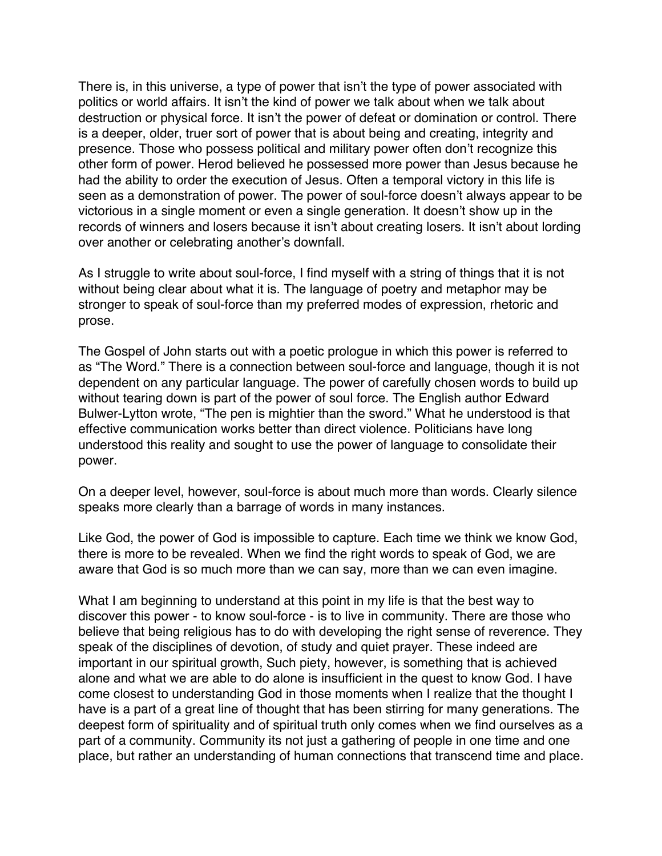There is, in this universe, a type of power that isn't the type of power associated with politics or world affairs. It isn't the kind of power we talk about when we talk about destruction or physical force. It isn't the power of defeat or domination or control. There is a deeper, older, truer sort of power that is about being and creating, integrity and presence. Those who possess political and military power often don't recognize this other form of power. Herod believed he possessed more power than Jesus because he had the ability to order the execution of Jesus. Often a temporal victory in this life is seen as a demonstration of power. The power of soul-force doesn't always appear to be victorious in a single moment or even a single generation. It doesn't show up in the records of winners and losers because it isn't about creating losers. It isn't about lording over another or celebrating another's downfall.

As I struggle to write about soul-force, I find myself with a string of things that it is not without being clear about what it is. The language of poetry and metaphor may be stronger to speak of soul-force than my preferred modes of expression, rhetoric and prose.

The Gospel of John starts out with a poetic prologue in which this power is referred to as "The Word." There is a connection between soul-force and language, though it is not dependent on any particular language. The power of carefully chosen words to build up without tearing down is part of the power of soul force. The English author Edward Bulwer-Lytton wrote, "The pen is mightier than the sword." What he understood is that effective communication works better than direct violence. Politicians have long understood this reality and sought to use the power of language to consolidate their power.

On a deeper level, however, soul-force is about much more than words. Clearly silence speaks more clearly than a barrage of words in many instances.

Like God, the power of God is impossible to capture. Each time we think we know God, there is more to be revealed. When we find the right words to speak of God, we are aware that God is so much more than we can say, more than we can even imagine.

What I am beginning to understand at this point in my life is that the best way to discover this power - to know soul-force - is to live in community. There are those who believe that being religious has to do with developing the right sense of reverence. They speak of the disciplines of devotion, of study and quiet prayer. These indeed are important in our spiritual growth, Such piety, however, is something that is achieved alone and what we are able to do alone is insufficient in the quest to know God. I have come closest to understanding God in those moments when I realize that the thought I have is a part of a great line of thought that has been stirring for many generations. The deepest form of spirituality and of spiritual truth only comes when we find ourselves as a part of a community. Community its not just a gathering of people in one time and one place, but rather an understanding of human connections that transcend time and place.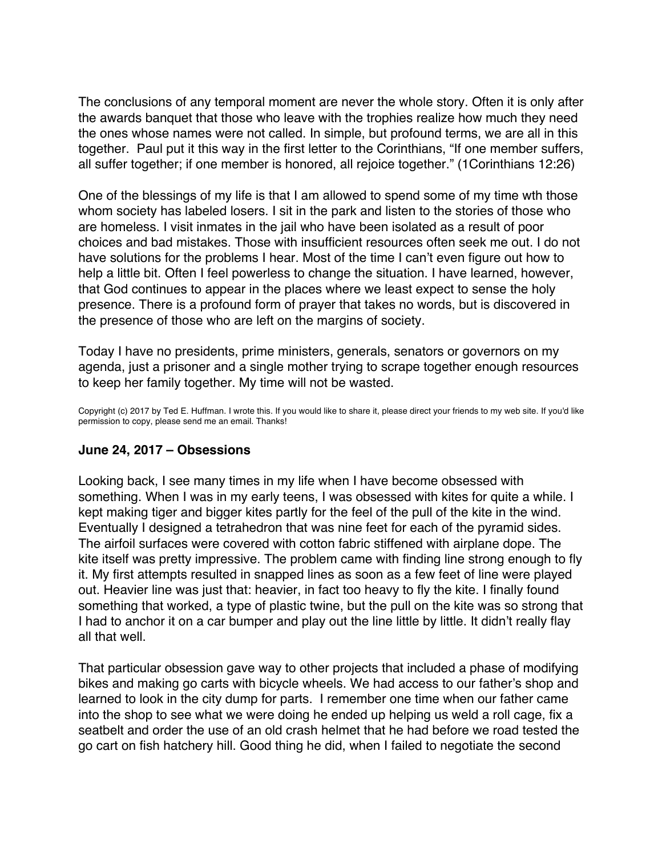<span id="page-49-0"></span>The conclusions of any temporal moment are never the whole story. Often it is only after the awards banquet that those who leave with the trophies realize how much they need the ones whose names were not called. In simple, but profound terms, we are all in this together. Paul put it this way in the first letter to the Corinthians, "If one member suffers, all suffer together; if one member is honored, all rejoice together." (1Corinthians 12:26)

One of the blessings of my life is that I am allowed to spend some of my time wth those whom society has labeled losers. I sit in the park and listen to the stories of those who are homeless. I visit inmates in the jail who have been isolated as a result of poor choices and bad mistakes. Those with insufficient resources often seek me out. I do not have solutions for the problems I hear. Most of the time I can't even figure out how to help a little bit. Often I feel powerless to change the situation. I have learned, however, that God continues to appear in the places where we least expect to sense the holy presence. There is a profound form of prayer that takes no words, but is discovered in the presence of those who are left on the margins of society.

Today I have no presidents, prime ministers, generals, senators or governors on my agenda, just a prisoner and a single mother trying to scrape together enough resources to keep her family together. My time will not be wasted.

Copyright (c) 2017 by Ted E. Huffman. I wrote this. If you would like to share it, please direct your friends to my web site. If you'd like permission to copy, please send me an email. Thanks!

# **June 24, 2017 – Obsessions**

Looking back, I see many times in my life when I have become obsessed with something. When I was in my early teens, I was obsessed with kites for quite a while. I kept making tiger and bigger kites partly for the feel of the pull of the kite in the wind. Eventually I designed a tetrahedron that was nine feet for each of the pyramid sides. The airfoil surfaces were covered with cotton fabric stiffened with airplane dope. The kite itself was pretty impressive. The problem came with finding line strong enough to fly it. My first attempts resulted in snapped lines as soon as a few feet of line were played out. Heavier line was just that: heavier, in fact too heavy to fly the kite. I finally found something that worked, a type of plastic twine, but the pull on the kite was so strong that I had to anchor it on a car bumper and play out the line little by little. It didn't really flay all that well.

That particular obsession gave way to other projects that included a phase of modifying bikes and making go carts with bicycle wheels. We had access to our father's shop and learned to look in the city dump for parts. I remember one time when our father came into the shop to see what we were doing he ended up helping us weld a roll cage, fix a seatbelt and order the use of an old crash helmet that he had before we road tested the go cart on fish hatchery hill. Good thing he did, when I failed to negotiate the second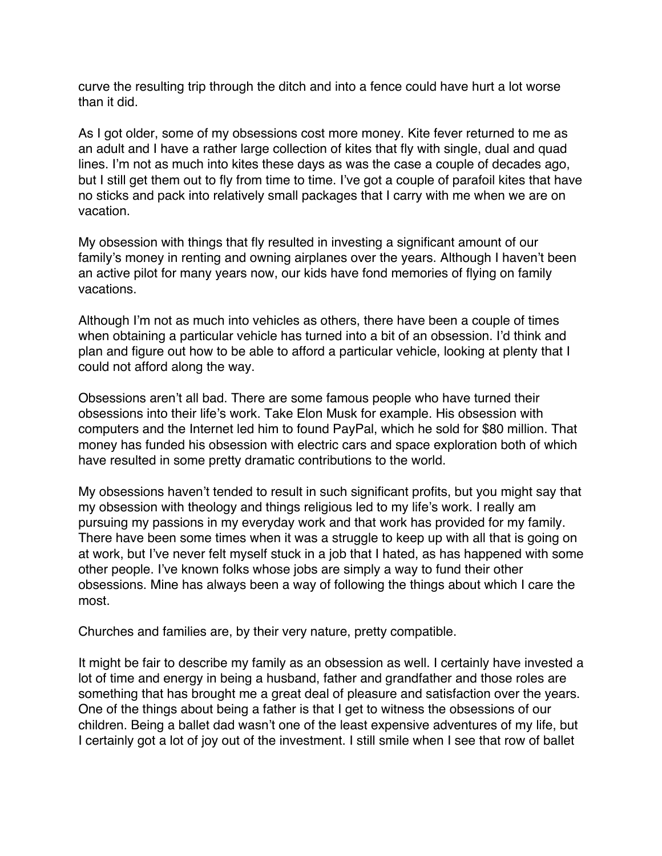curve the resulting trip through the ditch and into a fence could have hurt a lot worse than it did.

As I got older, some of my obsessions cost more money. Kite fever returned to me as an adult and I have a rather large collection of kites that fly with single, dual and quad lines. I'm not as much into kites these days as was the case a couple of decades ago, but I still get them out to fly from time to time. I've got a couple of parafoil kites that have no sticks and pack into relatively small packages that I carry with me when we are on vacation.

My obsession with things that fly resulted in investing a significant amount of our family's money in renting and owning airplanes over the years. Although I haven't been an active pilot for many years now, our kids have fond memories of flying on family vacations.

Although I'm not as much into vehicles as others, there have been a couple of times when obtaining a particular vehicle has turned into a bit of an obsession. I'd think and plan and figure out how to be able to afford a particular vehicle, looking at plenty that I could not afford along the way.

Obsessions aren't all bad. There are some famous people who have turned their obsessions into their life's work. Take Elon Musk for example. His obsession with computers and the Internet led him to found PayPal, which he sold for \$80 million. That money has funded his obsession with electric cars and space exploration both of which have resulted in some pretty dramatic contributions to the world.

My obsessions haven't tended to result in such significant profits, but you might say that my obsession with theology and things religious led to my life's work. I really am pursuing my passions in my everyday work and that work has provided for my family. There have been some times when it was a struggle to keep up with all that is going on at work, but I've never felt myself stuck in a job that I hated, as has happened with some other people. I've known folks whose jobs are simply a way to fund their other obsessions. Mine has always been a way of following the things about which I care the most.

Churches and families are, by their very nature, pretty compatible.

It might be fair to describe my family as an obsession as well. I certainly have invested a lot of time and energy in being a husband, father and grandfather and those roles are something that has brought me a great deal of pleasure and satisfaction over the years. One of the things about being a father is that I get to witness the obsessions of our children. Being a ballet dad wasn't one of the least expensive adventures of my life, but I certainly got a lot of joy out of the investment. I still smile when I see that row of ballet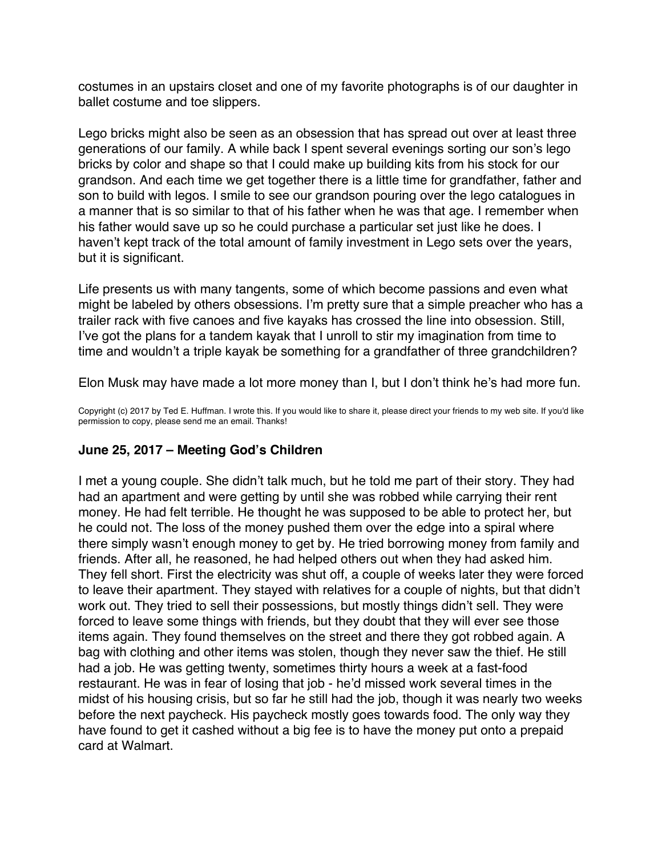<span id="page-51-0"></span>costumes in an upstairs closet and one of my favorite photographs is of our daughter in ballet costume and toe slippers.

Lego bricks might also be seen as an obsession that has spread out over at least three generations of our family. A while back I spent several evenings sorting our son's lego bricks by color and shape so that I could make up building kits from his stock for our grandson. And each time we get together there is a little time for grandfather, father and son to build with legos. I smile to see our grandson pouring over the lego catalogues in a manner that is so similar to that of his father when he was that age. I remember when his father would save up so he could purchase a particular set just like he does. I haven't kept track of the total amount of family investment in Lego sets over the years, but it is significant.

Life presents us with many tangents, some of which become passions and even what might be labeled by others obsessions. I'm pretty sure that a simple preacher who has a trailer rack with five canoes and five kayaks has crossed the line into obsession. Still, I've got the plans for a tandem kayak that I unroll to stir my imagination from time to time and wouldn't a triple kayak be something for a grandfather of three grandchildren?

Elon Musk may have made a lot more money than I, but I don't think he's had more fun.

Copyright (c) 2017 by Ted E. Huffman. I wrote this. If you would like to share it, please direct your friends to my web site. If you'd like permission to copy, please send me an email. Thanks!

# **June 25, 2017 – Meeting God's Children**

I met a young couple. She didn't talk much, but he told me part of their story. They had had an apartment and were getting by until she was robbed while carrying their rent money. He had felt terrible. He thought he was supposed to be able to protect her, but he could not. The loss of the money pushed them over the edge into a spiral where there simply wasn't enough money to get by. He tried borrowing money from family and friends. After all, he reasoned, he had helped others out when they had asked him. They fell short. First the electricity was shut off, a couple of weeks later they were forced to leave their apartment. They stayed with relatives for a couple of nights, but that didn't work out. They tried to sell their possessions, but mostly things didn't sell. They were forced to leave some things with friends, but they doubt that they will ever see those items again. They found themselves on the street and there they got robbed again. A bag with clothing and other items was stolen, though they never saw the thief. He still had a job. He was getting twenty, sometimes thirty hours a week at a fast-food restaurant. He was in fear of losing that job - he'd missed work several times in the midst of his housing crisis, but so far he still had the job, though it was nearly two weeks before the next paycheck. His paycheck mostly goes towards food. The only way they have found to get it cashed without a big fee is to have the money put onto a prepaid card at Walmart.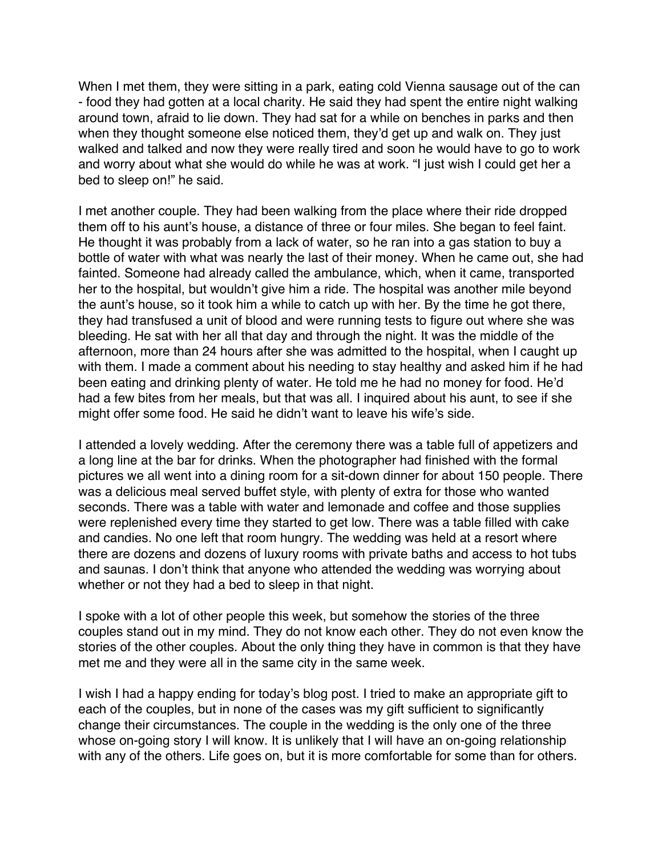When I met them, they were sitting in a park, eating cold Vienna sausage out of the can - food they had gotten at a local charity. He said they had spent the entire night walking around town, afraid to lie down. They had sat for a while on benches in parks and then when they thought someone else noticed them, they'd get up and walk on. They just walked and talked and now they were really tired and soon he would have to go to work and worry about what she would do while he was at work. "I just wish I could get her a bed to sleep on!" he said.

I met another couple. They had been walking from the place where their ride dropped them off to his aunt's house, a distance of three or four miles. She began to feel faint. He thought it was probably from a lack of water, so he ran into a gas station to buy a bottle of water with what was nearly the last of their money. When he came out, she had fainted. Someone had already called the ambulance, which, when it came, transported her to the hospital, but wouldn't give him a ride. The hospital was another mile beyond the aunt's house, so it took him a while to catch up with her. By the time he got there, they had transfused a unit of blood and were running tests to figure out where she was bleeding. He sat with her all that day and through the night. It was the middle of the afternoon, more than 24 hours after she was admitted to the hospital, when I caught up with them. I made a comment about his needing to stay healthy and asked him if he had been eating and drinking plenty of water. He told me he had no money for food. He'd had a few bites from her meals, but that was all. I inquired about his aunt, to see if she might offer some food. He said he didn't want to leave his wife's side.

I attended a lovely wedding. After the ceremony there was a table full of appetizers and a long line at the bar for drinks. When the photographer had finished with the formal pictures we all went into a dining room for a sit-down dinner for about 150 people. There was a delicious meal served buffet style, with plenty of extra for those who wanted seconds. There was a table with water and lemonade and coffee and those supplies were replenished every time they started to get low. There was a table filled with cake and candies. No one left that room hungry. The wedding was held at a resort where there are dozens and dozens of luxury rooms with private baths and access to hot tubs and saunas. I don't think that anyone who attended the wedding was worrying about whether or not they had a bed to sleep in that night.

I spoke with a lot of other people this week, but somehow the stories of the three couples stand out in my mind. They do not know each other. They do not even know the stories of the other couples. About the only thing they have in common is that they have met me and they were all in the same city in the same week.

I wish I had a happy ending for today's blog post. I tried to make an appropriate gift to each of the couples, but in none of the cases was my gift sufficient to significantly change their circumstances. The couple in the wedding is the only one of the three whose on-going story I will know. It is unlikely that I will have an on-going relationship with any of the others. Life goes on, but it is more comfortable for some than for others.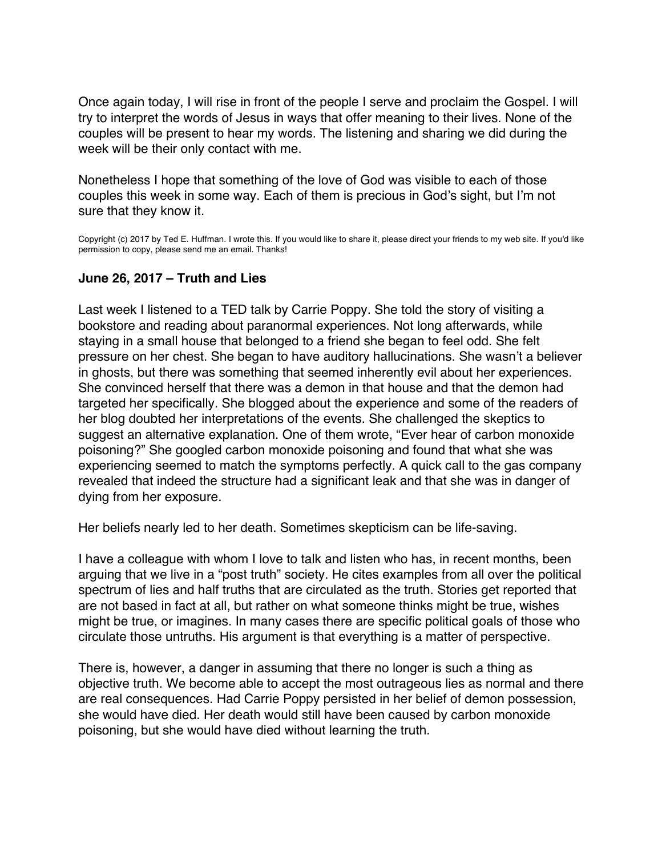<span id="page-53-0"></span>Once again today, I will rise in front of the people I serve and proclaim the Gospel. I will try to interpret the words of Jesus in ways that offer meaning to their lives. None of the couples will be present to hear my words. The listening and sharing we did during the week will be their only contact with me.

Nonetheless I hope that something of the love of God was visible to each of those couples this week in some way. Each of them is precious in God's sight, but I'm not sure that they know it.

Copyright (c) 2017 by Ted E. Huffman. I wrote this. If you would like to share it, please direct your friends to my web site. If you'd like permission to copy, please send me an email. Thanks!

# **June 26, 2017 – Truth and Lies**

Last week I listened to a TED talk by Carrie Poppy. She told the story of visiting a bookstore and reading about paranormal experiences. Not long afterwards, while staying in a small house that belonged to a friend she began to feel odd. She felt pressure on her chest. She began to have auditory hallucinations. She wasn't a believer in ghosts, but there was something that seemed inherently evil about her experiences. She convinced herself that there was a demon in that house and that the demon had targeted her specifically. She blogged about the experience and some of the readers of her blog doubted her interpretations of the events. She challenged the skeptics to suggest an alternative explanation. One of them wrote, "Ever hear of carbon monoxide poisoning?" She googled carbon monoxide poisoning and found that what she was experiencing seemed to match the symptoms perfectly. A quick call to the gas company revealed that indeed the structure had a significant leak and that she was in danger of dying from her exposure.

Her beliefs nearly led to her death. Sometimes skepticism can be life-saving.

I have a colleague with whom I love to talk and listen who has, in recent months, been arguing that we live in a "post truth" society. He cites examples from all over the political spectrum of lies and half truths that are circulated as the truth. Stories get reported that are not based in fact at all, but rather on what someone thinks might be true, wishes might be true, or imagines. In many cases there are specific political goals of those who circulate those untruths. His argument is that everything is a matter of perspective.

There is, however, a danger in assuming that there no longer is such a thing as objective truth. We become able to accept the most outrageous lies as normal and there are real consequences. Had Carrie Poppy persisted in her belief of demon possession, she would have died. Her death would still have been caused by carbon monoxide poisoning, but she would have died without learning the truth.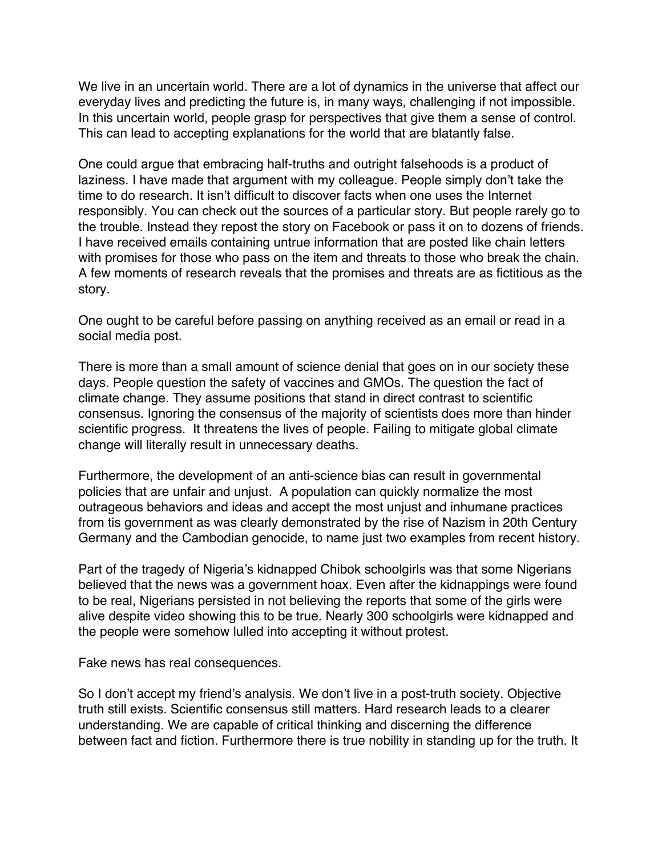We live in an uncertain world. There are a lot of dynamics in the universe that affect our everyday lives and predicting the future is, in many ways, challenging if not impossible. In this uncertain world, people grasp for perspectives that give them a sense of control. This can lead to accepting explanations for the world that are blatantly false.

One could argue that embracing half-truths and outright falsehoods is a product of laziness. I have made that argument with my colleague. People simply don't take the time to do research. It isn't difficult to discover facts when one uses the Internet responsibly. You can check out the sources of a particular story. But people rarely go to the trouble. Instead they repost the story on Facebook or pass it on to dozens of friends. I have received emails containing untrue information that are posted like chain letters with promises for those who pass on the item and threats to those who break the chain. A few moments of research reveals that the promises and threats are as fictitious as the story.

One ought to be careful before passing on anything received as an email or read in a social media post.

There is more than a small amount of science denial that goes on in our society these days. People question the safety of vaccines and GMOs. The question the fact of climate change. They assume positions that stand in direct contrast to scientific consensus. Ignoring the consensus of the majority of scientists does more than hinder scientific progress. It threatens the lives of people. Failing to mitigate global climate change will literally result in unnecessary deaths.

Furthermore, the development of an anti-science bias can result in governmental policies that are unfair and unjust. A population can quickly normalize the most outrageous behaviors and ideas and accept the most unjust and inhumane practices from tis government as was clearly demonstrated by the rise of Nazism in 20th Century Germany and the Cambodian genocide, to name just two examples from recent history.

Part of the tragedy of Nigeria's kidnapped Chibok schoolgirls was that some Nigerians believed that the news was a government hoax. Even after the kidnappings were found to be real, Nigerians persisted in not believing the reports that some of the girls were alive despite video showing this to be true. Nearly 300 schoolgirls were kidnapped and the people were somehow lulled into accepting it without protest.

Fake news has real consequences.

So I don't accept my friend's analysis. We don't live in a post-truth society. Objective truth still exists. Scientific consensus still matters. Hard research leads to a clearer understanding. We are capable of critical thinking and discerning the difference between fact and fiction. Furthermore there is true nobility in standing up for the truth. It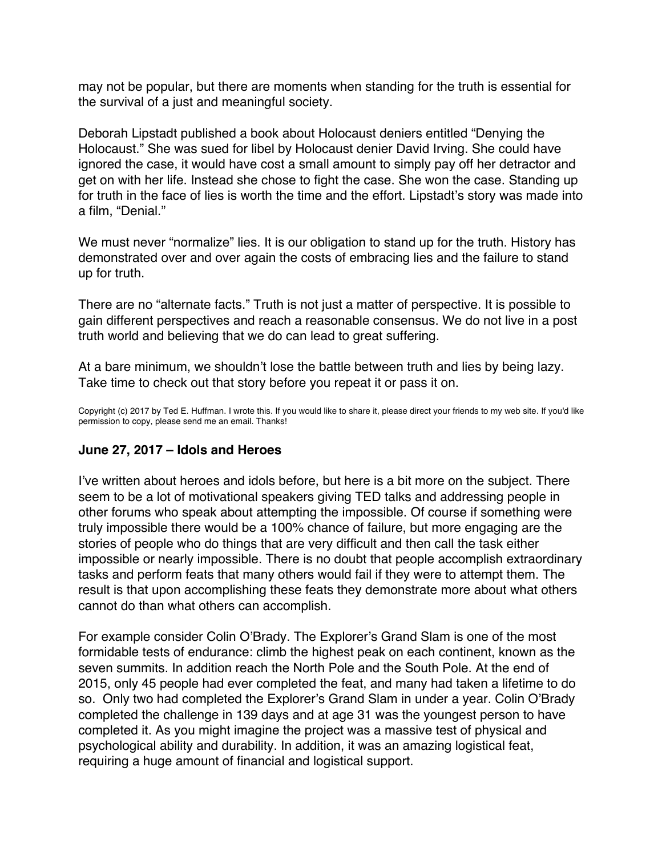<span id="page-55-0"></span>may not be popular, but there are moments when standing for the truth is essential for the survival of a just and meaningful society.

Deborah Lipstadt published a book about Holocaust deniers entitled "Denying the Holocaust." She was sued for libel by Holocaust denier David Irving. She could have ignored the case, it would have cost a small amount to simply pay off her detractor and get on with her life. Instead she chose to fight the case. She won the case. Standing up for truth in the face of lies is worth the time and the effort. Lipstadt's story was made into a film, "Denial."

We must never "normalize" lies. It is our obligation to stand up for the truth. History has demonstrated over and over again the costs of embracing lies and the failure to stand up for truth.

There are no "alternate facts." Truth is not just a matter of perspective. It is possible to gain different perspectives and reach a reasonable consensus. We do not live in a post truth world and believing that we do can lead to great suffering.

At a bare minimum, we shouldn't lose the battle between truth and lies by being lazy. Take time to check out that story before you repeat it or pass it on.

Copyright (c) 2017 by Ted E. Huffman. I wrote this. If you would like to share it, please direct your friends to my web site. If you'd like permission to copy, please send me an email. Thanks!

# **June 27, 2017 – Idols and Heroes**

I've written about heroes and idols before, but here is a bit more on the subject. There seem to be a lot of motivational speakers giving TED talks and addressing people in other forums who speak about attempting the impossible. Of course if something were truly impossible there would be a 100% chance of failure, but more engaging are the stories of people who do things that are very difficult and then call the task either impossible or nearly impossible. There is no doubt that people accomplish extraordinary tasks and perform feats that many others would fail if they were to attempt them. The result is that upon accomplishing these feats they demonstrate more about what others cannot do than what others can accomplish.

For example consider Colin O'Brady. The Explorer's Grand Slam is one of the most formidable tests of endurance: climb the highest peak on each continent, known as the seven summits. In addition reach the North Pole and the South Pole. At the end of 2015, only 45 people had ever completed the feat, and many had taken a lifetime to do so. Only two had completed the Explorer's Grand Slam in under a year. Colin O'Brady completed the challenge in 139 days and at age 31 was the youngest person to have completed it. As you might imagine the project was a massive test of physical and psychological ability and durability. In addition, it was an amazing logistical feat, requiring a huge amount of financial and logistical support.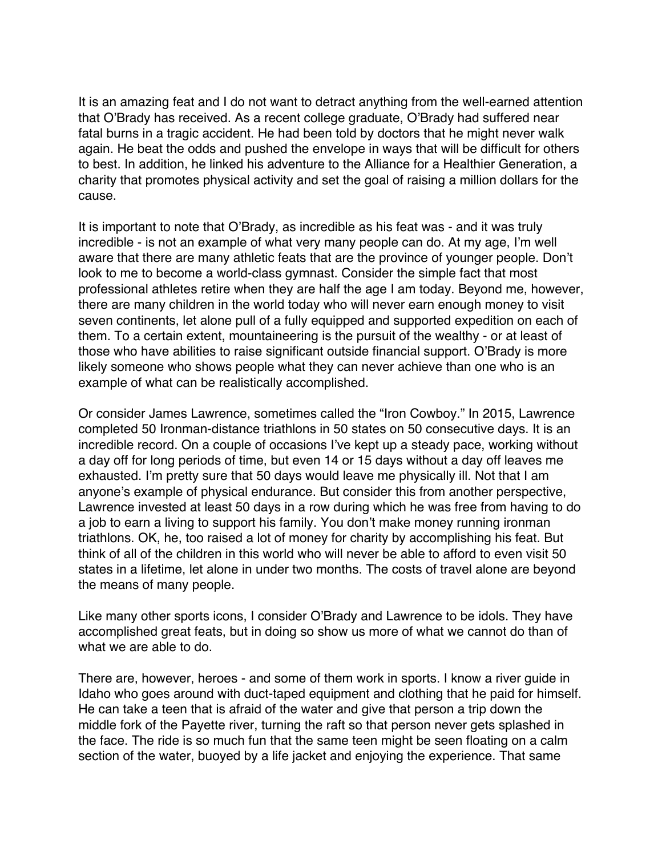It is an amazing feat and I do not want to detract anything from the well-earned attention that O'Brady has received. As a recent college graduate, O'Brady had suffered near fatal burns in a tragic accident. He had been told by doctors that he might never walk again. He beat the odds and pushed the envelope in ways that will be difficult for others to best. In addition, he linked his adventure to the Alliance for a Healthier Generation, a charity that promotes physical activity and set the goal of raising a million dollars for the cause.

It is important to note that O'Brady, as incredible as his feat was - and it was truly incredible - is not an example of what very many people can do. At my age, I'm well aware that there are many athletic feats that are the province of younger people. Don't look to me to become a world-class gymnast. Consider the simple fact that most professional athletes retire when they are half the age I am today. Beyond me, however, there are many children in the world today who will never earn enough money to visit seven continents, let alone pull of a fully equipped and supported expedition on each of them. To a certain extent, mountaineering is the pursuit of the wealthy - or at least of those who have abilities to raise significant outside financial support. O'Brady is more likely someone who shows people what they can never achieve than one who is an example of what can be realistically accomplished.

Or consider James Lawrence, sometimes called the "Iron Cowboy." In 2015, Lawrence completed 50 Ironman-distance triathlons in 50 states on 50 consecutive days. It is an incredible record. On a couple of occasions I've kept up a steady pace, working without a day off for long periods of time, but even 14 or 15 days without a day off leaves me exhausted. I'm pretty sure that 50 days would leave me physically ill. Not that I am anyone's example of physical endurance. But consider this from another perspective, Lawrence invested at least 50 days in a row during which he was free from having to do a job to earn a living to support his family. You don't make money running ironman triathlons. OK, he, too raised a lot of money for charity by accomplishing his feat. But think of all of the children in this world who will never be able to afford to even visit 50 states in a lifetime, let alone in under two months. The costs of travel alone are beyond the means of many people.

Like many other sports icons, I consider O'Brady and Lawrence to be idols. They have accomplished great feats, but in doing so show us more of what we cannot do than of what we are able to do.

There are, however, heroes - and some of them work in sports. I know a river guide in Idaho who goes around with duct-taped equipment and clothing that he paid for himself. He can take a teen that is afraid of the water and give that person a trip down the middle fork of the Payette river, turning the raft so that person never gets splashed in the face. The ride is so much fun that the same teen might be seen floating on a calm section of the water, buoyed by a life jacket and enjoying the experience. That same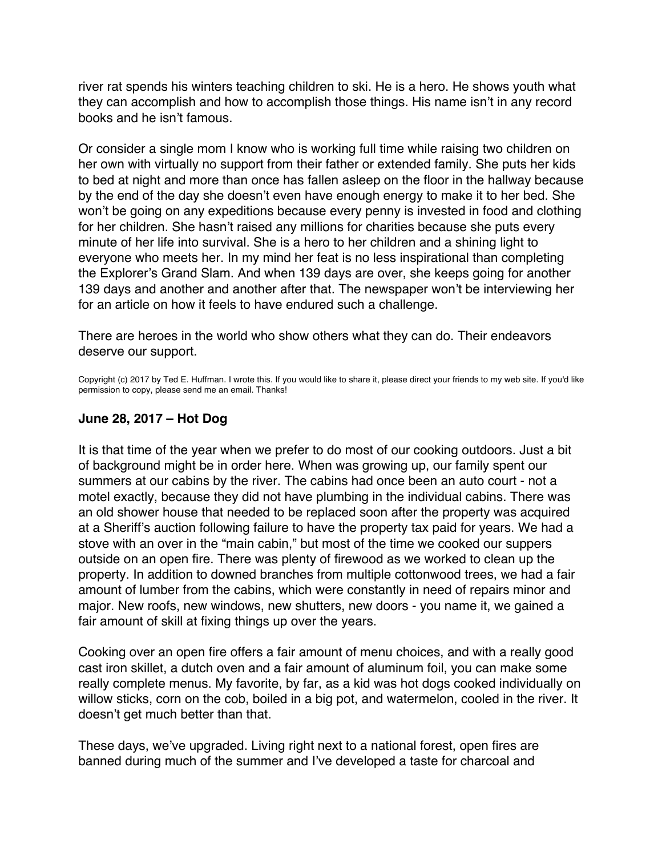<span id="page-57-0"></span>river rat spends his winters teaching children to ski. He is a hero. He shows youth what they can accomplish and how to accomplish those things. His name isn't in any record books and he isn't famous.

Or consider a single mom I know who is working full time while raising two children on her own with virtually no support from their father or extended family. She puts her kids to bed at night and more than once has fallen asleep on the floor in the hallway because by the end of the day she doesn't even have enough energy to make it to her bed. She won't be going on any expeditions because every penny is invested in food and clothing for her children. She hasn't raised any millions for charities because she puts every minute of her life into survival. She is a hero to her children and a shining light to everyone who meets her. In my mind her feat is no less inspirational than completing the Explorer's Grand Slam. And when 139 days are over, she keeps going for another 139 days and another and another after that. The newspaper won't be interviewing her for an article on how it feels to have endured such a challenge.

There are heroes in the world who show others what they can do. Their endeavors deserve our support.

Copyright (c) 2017 by Ted E. Huffman. I wrote this. If you would like to share it, please direct your friends to my web site. If you'd like permission to copy, please send me an email. Thanks!

# **June 28, 2017 – Hot Dog**

It is that time of the year when we prefer to do most of our cooking outdoors. Just a bit of background might be in order here. When was growing up, our family spent our summers at our cabins by the river. The cabins had once been an auto court - not a motel exactly, because they did not have plumbing in the individual cabins. There was an old shower house that needed to be replaced soon after the property was acquired at a Sheriff's auction following failure to have the property tax paid for years. We had a stove with an over in the "main cabin," but most of the time we cooked our suppers outside on an open fire. There was plenty of firewood as we worked to clean up the property. In addition to downed branches from multiple cottonwood trees, we had a fair amount of lumber from the cabins, which were constantly in need of repairs minor and major. New roofs, new windows, new shutters, new doors - you name it, we gained a fair amount of skill at fixing things up over the years.

Cooking over an open fire offers a fair amount of menu choices, and with a really good cast iron skillet, a dutch oven and a fair amount of aluminum foil, you can make some really complete menus. My favorite, by far, as a kid was hot dogs cooked individually on willow sticks, corn on the cob, boiled in a big pot, and watermelon, cooled in the river. It doesn't get much better than that.

These days, we've upgraded. Living right next to a national forest, open fires are banned during much of the summer and I've developed a taste for charcoal and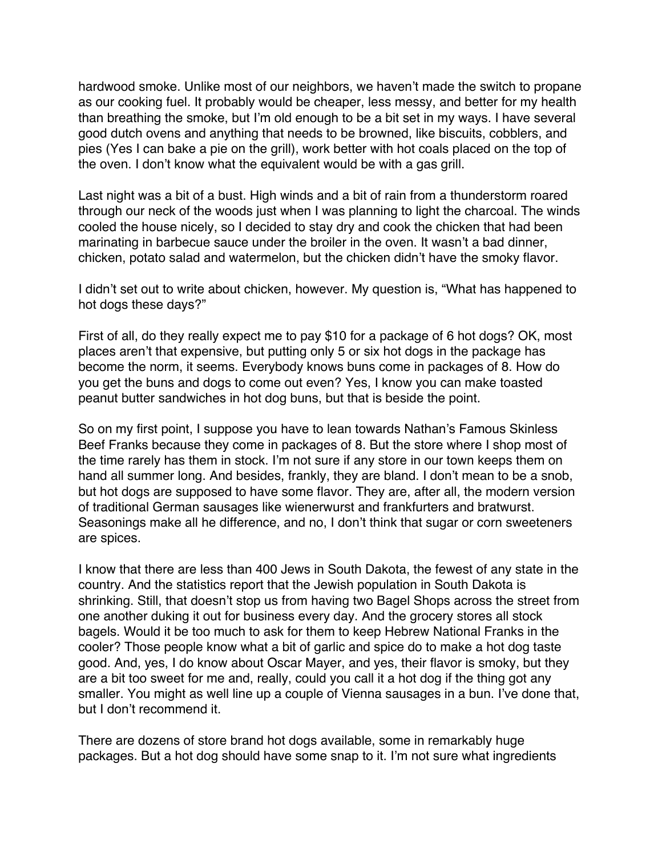hardwood smoke. Unlike most of our neighbors, we haven't made the switch to propane as our cooking fuel. It probably would be cheaper, less messy, and better for my health than breathing the smoke, but I'm old enough to be a bit set in my ways. I have several good dutch ovens and anything that needs to be browned, like biscuits, cobblers, and pies (Yes I can bake a pie on the grill), work better with hot coals placed on the top of the oven. I don't know what the equivalent would be with a gas grill.

Last night was a bit of a bust. High winds and a bit of rain from a thunderstorm roared through our neck of the woods just when I was planning to light the charcoal. The winds cooled the house nicely, so I decided to stay dry and cook the chicken that had been marinating in barbecue sauce under the broiler in the oven. It wasn't a bad dinner, chicken, potato salad and watermelon, but the chicken didn't have the smoky flavor.

I didn't set out to write about chicken, however. My question is, "What has happened to hot dogs these days?"

First of all, do they really expect me to pay \$10 for a package of 6 hot dogs? OK, most places aren't that expensive, but putting only 5 or six hot dogs in the package has become the norm, it seems. Everybody knows buns come in packages of 8. How do you get the buns and dogs to come out even? Yes, I know you can make toasted peanut butter sandwiches in hot dog buns, but that is beside the point.

So on my first point, I suppose you have to lean towards Nathan's Famous Skinless Beef Franks because they come in packages of 8. But the store where I shop most of the time rarely has them in stock. I'm not sure if any store in our town keeps them on hand all summer long. And besides, frankly, they are bland. I don't mean to be a snob, but hot dogs are supposed to have some flavor. They are, after all, the modern version of traditional German sausages like wienerwurst and frankfurters and bratwurst. Seasonings make all he difference, and no, I don't think that sugar or corn sweeteners are spices.

I know that there are less than 400 Jews in South Dakota, the fewest of any state in the country. And the statistics report that the Jewish population in South Dakota is shrinking. Still, that doesn't stop us from having two Bagel Shops across the street from one another duking it out for business every day. And the grocery stores all stock bagels. Would it be too much to ask for them to keep Hebrew National Franks in the cooler? Those people know what a bit of garlic and spice do to make a hot dog taste good. And, yes, I do know about Oscar Mayer, and yes, their flavor is smoky, but they are a bit too sweet for me and, really, could you call it a hot dog if the thing got any smaller. You might as well line up a couple of Vienna sausages in a bun. I've done that, but I don't recommend it.

There are dozens of store brand hot dogs available, some in remarkably huge packages. But a hot dog should have some snap to it. I'm not sure what ingredients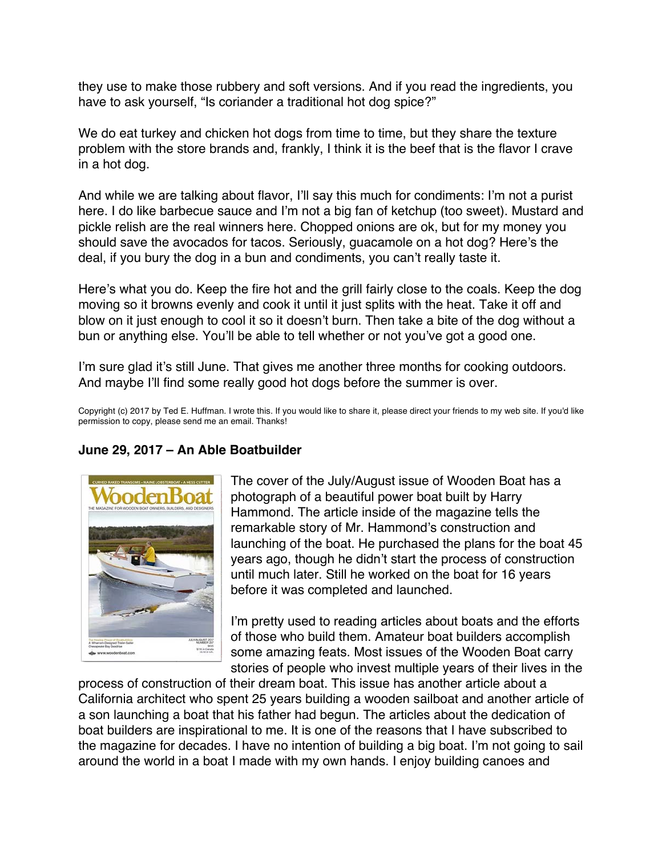<span id="page-59-0"></span>they use to make those rubbery and soft versions. And if you read the ingredients, you have to ask yourself, "Is coriander a traditional hot dog spice?"

We do eat turkey and chicken hot dogs from time to time, but they share the texture problem with the store brands and, frankly, I think it is the beef that is the flavor I crave in a hot dog.

And while we are talking about flavor, I'll say this much for condiments: I'm not a purist here. I do like barbecue sauce and I'm not a big fan of ketchup (too sweet). Mustard and pickle relish are the real winners here. Chopped onions are ok, but for my money you should save the avocados for tacos. Seriously, guacamole on a hot dog? Here's the deal, if you bury the dog in a bun and condiments, you can't really taste it.

Here's what you do. Keep the fire hot and the grill fairly close to the coals. Keep the dog moving so it browns evenly and cook it until it just splits with the heat. Take it off and blow on it just enough to cool it so it doesn't burn. Then take a bite of the dog without a bun or anything else. You'll be able to tell whether or not you've got a good one.

I'm sure glad it's still June. That gives me another three months for cooking outdoors. And maybe I'll find some really good hot dogs before the summer is over.

Copyright (c) 2017 by Ted E. Huffman. I wrote this. If you would like to share it, please direct your friends to my web site. If you'd like permission to copy, please send me an email. Thanks!

# **June 29, 2017 – An Able Boatbuilder**



The cover of the July/August issue of Wooden Boat has a photograph of a beautiful power boat built by Harry Hammond. The article inside of the magazine tells the remarkable story of Mr. Hammond's construction and launching of the boat. He purchased the plans for the boat 45 years ago, though he didn't start the process of construction until much later. Still he worked on the boat for 16 years before it was completed and launched.

I'm pretty used to reading articles about boats and the efforts of those who build them. Amateur boat builders accomplish some amazing feats. Most issues of the Wooden Boat carry stories of people who invest multiple years of their lives in the

process of construction of their dream boat. This issue has another article about a California architect who spent 25 years building a wooden sailboat and another article of a son launching a boat that his father had begun. The articles about the dedication of boat builders are inspirational to me. It is one of the reasons that I have subscribed to the magazine for decades. I have no intention of building a big boat. I'm not going to sail around the world in a boat I made with my own hands. I enjoy building canoes and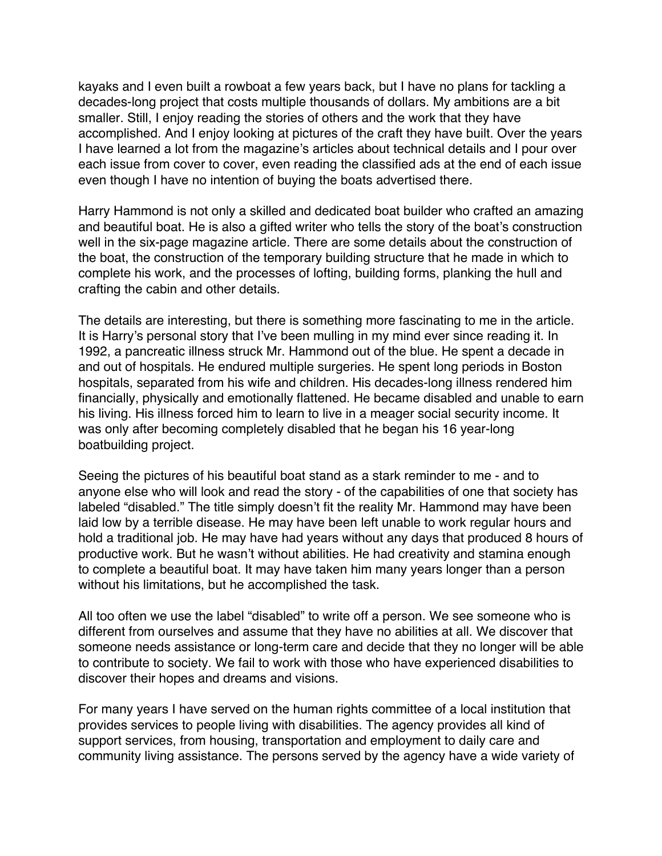kayaks and I even built a rowboat a few years back, but I have no plans for tackling a decades-long project that costs multiple thousands of dollars. My ambitions are a bit smaller. Still, I enjoy reading the stories of others and the work that they have accomplished. And I enjoy looking at pictures of the craft they have built. Over the years I have learned a lot from the magazine's articles about technical details and I pour over each issue from cover to cover, even reading the classified ads at the end of each issue even though I have no intention of buying the boats advertised there.

Harry Hammond is not only a skilled and dedicated boat builder who crafted an amazing and beautiful boat. He is also a gifted writer who tells the story of the boat's construction well in the six-page magazine article. There are some details about the construction of the boat, the construction of the temporary building structure that he made in which to complete his work, and the processes of lofting, building forms, planking the hull and crafting the cabin and other details.

The details are interesting, but there is something more fascinating to me in the article. It is Harry's personal story that I've been mulling in my mind ever since reading it. In 1992, a pancreatic illness struck Mr. Hammond out of the blue. He spent a decade in and out of hospitals. He endured multiple surgeries. He spent long periods in Boston hospitals, separated from his wife and children. His decades-long illness rendered him financially, physically and emotionally flattened. He became disabled and unable to earn his living. His illness forced him to learn to live in a meager social security income. It was only after becoming completely disabled that he began his 16 year-long boatbuilding project.

Seeing the pictures of his beautiful boat stand as a stark reminder to me - and to anyone else who will look and read the story - of the capabilities of one that society has labeled "disabled." The title simply doesn't fit the reality Mr. Hammond may have been laid low by a terrible disease. He may have been left unable to work regular hours and hold a traditional job. He may have had years without any days that produced 8 hours of productive work. But he wasn't without abilities. He had creativity and stamina enough to complete a beautiful boat. It may have taken him many years longer than a person without his limitations, but he accomplished the task.

All too often we use the label "disabled" to write off a person. We see someone who is different from ourselves and assume that they have no abilities at all. We discover that someone needs assistance or long-term care and decide that they no longer will be able to contribute to society. We fail to work with those who have experienced disabilities to discover their hopes and dreams and visions.

For many years I have served on the human rights committee of a local institution that provides services to people living with disabilities. The agency provides all kind of support services, from housing, transportation and employment to daily care and community living assistance. The persons served by the agency have a wide variety of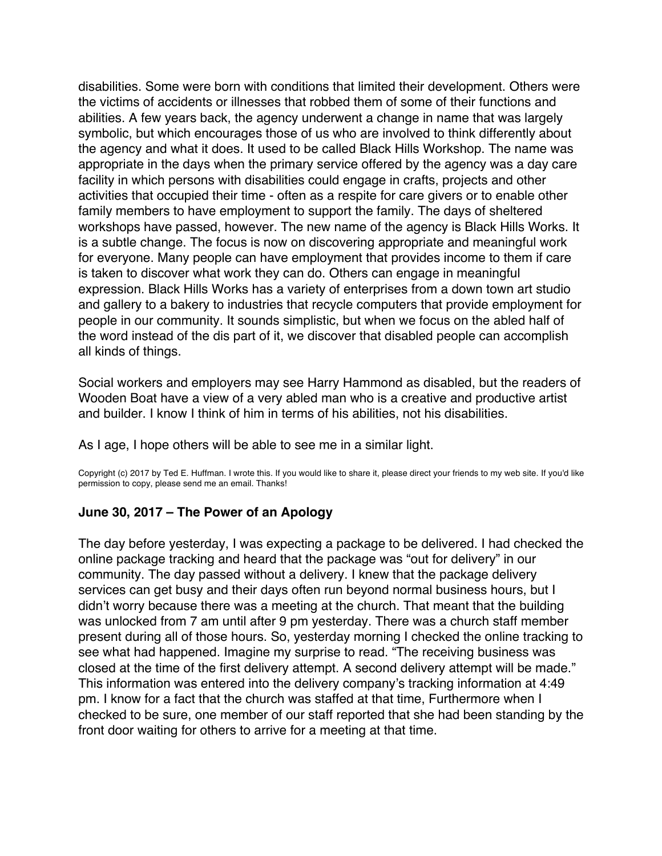<span id="page-61-0"></span>disabilities. Some were born with conditions that limited their development. Others were the victims of accidents or illnesses that robbed them of some of their functions and abilities. A few years back, the agency underwent a change in name that was largely symbolic, but which encourages those of us who are involved to think differently about the agency and what it does. It used to be called Black Hills Workshop. The name was appropriate in the days when the primary service offered by the agency was a day care facility in which persons with disabilities could engage in crafts, projects and other activities that occupied their time - often as a respite for care givers or to enable other family members to have employment to support the family. The days of sheltered workshops have passed, however. The new name of the agency is Black Hills Works. It is a subtle change. The focus is now on discovering appropriate and meaningful work for everyone. Many people can have employment that provides income to them if care is taken to discover what work they can do. Others can engage in meaningful expression. Black Hills Works has a variety of enterprises from a down town art studio and gallery to a bakery to industries that recycle computers that provide employment for people in our community. It sounds simplistic, but when we focus on the abled half of the word instead of the dis part of it, we discover that disabled people can accomplish all kinds of things.

Social workers and employers may see Harry Hammond as disabled, but the readers of Wooden Boat have a view of a very abled man who is a creative and productive artist and builder. I know I think of him in terms of his abilities, not his disabilities.

As I age, I hope others will be able to see me in a similar light.

Copyright (c) 2017 by Ted E. Huffman. I wrote this. If you would like to share it, please direct your friends to my web site. If you'd like permission to copy, please send me an email. Thanks!

# **June 30, 2017 – The Power of an Apology**

The day before yesterday, I was expecting a package to be delivered. I had checked the online package tracking and heard that the package was "out for delivery" in our community. The day passed without a delivery. I knew that the package delivery services can get busy and their days often run beyond normal business hours, but I didn't worry because there was a meeting at the church. That meant that the building was unlocked from 7 am until after 9 pm yesterday. There was a church staff member present during all of those hours. So, yesterday morning I checked the online tracking to see what had happened. Imagine my surprise to read. "The receiving business was closed at the time of the first delivery attempt. A second delivery attempt will be made." This information was entered into the delivery company's tracking information at 4:49 pm. I know for a fact that the church was staffed at that time, Furthermore when I checked to be sure, one member of our staff reported that she had been standing by the front door waiting for others to arrive for a meeting at that time.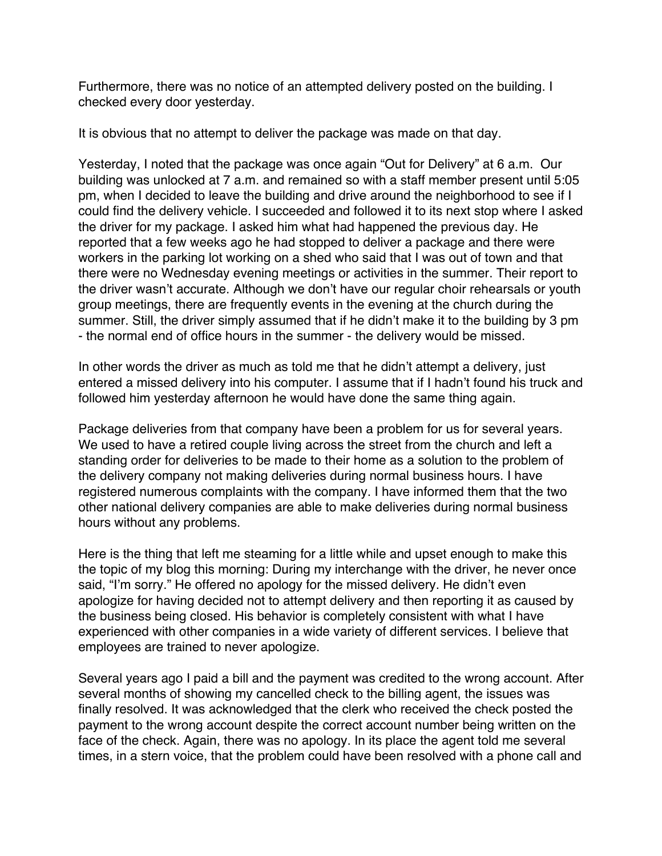Furthermore, there was no notice of an attempted delivery posted on the building. I checked every door yesterday.

It is obvious that no attempt to deliver the package was made on that day.

Yesterday, I noted that the package was once again "Out for Delivery" at 6 a.m. Our building was unlocked at 7 a.m. and remained so with a staff member present until 5:05 pm, when I decided to leave the building and drive around the neighborhood to see if I could find the delivery vehicle. I succeeded and followed it to its next stop where I asked the driver for my package. I asked him what had happened the previous day. He reported that a few weeks ago he had stopped to deliver a package and there were workers in the parking lot working on a shed who said that I was out of town and that there were no Wednesday evening meetings or activities in the summer. Their report to the driver wasn't accurate. Although we don't have our regular choir rehearsals or youth group meetings, there are frequently events in the evening at the church during the summer. Still, the driver simply assumed that if he didn't make it to the building by 3 pm - the normal end of office hours in the summer - the delivery would be missed.

In other words the driver as much as told me that he didn't attempt a delivery, just entered a missed delivery into his computer. I assume that if I hadn't found his truck and followed him yesterday afternoon he would have done the same thing again.

Package deliveries from that company have been a problem for us for several years. We used to have a retired couple living across the street from the church and left a standing order for deliveries to be made to their home as a solution to the problem of the delivery company not making deliveries during normal business hours. I have registered numerous complaints with the company. I have informed them that the two other national delivery companies are able to make deliveries during normal business hours without any problems.

Here is the thing that left me steaming for a little while and upset enough to make this the topic of my blog this morning: During my interchange with the driver, he never once said, "I'm sorry." He offered no apology for the missed delivery. He didn't even apologize for having decided not to attempt delivery and then reporting it as caused by the business being closed. His behavior is completely consistent with what I have experienced with other companies in a wide variety of different services. I believe that employees are trained to never apologize.

Several years ago I paid a bill and the payment was credited to the wrong account. After several months of showing my cancelled check to the billing agent, the issues was finally resolved. It was acknowledged that the clerk who received the check posted the payment to the wrong account despite the correct account number being written on the face of the check. Again, there was no apology. In its place the agent told me several times, in a stern voice, that the problem could have been resolved with a phone call and